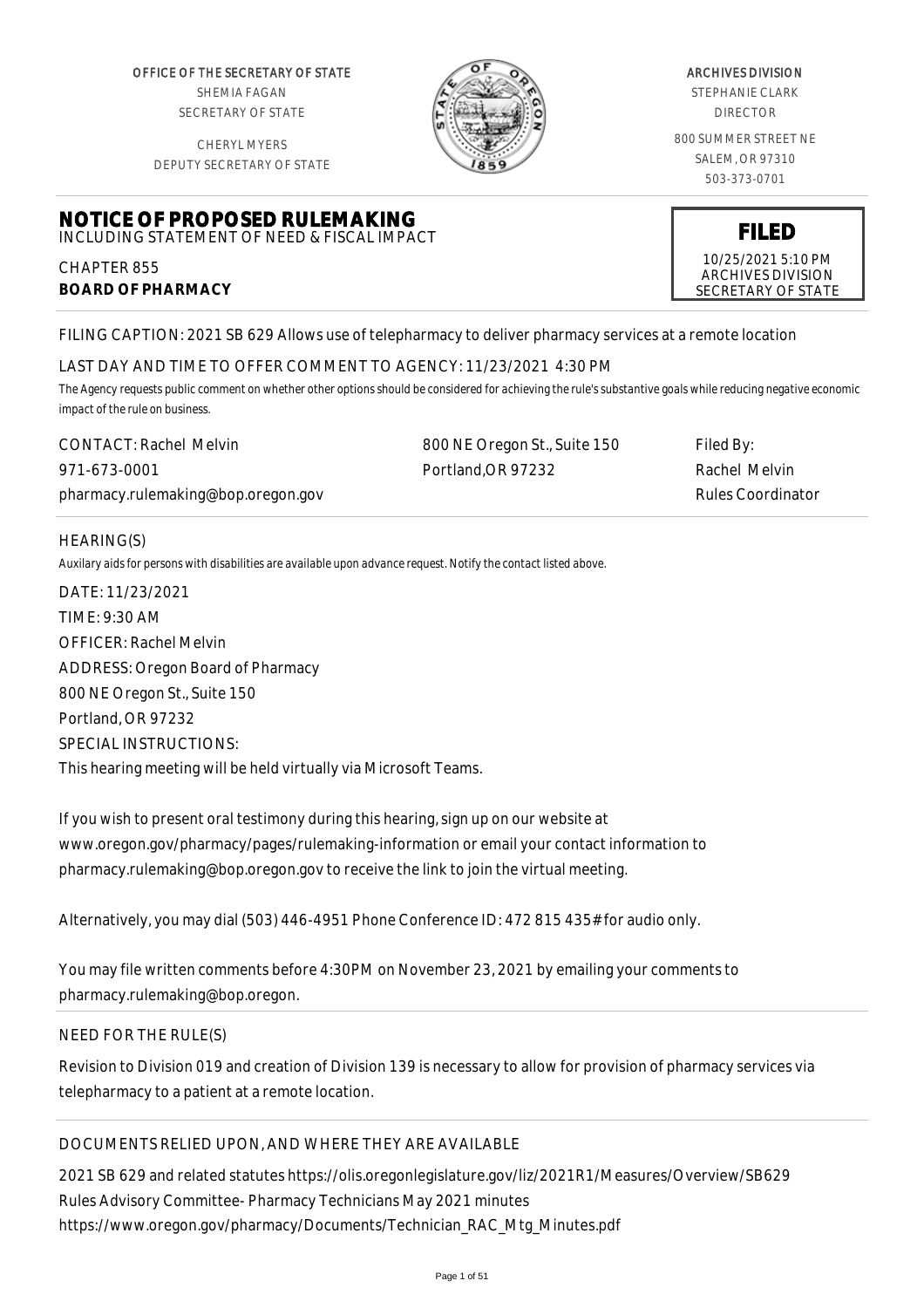OFFICE OF THE SECRETARY OF STATE SHEMIA FAGAN SECRETARY OF STATE

CHERYL MYERS



#### ARCHIVES DIVISION

STEPHANIE CLARK DIRECTOR

800 SUMMER STREET NE SALEM, OR 97310 503-373-0701

> **FILED** 10/25/2021 5:10 PM ARCHIVES DIVISION SECRETARY OF STATE

DEPUTY SECRETARY OF STATE

## **NOTICE OF PROPOSED RULEMAKING** INCLUDING STATEMENT OF NEED & FISCAL IMPACT

CHAPTER 855 **BOARD OF PHARMACY**

FILING CAPTION: 2021 SB 629 Allows use of telepharmacy to deliver pharmacy services at a remote location

## LAST DAY AND TIME TO OFFER COMMENT TO AGENCY: 11/23/2021 4:30 PM

*The Agency requests public comment on whether other options should be considered for achieving the rule's substantive goals while reducing negative economic impact of the rule on business.*

| <b>CONTACT: Rachel Melvin</b>      | 800 NE Oregon St., Suite 150 | Filed By:                |
|------------------------------------|------------------------------|--------------------------|
| 971-673-0001                       | Portland.OR 97232            | Rachel Melvin            |
| pharmacy.rulemaking@bop.oregon.gov |                              | <b>Rules Coordinator</b> |

## HEARING(S)

*Auxilary aids for persons with disabilities are available upon advance request. Notify the contact listed above.*

DATE: 11/23/2021 TIME: 9:30 AM OFFICER: Rachel Melvin ADDRESS: Oregon Board of Pharmacy 800 NE Oregon St., Suite 150 Portland, OR 97232 SPECIAL INSTRUCTIONS: This hearing meeting will be held virtually via Microsoft Teams.

If you wish to present oral testimony during this hearing, sign up on our website at www.oregon.gov/pharmacy/pages/rulemaking-information or email your contact information to pharmacy.rulemaking@bop.oregon.gov to receive the link to join the virtual meeting.

Alternatively, you may dial (503) 446-4951 Phone Conference ID: 472 815 435# for audio only.

You may file written comments before 4:30PM on November 23, 2021 by emailing your comments to pharmacy.rulemaking@bop.oregon.

## NEED FOR THE RULE(S)

Revision to Division 019 and creation of Division 139 is necessary to allow for provision of pharmacy services via telepharmacy to a patient at a remote location.

# DOCUMENTS RELIED UPON, AND WHERE THEY ARE AVAILABLE

2021 SB 629 and related statutes https://olis.oregonlegislature.gov/liz/2021R1/Measures/Overview/SB629 Rules Advisory Committee- Pharmacy Technicians May 2021 minutes https://www.oregon.gov/pharmacy/Documents/Technician\_RAC\_Mtg\_Minutes.pdf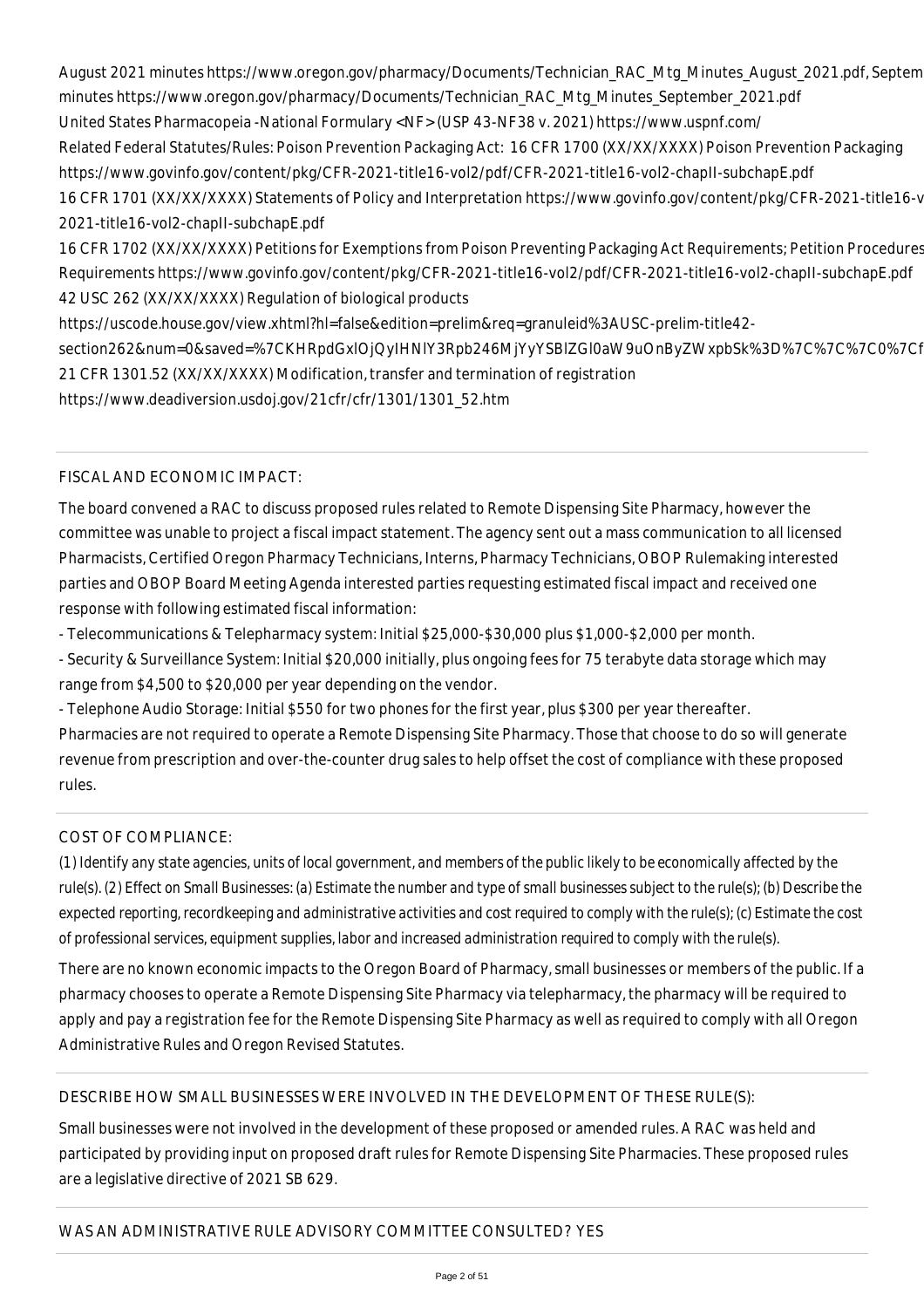August 2021 minutes https://www.oregon.gov/pharmacy/Documents/Technician\_RAC\_Mtg\_Minutes\_August\_2021.pdf, Septem minutes https://www.oregon.gov/pharmacy/Documents/Technician\_RAC\_Mtg\_Minutes\_September\_2021.pdf United States Pharmacopeia -National Formulary <NF> (USP 43-NF38 v. 2021) https://www.uspnf.com/ Related Federal Statutes/Rules: Poison Prevention Packaging Act: 16 CFR 1700 (XX/XX/XXXX) Poison Prevention Packaging https://www.govinfo.gov/content/pkg/CFR-2021-title16-vol2/pdf/CFR-2021-title16-vol2-chapII-subchapE.pdf 16 CFR 1701 (XX/XX/XXXX) Statements of Policy and Interpretation https://www.govinfo.gov/content/pkg/CFR-2021-title16-v 2021-title16-vol2-chapII-subchapE.pdf

16 CFR 1702 (XX/XX/XXXX) Petitions for Exemptions from Poison Preventing Packaging Act Requirements; Petition Procedures Requirements https://www.govinfo.gov/content/pkg/CFR-2021-title16-vol2/pdf/CFR-2021-title16-vol2-chapII-subchapE.pdf 42 USC 262 (XX/XX/XXXX) Regulation of biological products

https://uscode.house.gov/view.xhtml?hl=false&edition=prelim&req=granuleid%3AUSC-prelim-title42 section262&num=0&saved=%7CKHRpdGxIOjQyIHNIY3Rpb246MjYyYSBIZGl0aW9uOnByZWxpbSk%3D%7C%7C%7C0%7Cf 21 CFR 1301.52 (XX/XX/XXXX) Modification, transfer and termination of registration

https://www.deadiversion.usdoj.gov/21cfr/cfr/1301/1301\_52.htm

FISCAL AND ECONOMIC IMPACT:

The board convened a RAC to discuss proposed rules related to Remote Dispensing Site Pharmacy, however the committee was unable to project a fiscal impact statement. The agency sent out a mass communication to all licensed Pharmacists, Certified Oregon Pharmacy Technicians, Interns, Pharmacy Technicians, OBOP Rulemaking interested parties and OBOP Board Meeting Agenda interested parties requesting estimated fiscal impact and received one response with following estimated fiscal information:

- Telecommunications & Telepharmacy system: Initial \$25,000-\$30,000 plus \$1,000-\$2,000 per month.

- Security & Surveillance System: Initial \$20,000 initially, plus ongoing fees for 75 terabyte data storage which may range from \$4,500 to \$20,000 per year depending on the vendor.

- Telephone Audio Storage: Initial \$550 for two phones for the first year, plus \$300 per year thereafter. Pharmacies are not required to operate a Remote Dispensing Site Pharmacy. Those that choose to do so will generate revenue from prescription and over-the-counter drug sales to help offset the cost of compliance with these proposed rules.

# COST OF COMPLIANCE:

*(1) Identify any state agencies, units of local government, and members of the public likely to be economically affected by the rule(s). (2) Effect on Small Businesses: (a) Estimate the number and type of small businesses subject to the rule(s); (b) Describe the expected reporting, recordkeeping and administrative activities and cost required to comply with the rule(s); (c) Estimate the cost of professional services, equipment supplies, labor and increased administration required to comply with the rule(s).*

There are no known economic impacts to the Oregon Board of Pharmacy, small businesses or members of the public. If a pharmacy chooses to operate a Remote Dispensing Site Pharmacy via telepharmacy, the pharmacy will be required to apply and pay a registration fee for the Remote Dispensing Site Pharmacy as well as required to comply with all Oregon Administrative Rules and Oregon Revised Statutes.

## DESCRIBE HOW SMALL BUSINESSES WERE INVOLVED IN THE DEVELOPMENT OF THESE RULE(S):

Small businesses were not involved in the development of these proposed or amended rules. A RAC was held and participated by providing input on proposed draft rules for Remote Dispensing Site Pharmacies. These proposed rules are a legislative directive of 2021 SB 629.

# WAS AN ADMINISTRATIVE RULE ADVISORY COMMITTEE CONSULTED? YES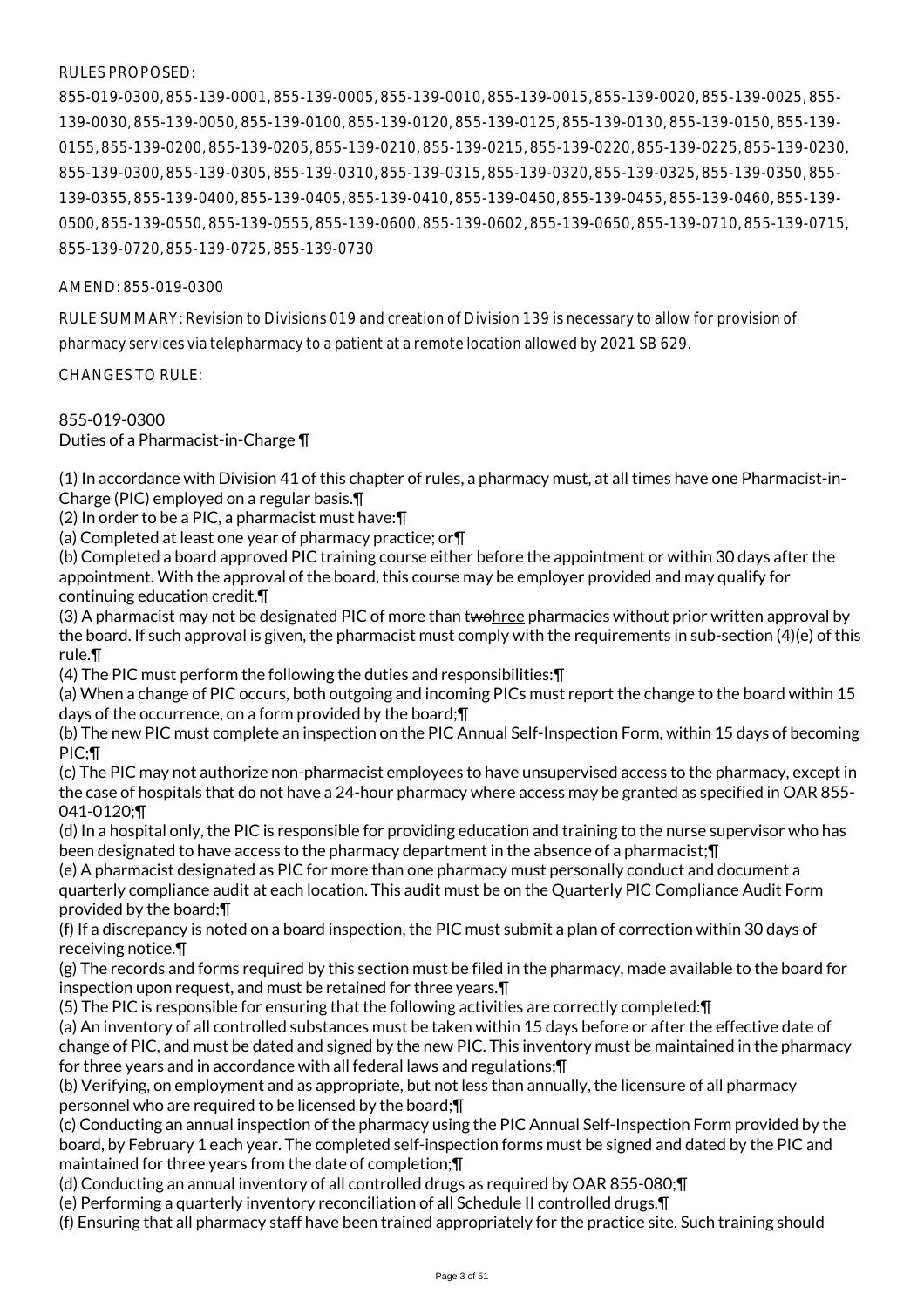## RULES PROPOSED:

855-019-0300, 855-139-0001, 855-139-0005, 855-139-0010, 855-139-0015, 855-139-0020, 855-139-0025, 855- 139-0030, 855-139-0050, 855-139-0100, 855-139-0120, 855-139-0125, 855-139-0130, 855-139-0150, 855-139- 0155, 855-139-0200, 855-139-0205, 855-139-0210, 855-139-0215, 855-139-0220, 855-139-0225, 855-139-0230, 855-139-0300, 855-139-0305, 855-139-0310, 855-139-0315, 855-139-0320, 855-139-0325, 855-139-0350, 855- 139-0355, 855-139-0400, 855-139-0405, 855-139-0410, 855-139-0450, 855-139-0455, 855-139-0460, 855-139- 0500, 855-139-0550, 855-139-0555, 855-139-0600, 855-139-0602, 855-139-0650, 855-139-0710, 855-139-0715, 855-139-0720, 855-139-0725, 855-139-0730

## AMEND: 855-019-0300

RULE SUMMARY: Revision to Divisions 019 and creation of Division 139 is necessary to allow for provision of pharmacy services via telepharmacy to a patient at a remote location allowed by 2021 SB 629.

CHANGES TO RULE:

855-019-0300 Duties of a Pharmacist-in-Charge ¶

(1) In accordance with Division 41 of this chapter of rules, a pharmacy must, at all times have one Pharmacist-in-Charge (PIC) employed on a regular basis.¶

(2) In order to be a PIC, a pharmacist must have:¶

(a) Completed at least one year of pharmacy practice; or¶

(b) Completed a board approved PIC training course either before the appointment or within 30 days after the appointment. With the approval of the board, this course may be employer provided and may qualify for continuing education credit.¶

(3) A pharmacist may not be designated PIC of more than twohree pharmacies without prior written approval by the board. If such approval is given, the pharmacist must comply with the requirements in sub-section (4)(e) of this rule.¶

(4) The PIC must perform the following the duties and responsibilities:¶

(a) When a change of PIC occurs, both outgoing and incoming PICs must report the change to the board within 15 days of the occurrence, on a form provided by the board;¶

(b) The new PIC must complete an inspection on the PIC Annual Self-Inspection Form, within 15 days of becoming PIC;¶

(c) The PIC may not authorize non-pharmacist employees to have unsupervised access to the pharmacy, except in the case of hospitals that do not have a 24-hour pharmacy where access may be granted as specified in OAR 855- 041-0120;¶

(d) In a hospital only, the PIC is responsible for providing education and training to the nurse supervisor who has been designated to have access to the pharmacy department in the absence of a pharmacist;¶

(e) A pharmacist designated as PIC for more than one pharmacy must personally conduct and document a quarterly compliance audit at each location. This audit must be on the Quarterly PIC Compliance Audit Form provided by the board;¶

(f) If a discrepancy is noted on a board inspection, the PIC must submit a plan of correction within 30 days of receiving notice.¶

(g) The records and forms required by this section must be filed in the pharmacy, made available to the board for inspection upon request, and must be retained for three years.¶

(5) The PIC is responsible for ensuring that the following activities are correctly completed:¶

(a) An inventory of all controlled substances must be taken within 15 days before or after the effective date of change of PIC, and must be dated and signed by the new PIC. This inventory must be maintained in the pharmacy for three years and in accordance with all federal laws and regulations;¶

(b) Verifying, on employment and as appropriate, but not less than annually, the licensure of all pharmacy personnel who are required to be licensed by the board;¶

(c) Conducting an annual inspection of the pharmacy using the PIC Annual Self-Inspection Form provided by the board, by February 1 each year. The completed self-inspection forms must be signed and dated by the PIC and maintained for three years from the date of completion;¶

(d) Conducting an annual inventory of all controlled drugs as required by OAR 855-080;¶

(e) Performing a quarterly inventory reconciliation of all Schedule II controlled drugs.¶

(f) Ensuring that all pharmacy staff have been trained appropriately for the practice site. Such training should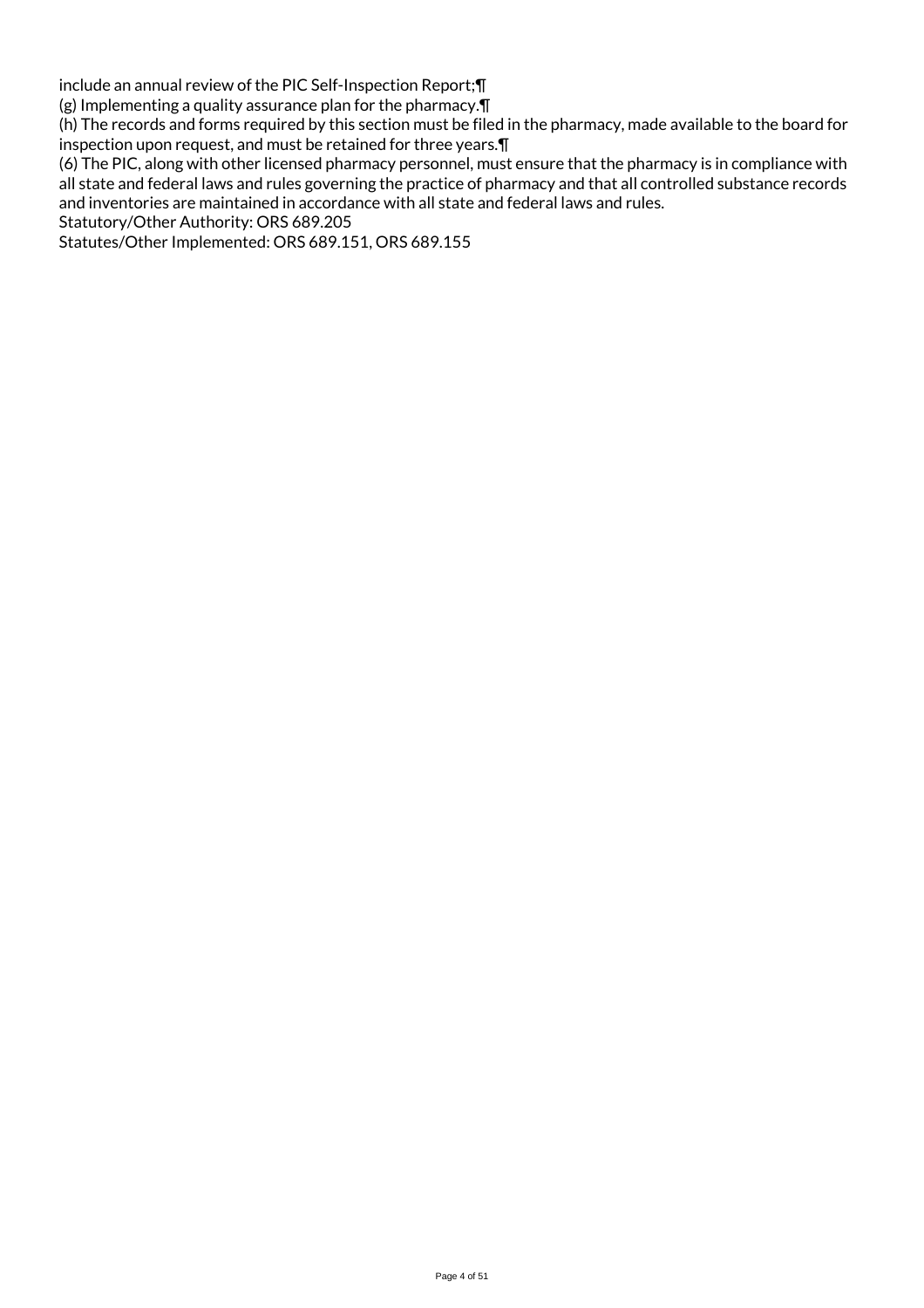include an annual review of the PIC Self-Inspection Report;¶

(g) Implementing a quality assurance plan for the pharmacy.¶

(h) The records and forms required by this section must be filed in the pharmacy, made available to the board for inspection upon request, and must be retained for three years.¶

(6) The PIC, along with other licensed pharmacy personnel, must ensure that the pharmacy is in compliance with all state and federal laws and rules governing the practice of pharmacy and that all controlled substance records and inventories are maintained in accordance with all state and federal laws and rules.

Statutory/Other Authority: ORS 689.205

Statutes/Other Implemented: ORS 689.151, ORS 689.155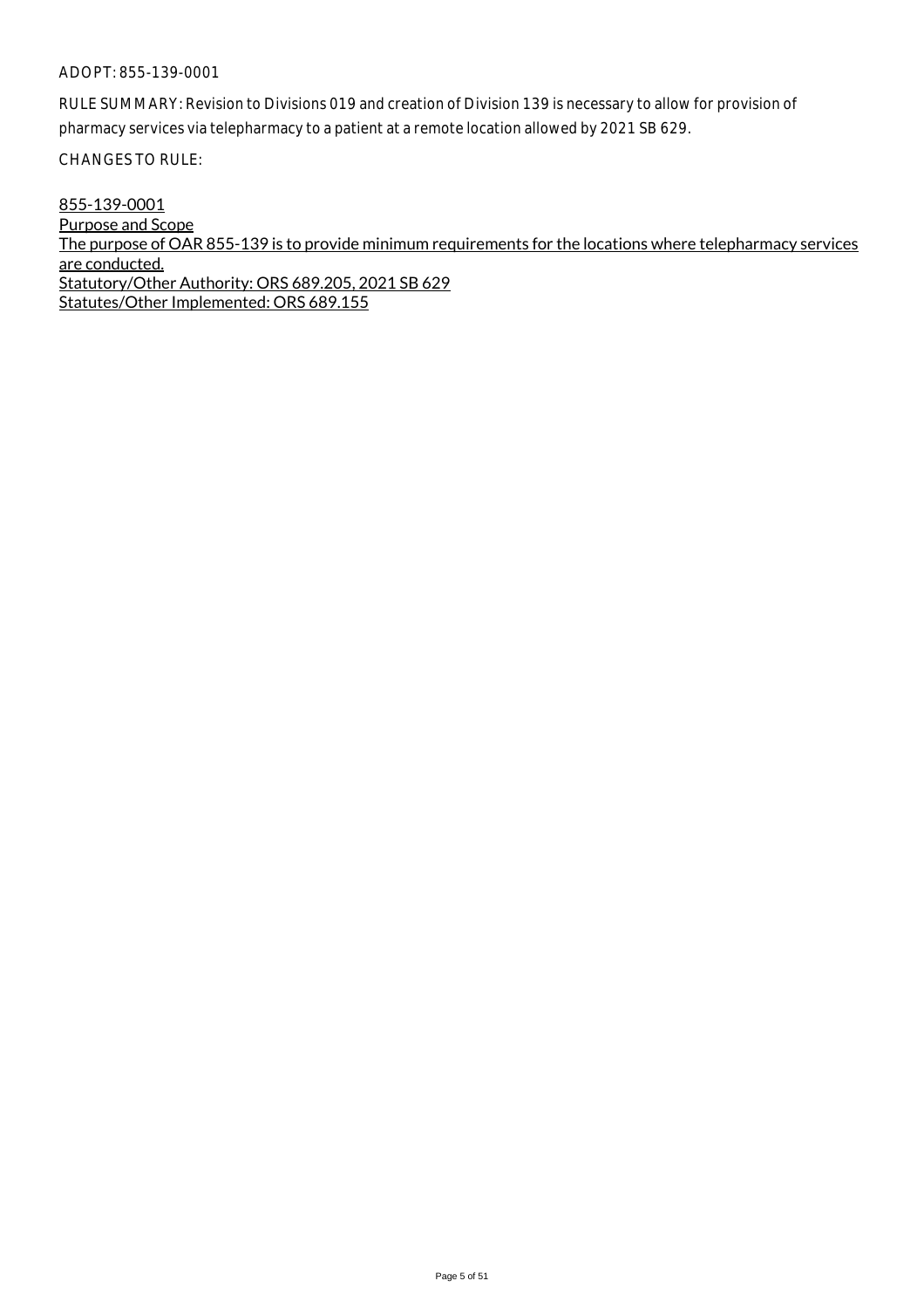RULE SUMMARY: Revision to Divisions 019 and creation of Division 139 is necessary to allow for provision of pharmacy services via telepharmacy to a patient at a remote location allowed by 2021 SB 629.

CHANGES TO RULE:

855-139-0001 Purpose and Scope The purpose of OAR 855-139 is to provide minimum requirements for the locations where telepharmacy services are conducted. Statutory/Other Authority: ORS 689.205, 2021 SB 629 Statutes/Other Implemented: ORS 689.155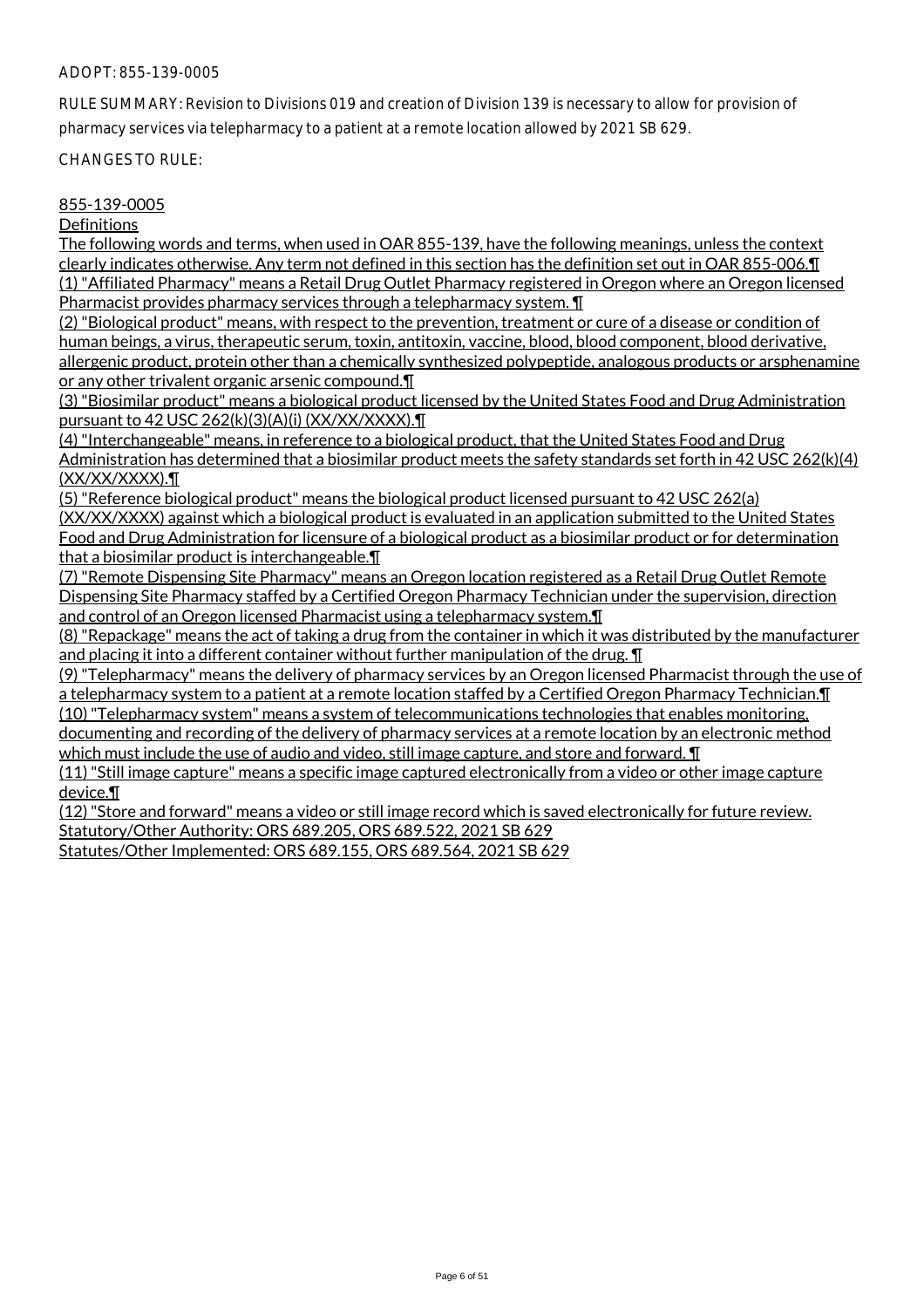RULE SUMMARY: Revision to Divisions 019 and creation of Division 139 is necessary to allow for provision of pharmacy services via telepharmacy to a patient at a remote location allowed by 2021 SB 629.

CHANGES TO RULE:

#### 855-139-0005

**Definitions** 

The following words and terms, when used in OAR 855-139, have the following meanings, unless the context clearly indicates otherwise. Any term not defined in this section has the definition set out in OAR 855-006.¶ (1) "Affiliated Pharmacy" means a Retail Drug Outlet Pharmacy registered in Oregon where an Oregon licensed Pharmacist provides pharmacy services through a telepharmacy system. ¶

(2) "Biological product" means, with respect to the prevention, treatment or cure of a disease or condition of human beings, a virus, therapeutic serum, toxin, antitoxin, vaccine, blood, blood component, blood derivative, allergenic product, protein other than a chemically synthesized polypeptide, analogous products or arsphenamine or any other trivalent organic arsenic compound.¶

(3) "Biosimilar product" means a biological product licensed by the United States Food and Drug Administration pursuant to 42 USC 262(k)(3)(A)(i) (XX/XX/XXXX).¶

(4) "Interchangeable" means, in reference to a biological product, that the United States Food and Drug Administration has determined that a biosimilar product meets the safety standards set forth in 42 USC 262(k)(4) (XX/XX/XXXX).¶

(5) "Reference biological product" means the biological product licensed pursuant to 42 USC 262(a) (XX/XX/XXXX) against which a biological product is evaluated in an application submitted to the United States Food and Drug Administration for licensure of a biological product as a biosimilar product or for determination that a biosimilar product is interchangeable.¶

(7) "Remote Dispensing Site Pharmacy" means an Oregon location registered as a Retail Drug Outlet Remote Dispensing Site Pharmacy staffed by a Certified Oregon Pharmacy Technician under the supervision, direction and control of an Oregon licensed Pharmacist using a telepharmacy system.¶

(8) "Repackage" means the act of taking a drug from the container in which it was distributed by the manufacturer and placing it into a different container without further manipulation of the drug. **T** 

(9) "Telepharmacy" means the delivery of pharmacy services by an Oregon licensed Pharmacist through the use of a telepharmacy system to a patient at a remote location staffed by a Certified Oregon Pharmacy Technician.¶ (10) "Telepharmacy system" means a system of telecommunications technologies that enables monitoring, documenting and recording of the delivery of pharmacy services at a remote location by an electronic method which must include the use of audio and video, still image capture, and store and forward. **T** 

(11) "Still image capture" means a specific image captured electronically from a video or other image capture device.¶

(12) "Store and forward" means a video or still image record which is saved electronically for future review. Statutory/Other Authority: ORS 689.205, ORS 689.522, 2021 SB 629

Statutes/Other Implemented: ORS 689.155, ORS 689.564, 2021 SB 629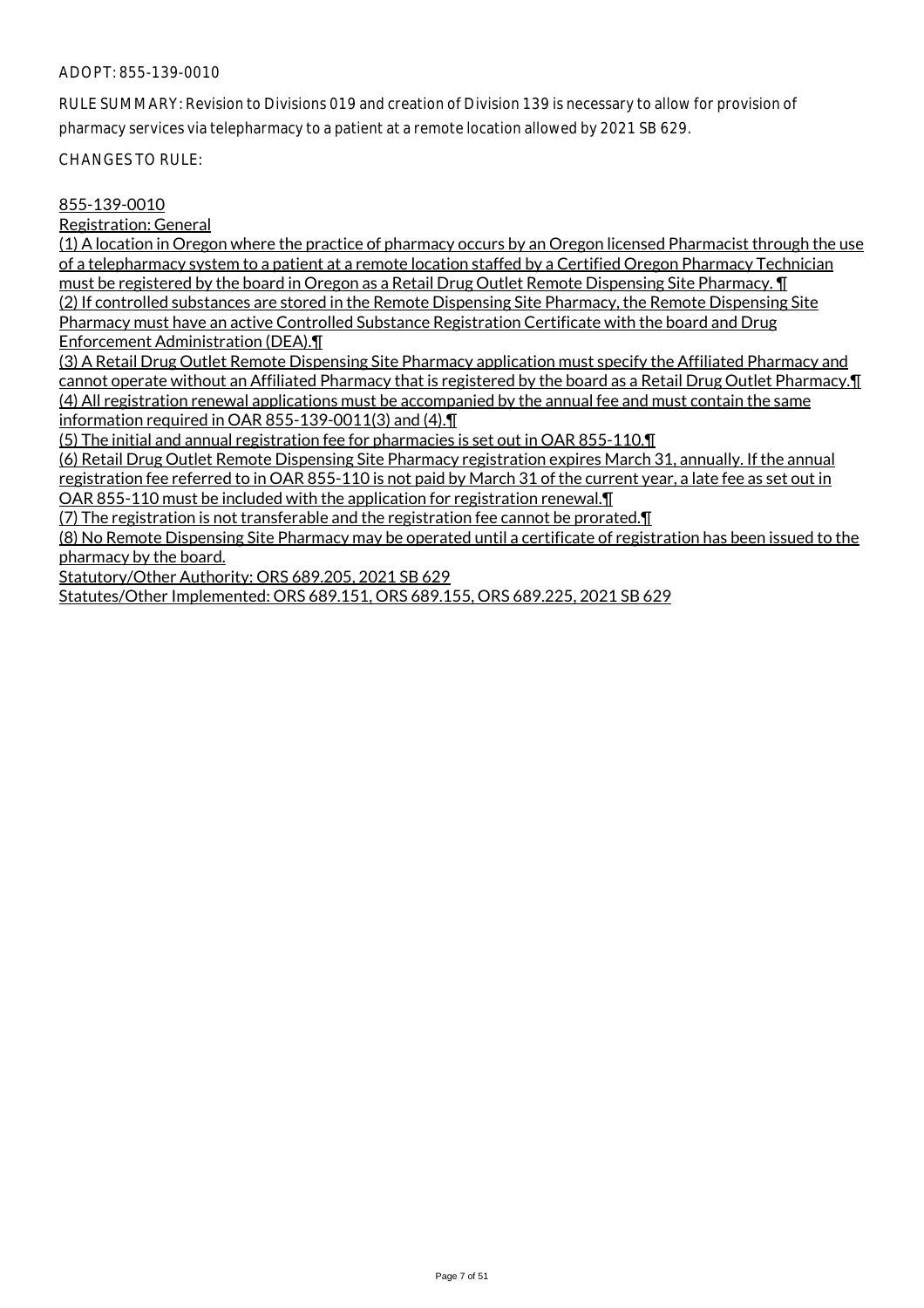RULE SUMMARY: Revision to Divisions 019 and creation of Division 139 is necessary to allow for provision of pharmacy services via telepharmacy to a patient at a remote location allowed by 2021 SB 629.

CHANGES TO RULE:

## 855-139-0010

Registration: General

(1) A location in Oregon where the practice of pharmacy occurs by an Oregon licensed Pharmacist through the use of a telepharmacy system to a patient at a remote location staffed by a Certified Oregon Pharmacy Technician must be registered by the board in Oregon as a Retail Drug Outlet Remote Dispensing Site Pharmacy. ¶ (2) If controlled substances are stored in the Remote Dispensing Site Pharmacy, the Remote Dispensing Site Pharmacy must have an active Controlled Substance Registration Certificate with the board and Drug Enforcement Administration (DEA).¶

(3) A Retail Drug Outlet Remote Dispensing Site Pharmacy application must specify the Affiliated Pharmacy and cannot operate without an Affiliated Pharmacy that is registered by the board as a Retail Drug Outlet Pharmacy.¶ (4) All registration renewal applications must be accompanied by the annual fee and must contain the same information required in OAR 855-139-0011(3) and (4).¶

(5) The initial and annual registration fee for pharmacies is set out in OAR 855-110.¶

(6) Retail Drug Outlet Remote Dispensing Site Pharmacy registration expires March 31, annually. If the annual registration fee referred to in OAR 855-110 is not paid by March 31 of the current year, a late fee as set out in OAR 855-110 must be included with the application for registration renewal.¶

(7) The registration is not transferable and the registration fee cannot be prorated.¶

(8) No Remote Dispensing Site Pharmacy may be operated until a certificate of registration has been issued to the pharmacy by the board.

Statutory/Other Authority: ORS 689.205, 2021 SB 629

Statutes/Other Implemented: ORS 689.151, ORS 689.155, ORS 689.225, 2021 SB 629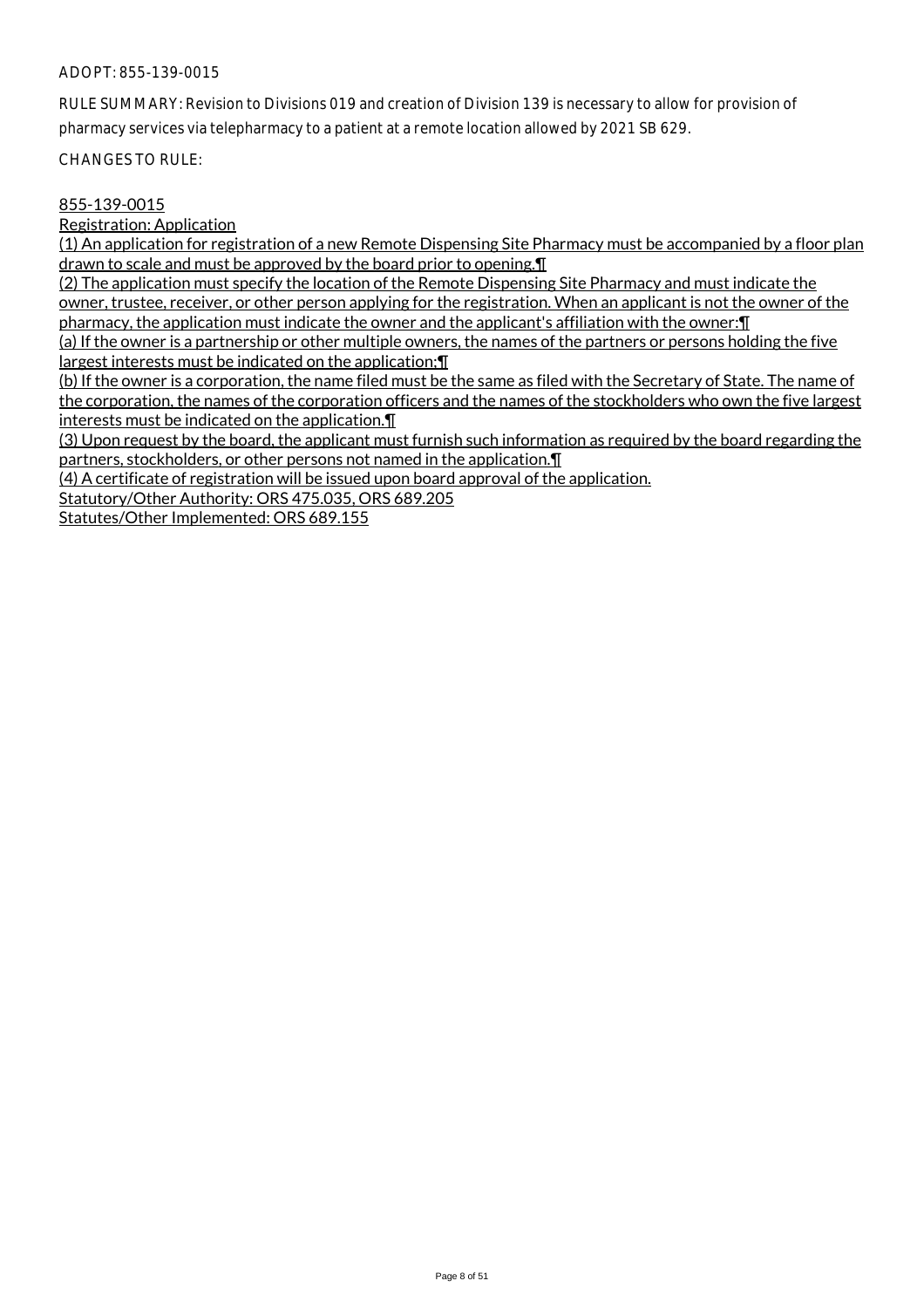RULE SUMMARY: Revision to Divisions 019 and creation of Division 139 is necessary to allow for provision of pharmacy services via telepharmacy to a patient at a remote location allowed by 2021 SB 629.

CHANGES TO RULE:

## 855-139-0015

Registration: Application

(1) An application for registration of a new Remote Dispensing Site Pharmacy must be accompanied by a floor plan drawn to scale and must be approved by the board prior to opening.¶

(2) The application must specify the location of the Remote Dispensing Site Pharmacy and must indicate the owner, trustee, receiver, or other person applying for the registration. When an applicant is not the owner of the pharmacy, the application must indicate the owner and the applicant's affiliation with the owner:¶

(a) If the owner is a partnership or other multiple owners, the names of the partners or persons holding the five largest interests must be indicated on the application;¶

(b) If the owner is a corporation, the name filed must be the same as filed with the Secretary of State. The name of the corporation, the names of the corporation officers and the names of the stockholders who own the five largest interests must be indicated on the application.¶

(3) Upon request by the board, the applicant must furnish such information as required by the board regarding the partners, stockholders, or other persons not named in the application.¶

(4) A certificate of registration will be issued upon board approval of the application.

Statutory/Other Authority: ORS 475.035, ORS 689.205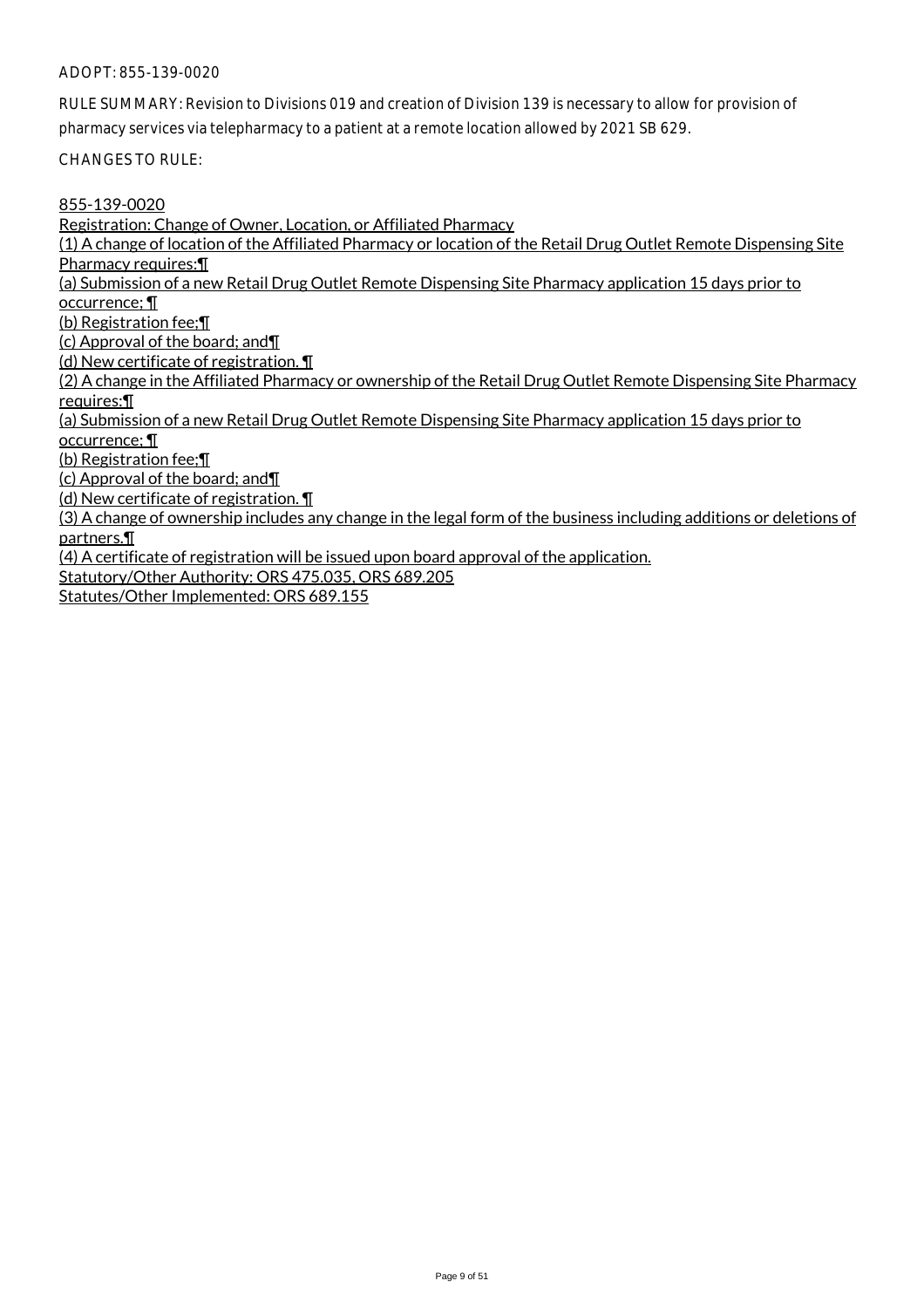RULE SUMMARY: Revision to Divisions 019 and creation of Division 139 is necessary to allow for provision of pharmacy services via telepharmacy to a patient at a remote location allowed by 2021 SB 629.

CHANGES TO RULE:

855-139-0020

Registration: Change of Owner, Location, or Affiliated Pharmacy

(1) A change of location of the Affiliated Pharmacy or location of the Retail Drug Outlet Remote Dispensing Site Pharmacy requires:¶

(a) Submission of a new Retail Drug Outlet Remote Dispensing Site Pharmacy application 15 days prior to

occurrence; ¶

(b) Registration fee;¶

(c) Approval of the board; and¶

(d) New certificate of registration. ¶

(2) A change in the Affiliated Pharmacy or ownership of the Retail Drug Outlet Remote Dispensing Site Pharmacy requires:¶

(a) Submission of a new Retail Drug Outlet Remote Dispensing Site Pharmacy application 15 days prior to occurrence; ¶

(b) Registration fee;¶

(c) Approval of the board; and¶

(d) New certificate of registration. ¶

(3) A change of ownership includes any change in the legal form of the business including additions or deletions of partners.¶

(4) A certificate of registration will be issued upon board approval of the application.

Statutory/Other Authority: ORS 475.035, ORS 689.205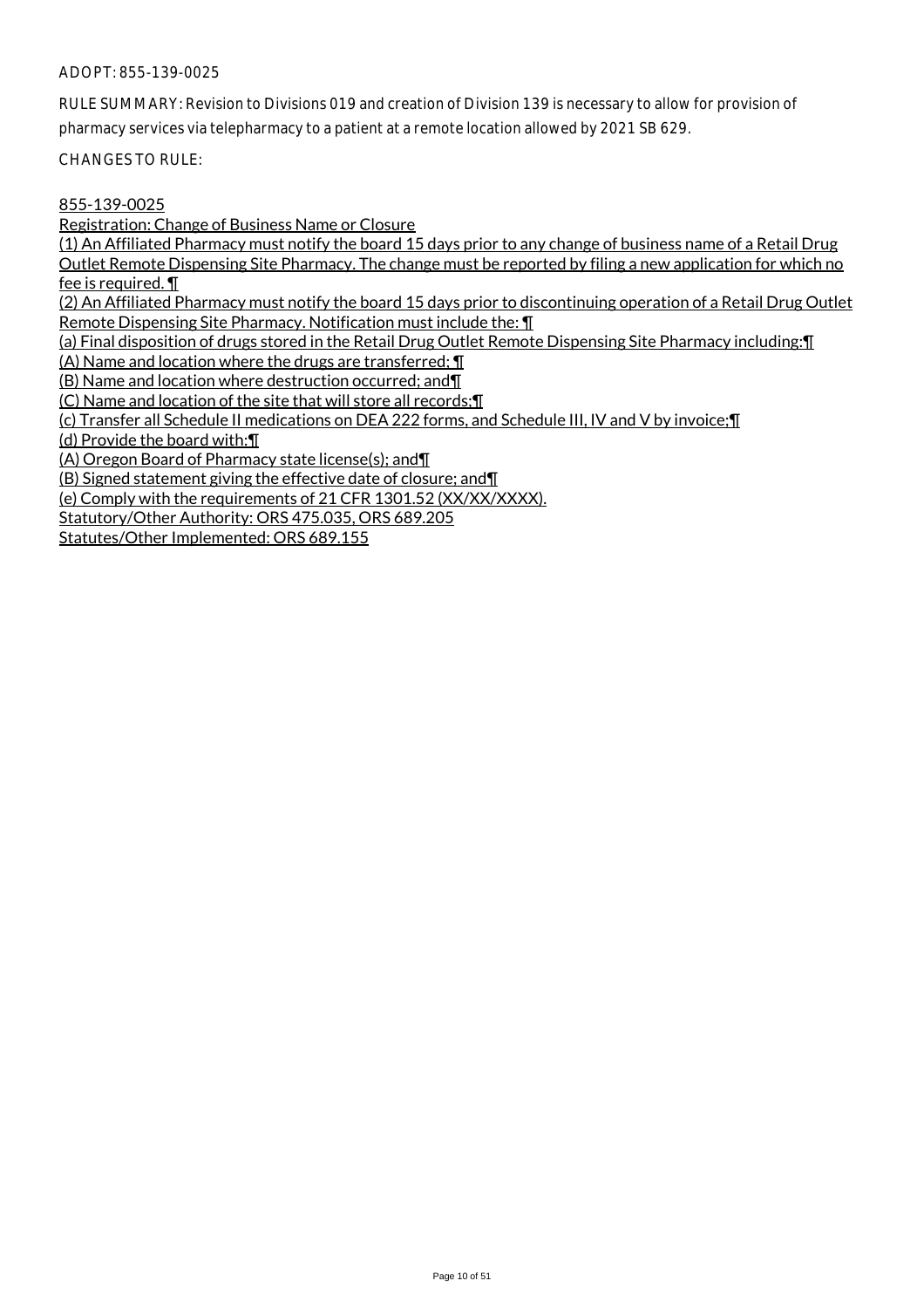RULE SUMMARY: Revision to Divisions 019 and creation of Division 139 is necessary to allow for provision of pharmacy services via telepharmacy to a patient at a remote location allowed by 2021 SB 629.

CHANGES TO RULE:

## 855-139-0025

Registration: Change of Business Name or Closure

(1) An Affiliated Pharmacy must notify the board 15 days prior to any change of business name of a Retail Drug Outlet Remote Dispensing Site Pharmacy. The change must be reported by filing a new application for which no fee is required. ¶

(2) An Affiliated Pharmacy must notify the board 15 days prior to discontinuing operation of a Retail Drug Outlet Remote Dispensing Site Pharmacy. Notification must include the: ¶

(a) Final disposition of drugs stored in the Retail Drug Outlet Remote Dispensing Site Pharmacy including:¶

(A) Name and location where the drugs are transferred; ¶

(B) Name and location where destruction occurred; and¶

(C) Name and location of the site that will store all records;¶

(c) Transfer all Schedule II medications on DEA 222 forms, and Schedule III, IV and V by invoice;¶

(d) Provide the board with:¶

(A) Oregon Board of Pharmacy state license(s); and¶

(B) Signed statement giving the effective date of closure; and¶

(e) Comply with the requirements of 21 CFR 1301.52 (XX/XX/XXXX).

Statutory/Other Authority: ORS 475.035, ORS 689.205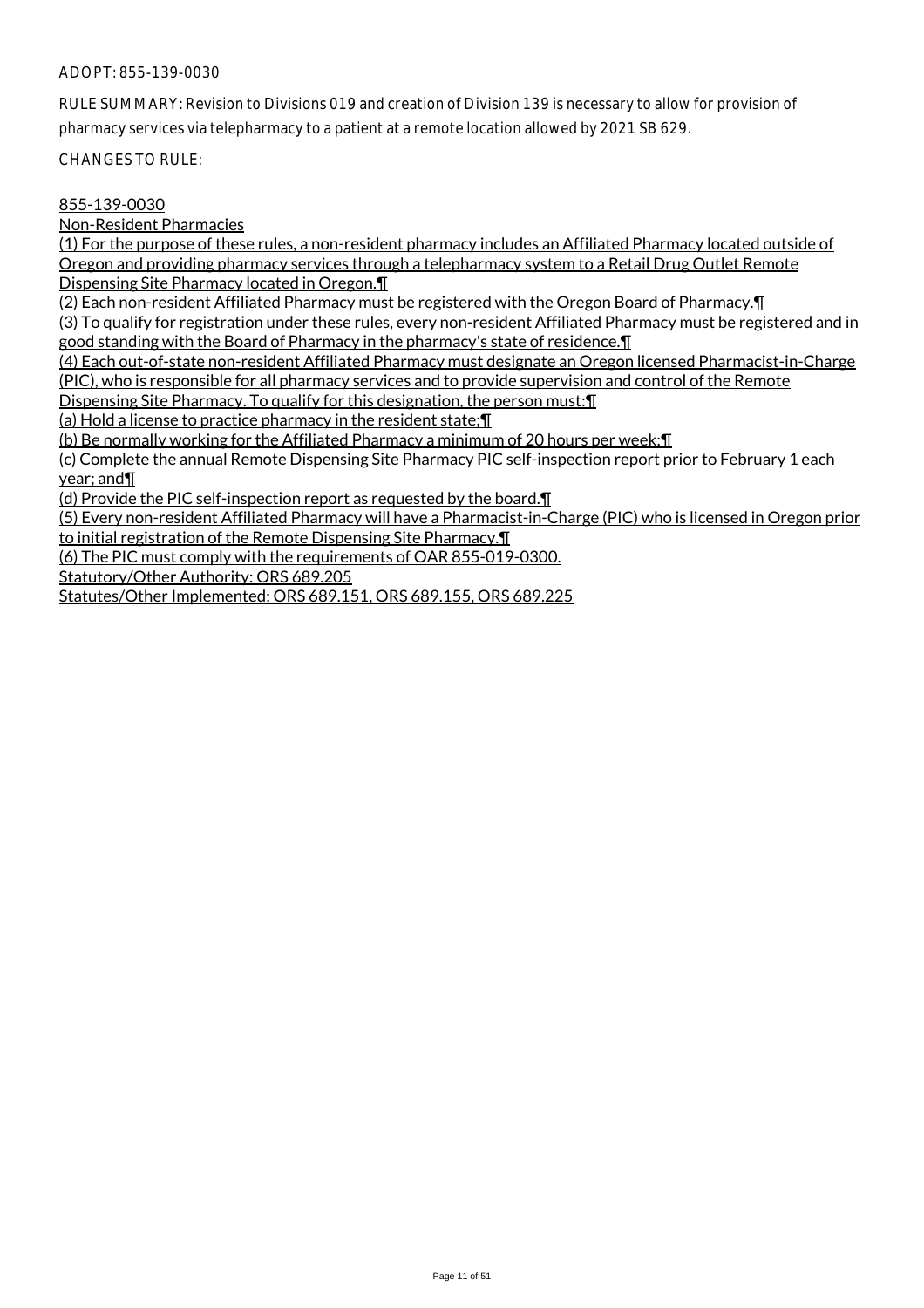RULE SUMMARY: Revision to Divisions 019 and creation of Division 139 is necessary to allow for provision of pharmacy services via telepharmacy to a patient at a remote location allowed by 2021 SB 629.

CHANGES TO RULE:

## 855-139-0030

Non-Resident Pharmacies

(1) For the purpose of these rules, a non-resident pharmacy includes an Affiliated Pharmacy located outside of Oregon and providing pharmacy services through a telepharmacy system to a Retail Drug Outlet Remote Dispensing Site Pharmacy located in Oregon.¶

(2) Each non-resident Affiliated Pharmacy must be registered with the Oregon Board of Pharmacy.¶

(3) To qualify for registration under these rules, every non-resident Affiliated Pharmacy must be registered and in good standing with the Board of Pharmacy in the pharmacy's state of residence.¶

(4) Each out-of-state non-resident Affiliated Pharmacy must designate an Oregon licensed Pharmacist-in-Charge (PIC), who is responsible for all pharmacy services and to provide supervision and control of the Remote

Dispensing Site Pharmacy. To qualify for this designation, the person must:¶

(a) Hold a license to practice pharmacy in the resident state;¶

(b) Be normally working for the Affiliated Pharmacy a minimum of 20 hours per week;¶

(c) Complete the annual Remote Dispensing Site Pharmacy PIC self-inspection report prior to February 1 each year; and¶

(d) Provide the PIC self-inspection report as requested by the board.¶

(5) Every non-resident Affiliated Pharmacy will have a Pharmacist-in-Charge (PIC) who is licensed in Oregon prior to initial registration of the Remote Dispensing Site Pharmacy.¶

(6) The PIC must comply with the requirements of OAR 855-019-0300.

Statutory/Other Authority: ORS 689.205

Statutes/Other Implemented: ORS 689.151, ORS 689.155, ORS 689.225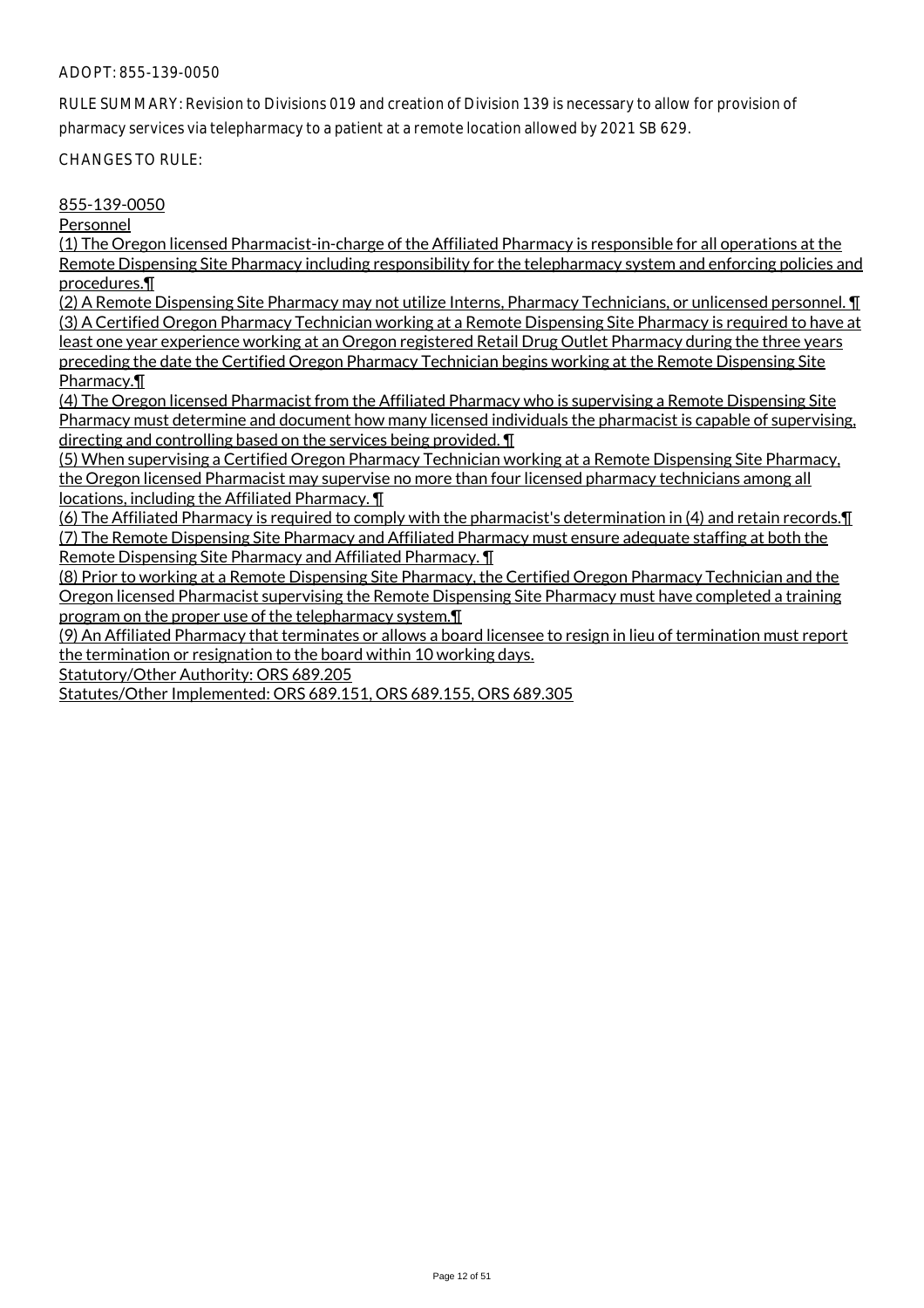RULE SUMMARY: Revision to Divisions 019 and creation of Division 139 is necessary to allow for provision of pharmacy services via telepharmacy to a patient at a remote location allowed by 2021 SB 629.

CHANGES TO RULE:

#### 855-139-0050

Personnel

(1) The Oregon licensed Pharmacist-in-charge of the Affiliated Pharmacy is responsible for all operations at the Remote Dispensing Site Pharmacy including responsibility for the telepharmacy system and enforcing policies and procedures.¶

(2) A Remote Dispensing Site Pharmacy may not utilize Interns, Pharmacy Technicians, or unlicensed personnel. ¶ (3) A Certified Oregon Pharmacy Technician working at a Remote Dispensing Site Pharmacy is required to have at least one year experience working at an Oregon registered Retail Drug Outlet Pharmacy during the three years preceding the date the Certified Oregon Pharmacy Technician begins working at the Remote Dispensing Site Pharmacy.¶

(4) The Oregon licensed Pharmacist from the Affiliated Pharmacy who is supervising a Remote Dispensing Site Pharmacy must determine and document how many licensed individuals the pharmacist is capable of supervising, directing and controlling based on the services being provided. ¶

(5) When supervising a Certified Oregon Pharmacy Technician working at a Remote Dispensing Site Pharmacy, the Oregon licensed Pharmacist may supervise no more than four licensed pharmacy technicians among all locations, including the Affiliated Pharmacy. ¶

(6) The Affiliated Pharmacy is required to comply with the pharmacist's determination in (4) and retain records.¶ (7) The Remote Dispensing Site Pharmacy and Affiliated Pharmacy must ensure adequate staffing at both the Remote Dispensing Site Pharmacy and Affiliated Pharmacy. ¶

(8) Prior to working at a Remote Dispensing Site Pharmacy, the Certified Oregon Pharmacy Technician and the Oregon licensed Pharmacist supervising the Remote Dispensing Site Pharmacy must have completed a training program on the proper use of the telepharmacy system.¶

(9) An Affiliated Pharmacy that terminates or allows a board licensee to resign in lieu of termination must report the termination or resignation to the board within 10 working days.

Statutory/Other Authority: ORS 689.205

Statutes/Other Implemented: ORS 689.151, ORS 689.155, ORS 689.305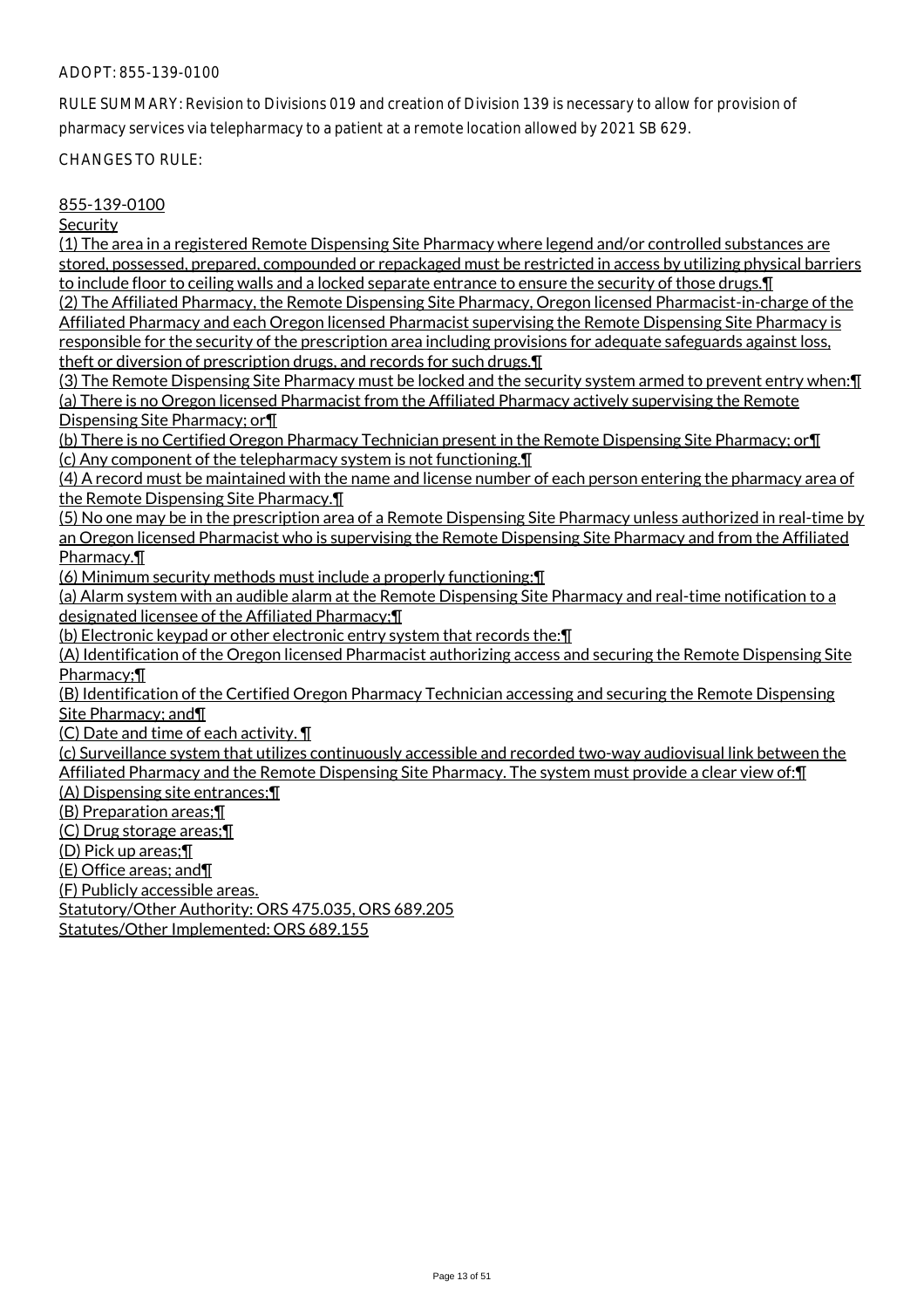RULE SUMMARY: Revision to Divisions 019 and creation of Division 139 is necessary to allow for provision of pharmacy services via telepharmacy to a patient at a remote location allowed by 2021 SB 629.

CHANGES TO RULE:

## 855-139-0100

**Security** 

(1) The area in a registered Remote Dispensing Site Pharmacy where legend and/or controlled substances are stored, possessed, prepared, compounded or repackaged must be restricted in access by utilizing physical barriers to include floor to ceiling walls and a locked separate entrance to ensure the security of those drugs.¶ (2) The Affiliated Pharmacy, the Remote Dispensing Site Pharmacy, Oregon licensed Pharmacist-in-charge of the

Affiliated Pharmacy and each Oregon licensed Pharmacist supervising the Remote Dispensing Site Pharmacy is responsible for the security of the prescription area including provisions for adequate safeguards against loss, theft or diversion of prescription drugs, and records for such drugs.¶

(3) The Remote Dispensing Site Pharmacy must be locked and the security system armed to prevent entry when:¶ (a) There is no Oregon licensed Pharmacist from the Affiliated Pharmacy actively supervising the Remote Dispensing Site Pharmacy; or¶

(b) There is no Certified Oregon Pharmacy Technician present in the Remote Dispensing Site Pharmacy; or¶ (c) Any component of the telepharmacy system is not functioning.¶

(4) A record must be maintained with the name and license number of each person entering the pharmacy area of the Remote Dispensing Site Pharmacy.¶

(5) No one may be in the prescription area of a Remote Dispensing Site Pharmacy unless authorized in real-time by an Oregon licensed Pharmacist who is supervising the Remote Dispensing Site Pharmacy and from the Affiliated Pharmacy.¶

(6) Minimum security methods must include a properly functioning:¶

(a) Alarm system with an audible alarm at the Remote Dispensing Site Pharmacy and real-time notification to a designated licensee of the Affiliated Pharmacy;¶

(b) Electronic keypad or other electronic entry system that records the:¶

(A) Identification of the Oregon licensed Pharmacist authorizing access and securing the Remote Dispensing Site Pharmacy;¶

(B) Identification of the Certified Oregon Pharmacy Technician accessing and securing the Remote Dispensing Site Pharmacy; and¶

(C) Date and time of each activity. ¶

(c) Surveillance system that utilizes continuously accessible and recorded two-way audiovisual link between the Affiliated Pharmacy and the Remote Dispensing Site Pharmacy. The system must provide a clear view of: [1] (A) Dispensing site entrances;¶

(B) Preparation areas;¶

(C) Drug storage areas;¶

(D) Pick up areas;¶

(E) Office areas; and¶

(F) Publicly accessible areas.

Statutory/Other Authority: ORS 475.035, ORS 689.205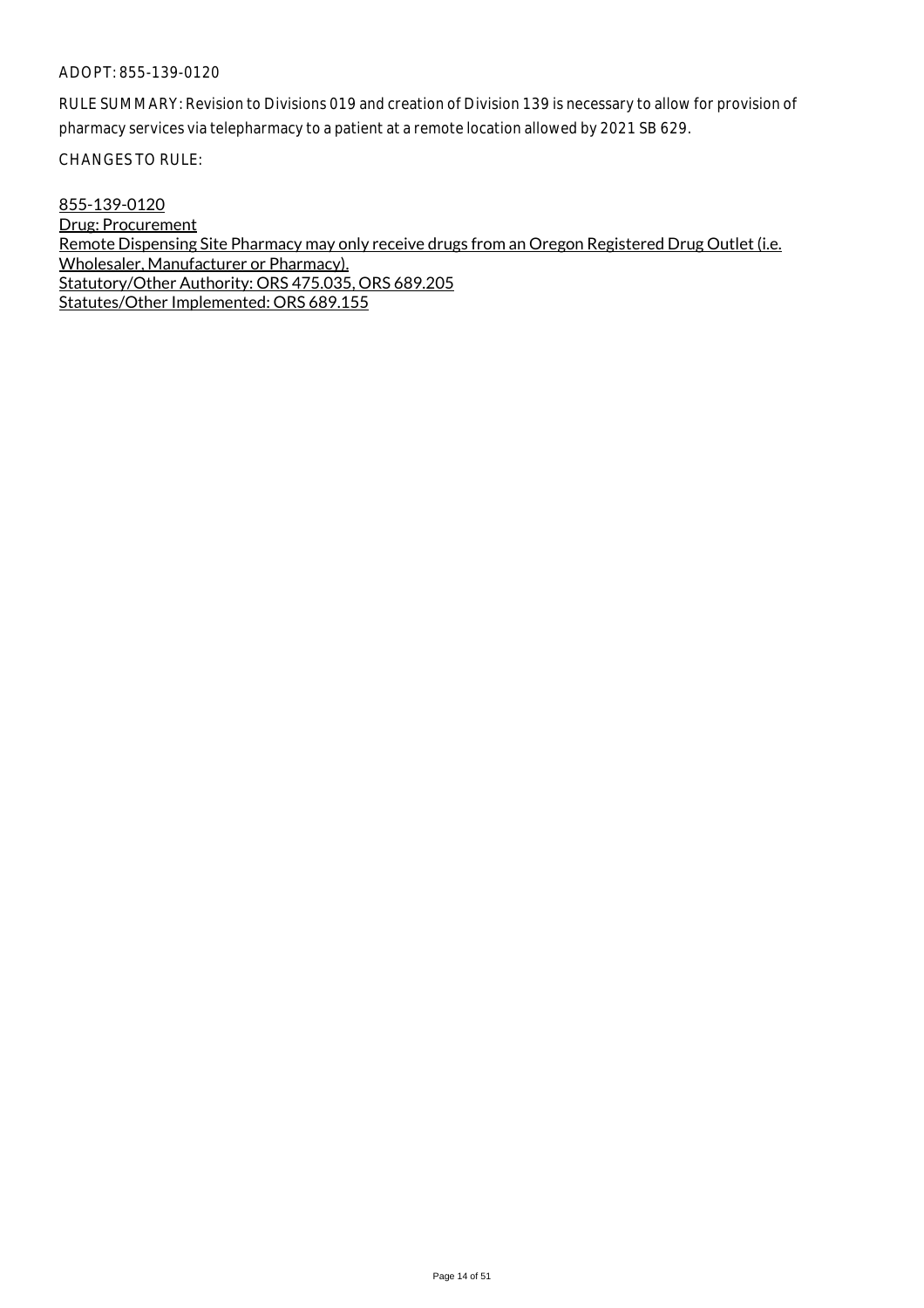RULE SUMMARY: Revision to Divisions 019 and creation of Division 139 is necessary to allow for provision of pharmacy services via telepharmacy to a patient at a remote location allowed by 2021 SB 629.

CHANGES TO RULE:

855-139-0120 Drug: Procurement Remote Dispensing Site Pharmacy may only receive drugs from an Oregon Registered Drug Outlet (i.e. Wholesaler, Manufacturer or Pharmacy). Statutory/Other Authority: ORS 475.035, ORS 689.205 Statutes/Other Implemented: ORS 689.155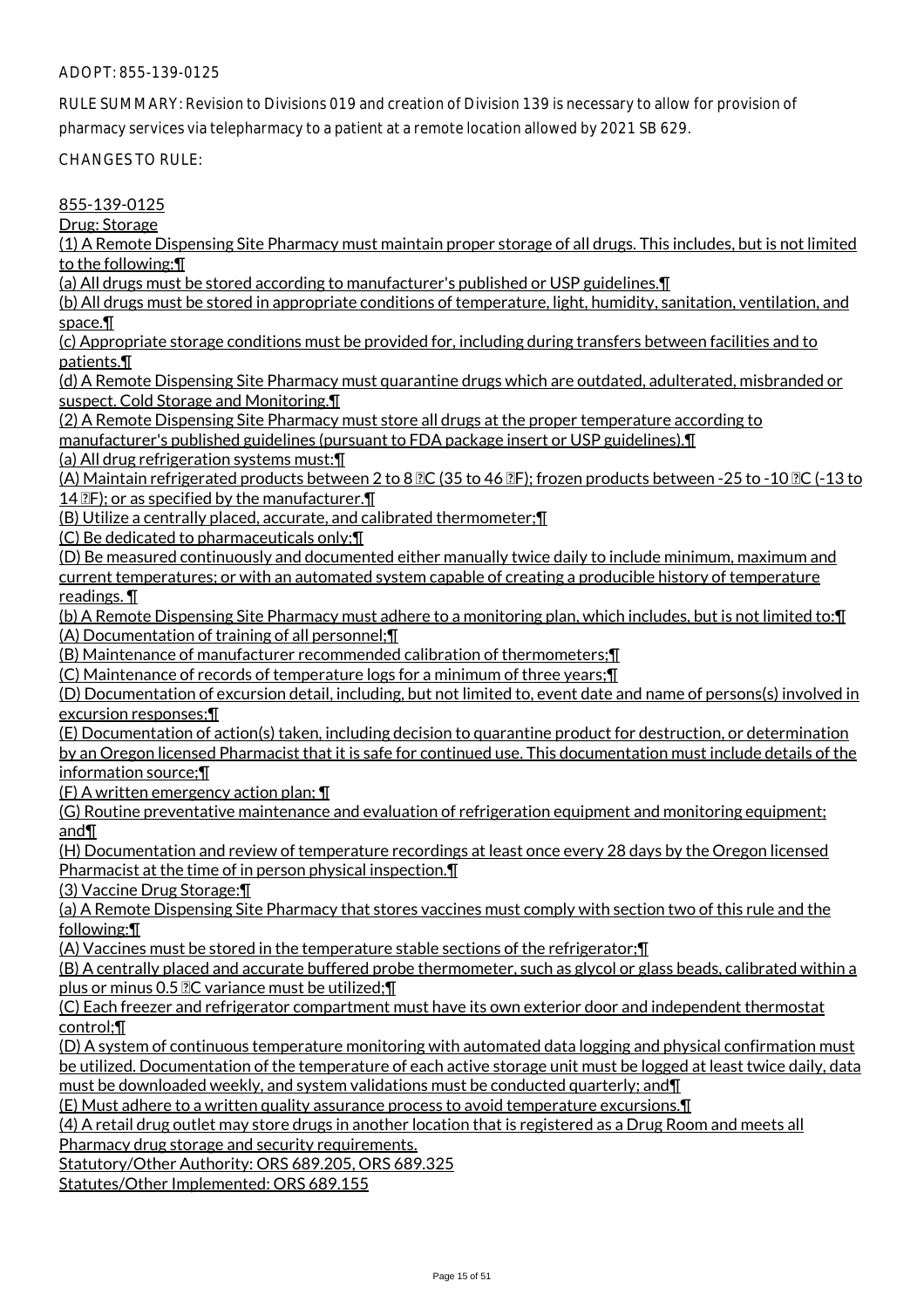RULE SUMMARY: Revision to Divisions 019 and creation of Division 139 is necessary to allow for provision of pharmacy services via telepharmacy to a patient at a remote location allowed by 2021 SB 629.

CHANGES TO RULE:

855-139-0125

Drug: Storage

(1) A Remote Dispensing Site Pharmacy must maintain proper storage of all drugs. This includes, but is not limited to the following:¶

(a) All drugs must be stored according to manufacturer's published or USP guidelines.¶

(b) All drugs must be stored in appropriate conditions of temperature, light, humidity, sanitation, ventilation, and space.¶

(c) Appropriate storage conditions must be provided for, including during transfers between facilities and to patients.¶

(d) A Remote Dispensing Site Pharmacy must quarantine drugs which are outdated, adulterated, misbranded or suspect. Cold Storage and Monitoring.¶

(2) A Remote Dispensing Site Pharmacy must store all drugs at the proper temperature according to manufacturer's published guidelines (pursuant to FDA package insert or USP guidelines).¶

(a) All drug refrigeration systems must:¶

(A) Maintain refrigerated products between 2 to 8  $\mathbb{C}$  (35 to 46  $\mathbb{C}$ F); frozen products between -25 to -10  $\mathbb{C}$  (-13 to 14  $\mathbb{P}$ F); or as specified by the manufacturer. $\P$ 

(B) Utilize a centrally placed, accurate, and calibrated thermometer;¶

(C) Be dedicated to pharmaceuticals only;¶

(D) Be measured continuously and documented either manually twice daily to include minimum, maximum and current temperatures; or with an automated system capable of creating a producible history of temperature readings. ¶

(b) A Remote Dispensing Site Pharmacy must adhere to a monitoring plan, which includes, but is not limited to:¶ (A) Documentation of training of all personnel;¶

(B) Maintenance of manufacturer recommended calibration of thermometers;¶

(C) Maintenance of records of temperature logs for a minimum of three years;¶

(D) Documentation of excursion detail, including, but not limited to, event date and name of persons(s) involved in excursion responses;¶

(E) Documentation of action(s) taken, including decision to quarantine product for destruction, or determination by an Oregon licensed Pharmacist that it is safe for continued use. This documentation must include details of the information source;¶

(F) A written emergency action plan;  $\P$ 

(G) Routine preventative maintenance and evaluation of refrigeration equipment and monitoring equipment; and¶

(H) Documentation and review of temperature recordings at least once every 28 days by the Oregon licensed Pharmacist at the time of in person physical inspection.¶

(3) Vaccine Drug Storage:¶

(a) A Remote Dispensing Site Pharmacy that stores vaccines must comply with section two of this rule and the following:¶

(A) Vaccines must be stored in the temperature stable sections of the refrigerator;¶

(B) A centrally placed and accurate buffered probe thermometer, such as glycol or glass beads, calibrated within a plus or minus 0.5  $2C$  variance must be utilized;  $\P$ 

(C) Each freezer and refrigerator compartment must have its own exterior door and independent thermostat control;¶

(D) A system of continuous temperature monitoring with automated data logging and physical confirmation must be utilized. Documentation of the temperature of each active storage unit must be logged at least twice daily, data must be downloaded weekly, and system validations must be conducted quarterly; and¶

(E) Must adhere to a written quality assurance process to avoid temperature excursions.¶

(4) A retail drug outlet may store drugs in another location that is registered as a Drug Room and meets all

Pharmacy drug storage and security requirements.

Statutory/Other Authority: ORS 689.205, ORS 689.325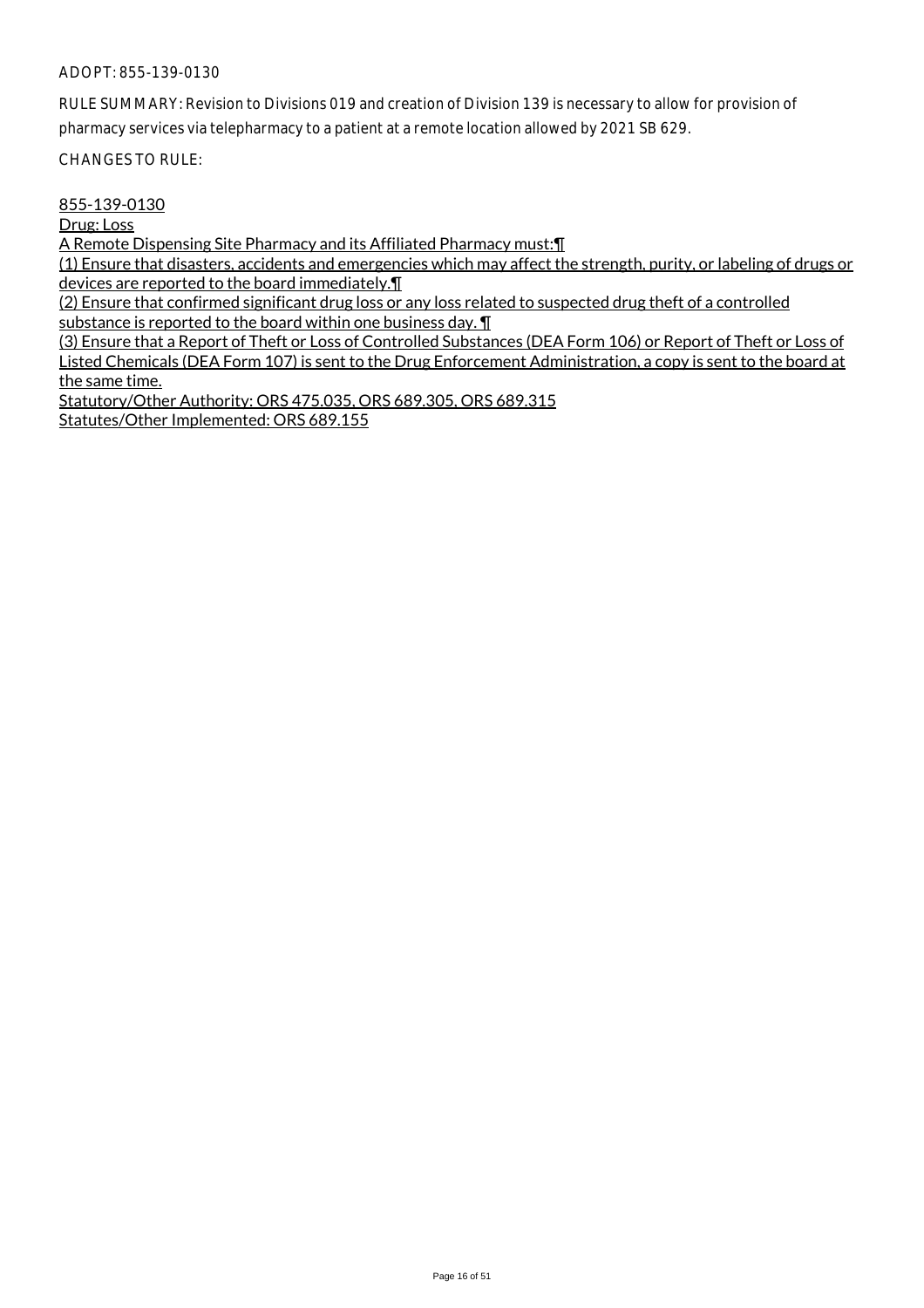RULE SUMMARY: Revision to Divisions 019 and creation of Division 139 is necessary to allow for provision of pharmacy services via telepharmacy to a patient at a remote location allowed by 2021 SB 629.

CHANGES TO RULE:

855-139-0130

Drug: Loss

A Remote Dispensing Site Pharmacy and its Affiliated Pharmacy must:¶

(1) Ensure that disasters, accidents and emergencies which may affect the strength, purity, or labeling of drugs or devices are reported to the board immediately.¶

(2) Ensure that confirmed significant drug loss or any loss related to suspected drug theft of a controlled substance is reported to the board within one business day. ¶

(3) Ensure that a Report of Theft or Loss of Controlled Substances (DEA Form 106) or Report of Theft or Loss of Listed Chemicals (DEA Form 107) is sent to the Drug Enforcement Administration, a copy is sent to the board at the same time.

Statutory/Other Authority: ORS 475.035, ORS 689.305, ORS 689.315 Statutes/Other Implemented: ORS 689.155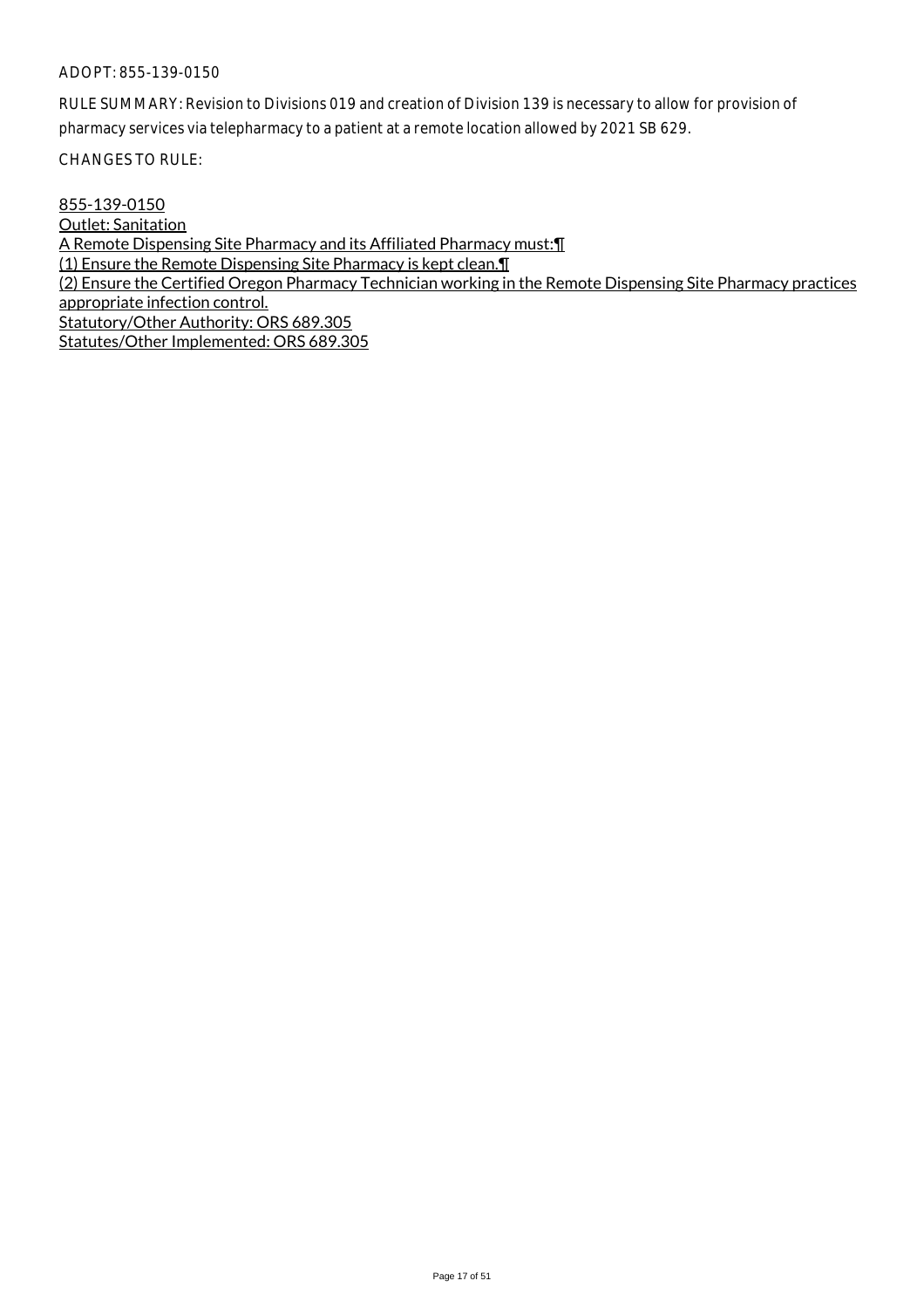RULE SUMMARY: Revision to Divisions 019 and creation of Division 139 is necessary to allow for provision of pharmacy services via telepharmacy to a patient at a remote location allowed by 2021 SB 629.

CHANGES TO RULE:

855-139-0150 Outlet: Sanitation A Remote Dispensing Site Pharmacy and its Affiliated Pharmacy must:¶ (1) Ensure the Remote Dispensing Site Pharmacy is kept clean.¶ (2) Ensure the Certified Oregon Pharmacy Technician working in the Remote Dispensing Site Pharmacy practices appropriate infection control. Statutory/Other Authority: ORS 689.305 Statutes/Other Implemented: ORS 689.305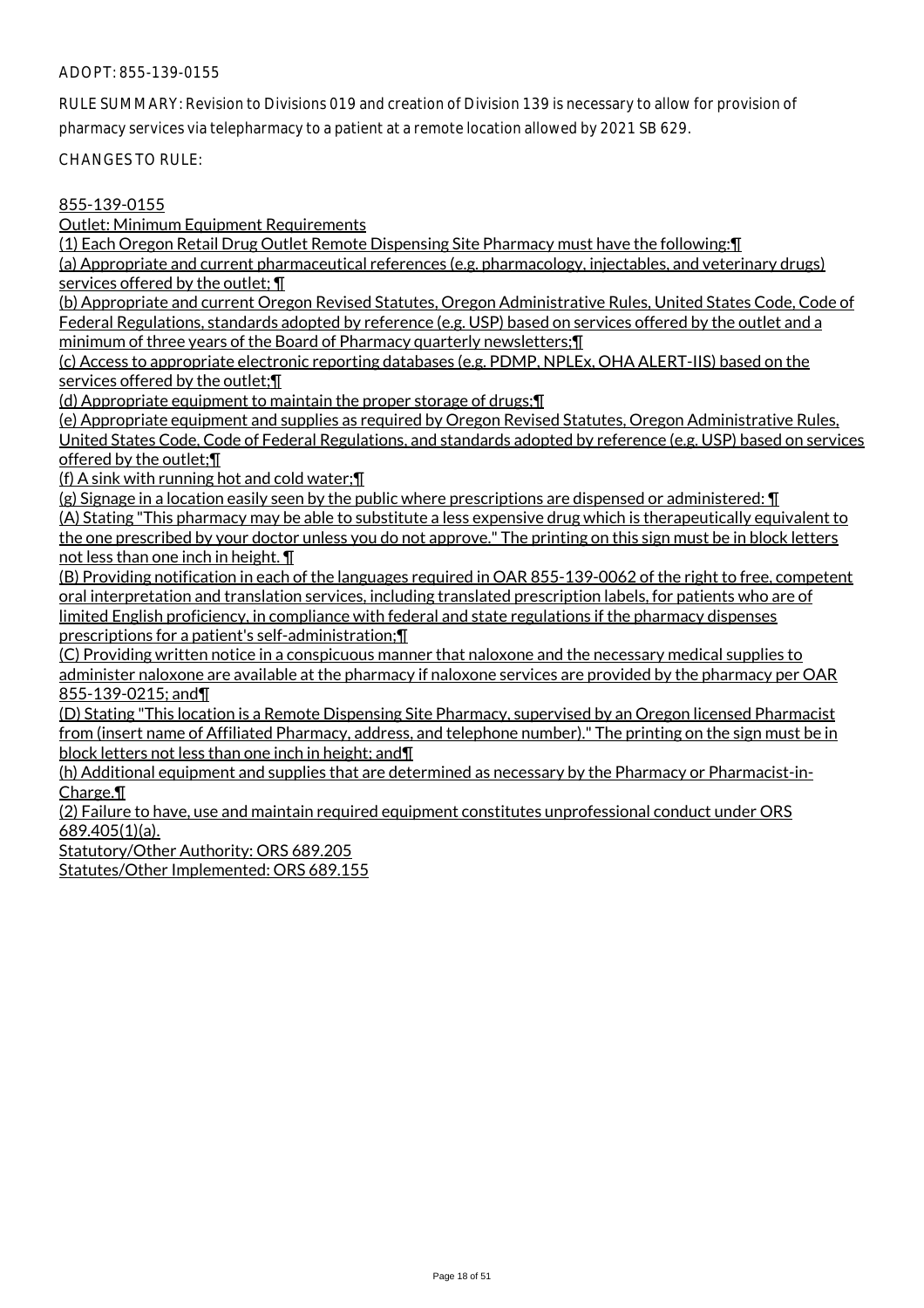RULE SUMMARY: Revision to Divisions 019 and creation of Division 139 is necessary to allow for provision of pharmacy services via telepharmacy to a patient at a remote location allowed by 2021 SB 629.

CHANGES TO RULE:

## 855-139-0155

Outlet: Minimum Equipment Requirements

(1) Each Oregon Retail Drug Outlet Remote Dispensing Site Pharmacy must have the following:¶ (a) Appropriate and current pharmaceutical references (e.g. pharmacology, injectables, and veterinary drugs) services offered by the outlet; ¶

(b) Appropriate and current Oregon Revised Statutes, Oregon Administrative Rules, United States Code, Code of Federal Regulations, standards adopted by reference (e.g. USP) based on services offered by the outlet and a minimum of three years of the Board of Pharmacy quarterly newsletters;¶

(c) Access to appropriate electronic reporting databases (e.g. PDMP, NPLEx, OHA ALERT-IIS) based on the services offered by the outlet; [

(d) Appropriate equipment to maintain the proper storage of drugs;¶

(e) Appropriate equipment and supplies as required by Oregon Revised Statutes, Oregon Administrative Rules, United States Code, Code of Federal Regulations, and standards adopted by reference (e.g. USP) based on services offered by the outlet;¶

(f) A sink with running hot and cold water;¶

(g) Signage in a location easily seen by the public where prescriptions are dispensed or administered: ¶

(A) Stating "This pharmacy may be able to substitute a less expensive drug which is therapeutically equivalent to the one prescribed by your doctor unless you do not approve." The printing on this sign must be in block letters not less than one inch in height. ¶

(B) Providing notification in each of the languages required in OAR 855-139-0062 of the right to free, competent oral interpretation and translation services, including translated prescription labels, for patients who are of limited English proficiency, in compliance with federal and state regulations if the pharmacy dispenses prescriptions for a patient's self-administration;¶

(C) Providing written notice in a conspicuous manner that naloxone and the necessary medical supplies to administer naloxone are available at the pharmacy if naloxone services are provided by the pharmacy per OAR 855-139-0215; and¶

(D) Stating "This location is a Remote Dispensing Site Pharmacy, supervised by an Oregon licensed Pharmacist from (insert name of Affiliated Pharmacy, address, and telephone number)." The printing on the sign must be in block letters not less than one inch in height; and¶

(h) Additional equipment and supplies that are determined as necessary by the Pharmacy or Pharmacist-in-Charge.<sup>¶</sup>

(2) Failure to have, use and maintain required equipment constitutes unprofessional conduct under ORS 689.405(1)(a).

Statutory/Other Authority: ORS 689.205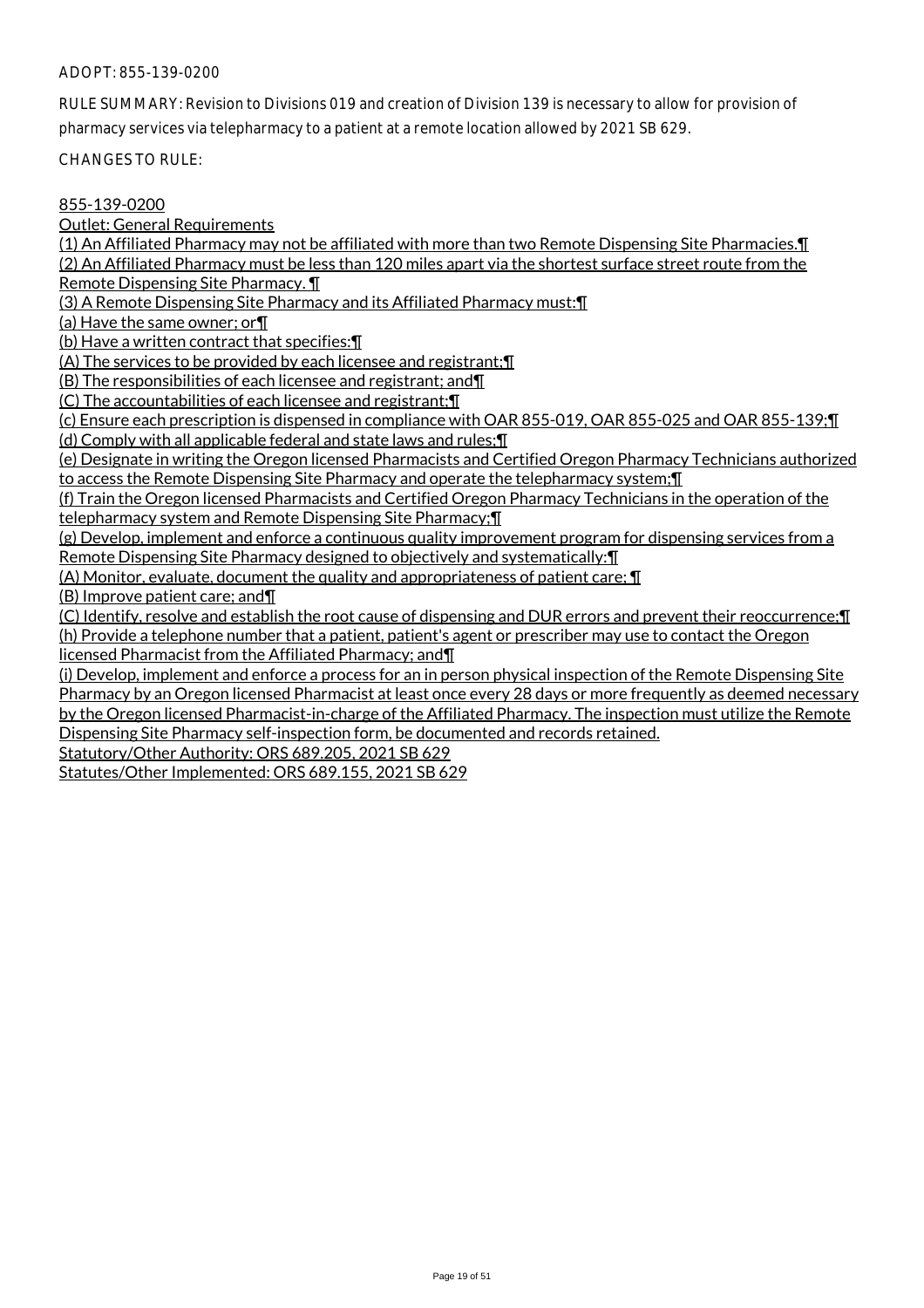RULE SUMMARY: Revision to Divisions 019 and creation of Division 139 is necessary to allow for provision of pharmacy services via telepharmacy to a patient at a remote location allowed by 2021 SB 629.

CHANGES TO RULE:

#### 855-139-0200

Outlet: General Requirements

(1) An Affiliated Pharmacy may not be affiliated with more than two Remote Dispensing Site Pharmacies.¶ (2) An Affiliated Pharmacy must be less than 120 miles apart via the shortest surface street route from the Remote Dispensing Site Pharmacy. ¶

(3) A Remote Dispensing Site Pharmacy and its Affiliated Pharmacy must:¶

(a) Have the same owner; or¶

(b) Have a written contract that specifies:¶

(A) The services to be provided by each licensee and registrant;¶

(B) The responsibilities of each licensee and registrant; and¶

(C) The accountabilities of each licensee and registrant;¶

(c) Ensure each prescription is dispensed in compliance with OAR 855-019, OAR 855-025 and OAR 855-139;¶ (d) Comply with all applicable federal and state laws and rules;¶

(e) Designate in writing the Oregon licensed Pharmacists and Certified Oregon Pharmacy Technicians authorized to access the Remote Dispensing Site Pharmacy and operate the telepharmacy system;¶

(f) Train the Oregon licensed Pharmacists and Certified Oregon Pharmacy Technicians in the operation of the telepharmacy system and Remote Dispensing Site Pharmacy;¶

(g) Develop, implement and enforce a continuous quality improvement program for dispensing services from a Remote Dispensing Site Pharmacy designed to objectively and systematically:¶

(A) Monitor, evaluate, document the quality and appropriateness of patient care; ¶

(B) Improve patient care; and¶

(C) Identify, resolve and establish the root cause of dispensing and DUR errors and prevent their reoccurrence;¶ (h) Provide a telephone number that a patient, patient's agent or prescriber may use to contact the Oregon licensed Pharmacist from the Affiliated Pharmacy; and¶

(i) Develop, implement and enforce a process for an in person physical inspection of the Remote Dispensing Site Pharmacy by an Oregon licensed Pharmacist at least once every 28 days or more frequently as deemed necessary by the Oregon licensed Pharmacist-in-charge of the Affiliated Pharmacy. The inspection must utilize the Remote Dispensing Site Pharmacy self-inspection form, be documented and records retained.

Statutory/Other Authority: ORS 689.205, 2021 SB 629

Statutes/Other Implemented: ORS 689.155, 2021 SB 629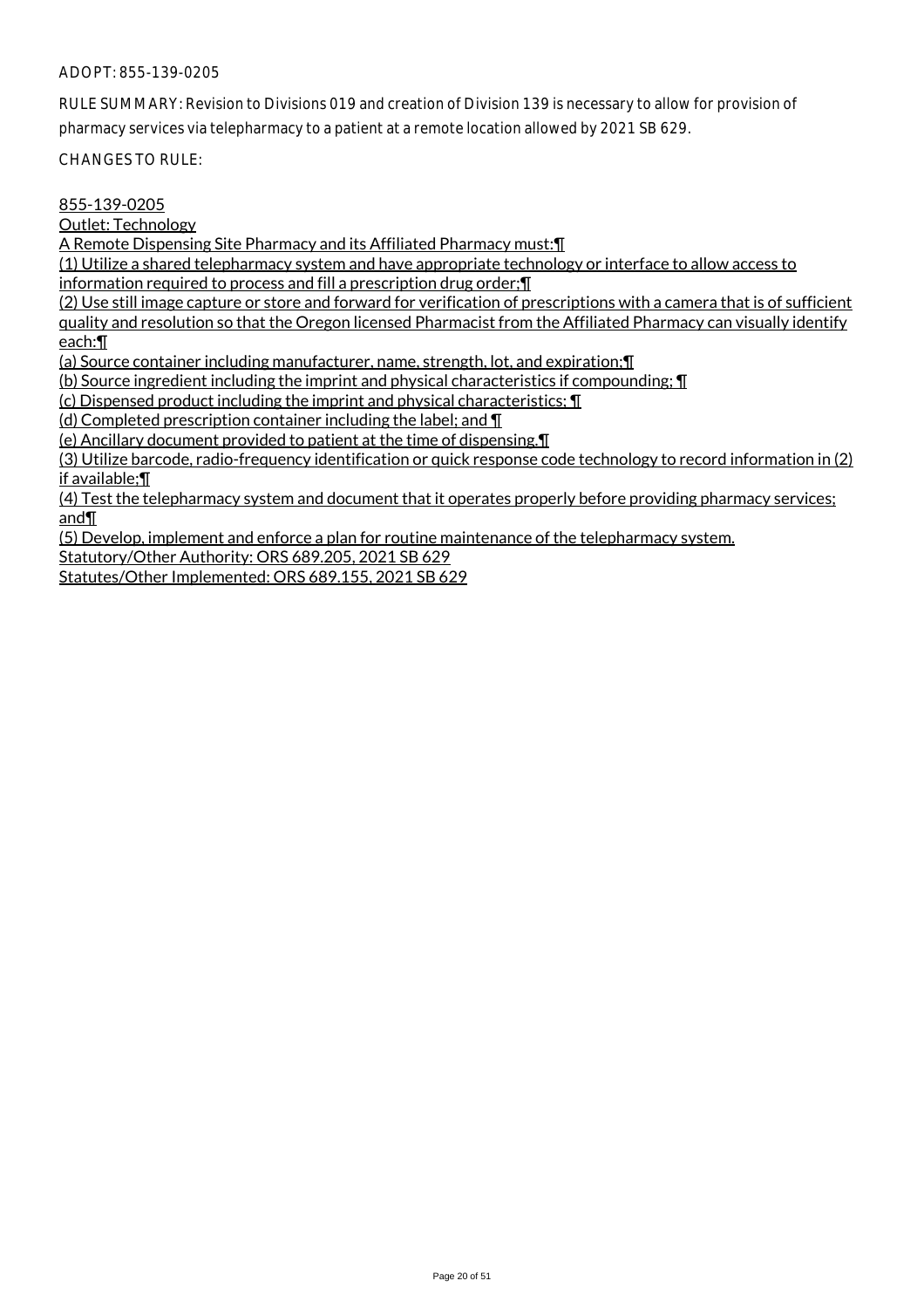RULE SUMMARY: Revision to Divisions 019 and creation of Division 139 is necessary to allow for provision of pharmacy services via telepharmacy to a patient at a remote location allowed by 2021 SB 629.

CHANGES TO RULE:

855-139-0205

Outlet: Technology

A Remote Dispensing Site Pharmacy and its Affiliated Pharmacy must:¶

(1) Utilize a shared telepharmacy system and have appropriate technology or interface to allow access to information required to process and fill a prescription drug order;¶

(2) Use still image capture or store and forward for verification of prescriptions with a camera that is of sufficient quality and resolution so that the Oregon licensed Pharmacist from the Affiliated Pharmacy can visually identify each:¶

(a) Source container including manufacturer, name, strength, lot, and expiration;¶

(b) Source ingredient including the imprint and physical characteristics if compounding; ¶

(c) Dispensed product including the imprint and physical characteristics; ¶

(d) Completed prescription container including the label; and ¶

(e) Ancillary document provided to patient at the time of dispensing.¶

(3) Utilize barcode, radio-frequency identification or quick response code technology to record information in (2) if available;¶

(4) Test the telepharmacy system and document that it operates properly before providing pharmacy services; and¶

(5) Develop, implement and enforce a plan for routine maintenance of the telepharmacy system. Statutory/Other Authority: ORS 689.205, 2021 SB 629

Statutes/Other Implemented: ORS 689.155, 2021 SB 629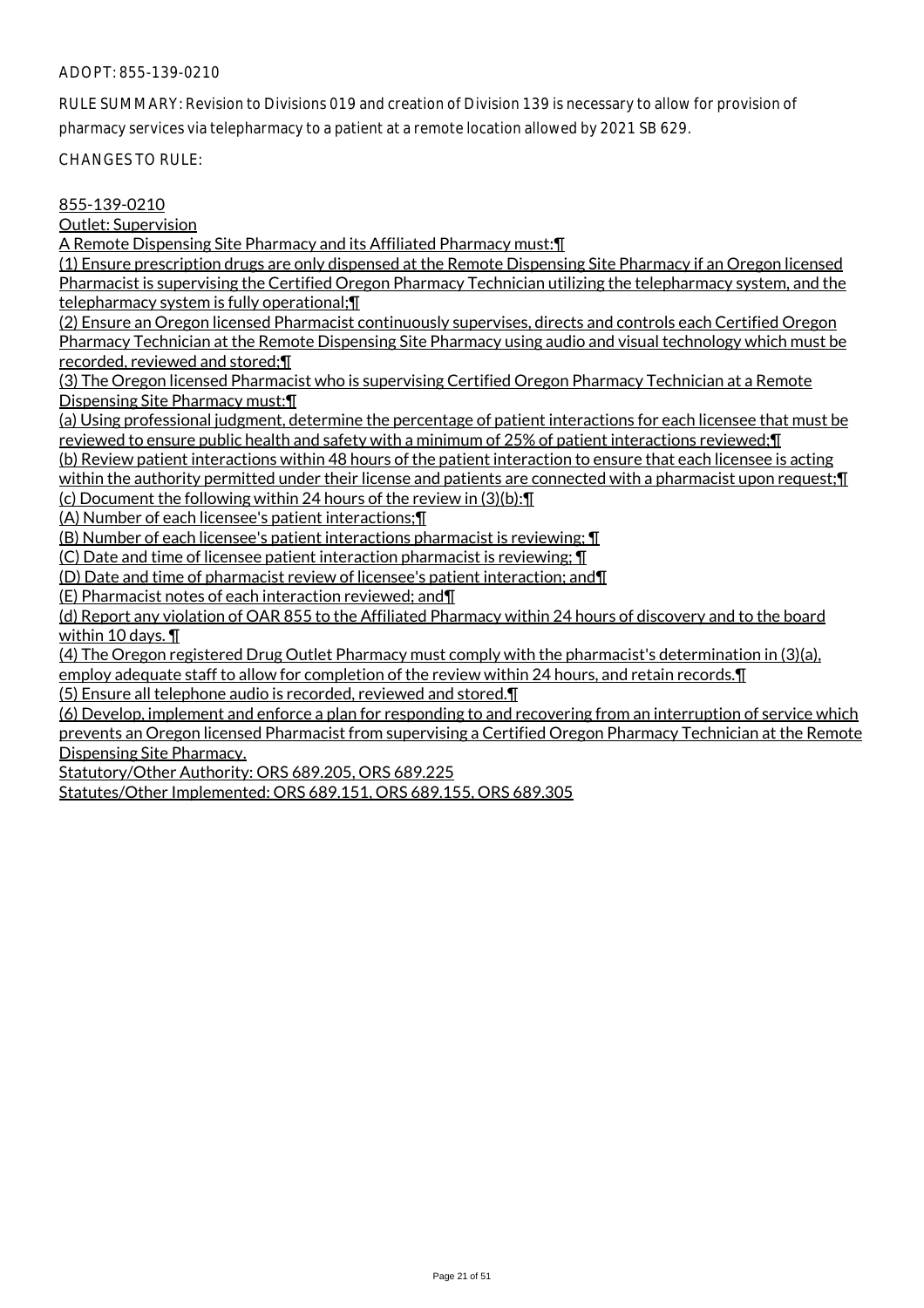RULE SUMMARY: Revision to Divisions 019 and creation of Division 139 is necessary to allow for provision of pharmacy services via telepharmacy to a patient at a remote location allowed by 2021 SB 629.

CHANGES TO RULE:

## 855-139-0210

Outlet: Supervision

A Remote Dispensing Site Pharmacy and its Affiliated Pharmacy must:¶

(1) Ensure prescription drugs are only dispensed at the Remote Dispensing Site Pharmacy if an Oregon licensed Pharmacist is supervising the Certified Oregon Pharmacy Technician utilizing the telepharmacy system, and the telepharmacy system is fully operational;¶

(2) Ensure an Oregon licensed Pharmacist continuously supervises, directs and controls each Certified Oregon Pharmacy Technician at the Remote Dispensing Site Pharmacy using audio and visual technology which must be recorded, reviewed and stored;¶

(3) The Oregon licensed Pharmacist who is supervising Certified Oregon Pharmacy Technician at a Remote Dispensing Site Pharmacy must:¶

(a) Using professional judgment, determine the percentage of patient interactions for each licensee that must be reviewed to ensure public health and safety with a minimum of 25% of patient interactions reviewed;¶

(b) Review patient interactions within 48 hours of the patient interaction to ensure that each licensee is acting within the authority permitted under their license and patients are connected with a pharmacist upon request; [1] (c) Document the following within 24 hours of the review in (3)(b):¶

(A) Number of each licensee's patient interactions;¶

(B) Number of each licensee's patient interactions pharmacist is reviewing; ¶

(C) Date and time of licensee patient interaction pharmacist is reviewing; ¶

(D) Date and time of pharmacist review of licensee's patient interaction; and¶

(E) Pharmacist notes of each interaction reviewed; and¶

(d) Report any violation of OAR 855 to the Affiliated Pharmacy within 24 hours of discovery and to the board within 10 days. ¶

(4) The Oregon registered Drug Outlet Pharmacy must comply with the pharmacist's determination in (3)(a), employ adequate staff to allow for completion of the review within 24 hours, and retain records.¶

(5) Ensure all telephone audio is recorded, reviewed and stored.¶

(6) Develop, implement and enforce a plan for responding to and recovering from an interruption of service which prevents an Oregon licensed Pharmacist from supervising a Certified Oregon Pharmacy Technician at the Remote Dispensing Site Pharmacy.

Statutory/Other Authority: ORS 689.205, ORS 689.225

Statutes/Other Implemented: ORS 689.151, ORS 689.155, ORS 689.305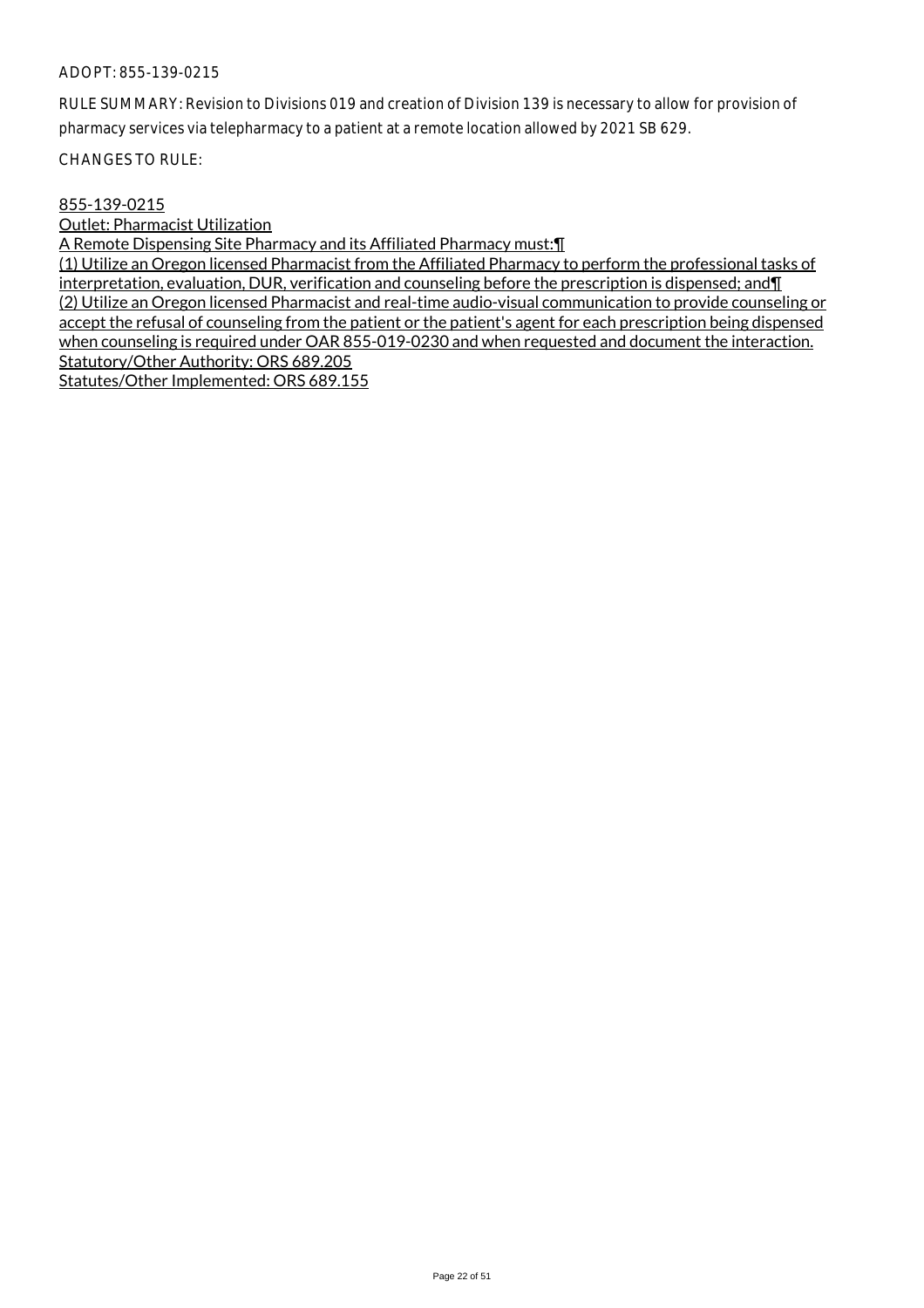RULE SUMMARY: Revision to Divisions 019 and creation of Division 139 is necessary to allow for provision of pharmacy services via telepharmacy to a patient at a remote location allowed by 2021 SB 629.

CHANGES TO RULE:

## 855-139-0215

Outlet: Pharmacist Utilization

A Remote Dispensing Site Pharmacy and its Affiliated Pharmacy must:¶

(1) Utilize an Oregon licensed Pharmacist from the Affiliated Pharmacy to perform the professional tasks of interpretation, evaluation, DUR, verification and counseling before the prescription is dispensed; and¶ (2) Utilize an Oregon licensed Pharmacist and real-time audio-visual communication to provide counseling or accept the refusal of counseling from the patient or the patient's agent for each prescription being dispensed when counseling is required under OAR 855-019-0230 and when requested and document the interaction. Statutory/Other Authority: ORS 689.205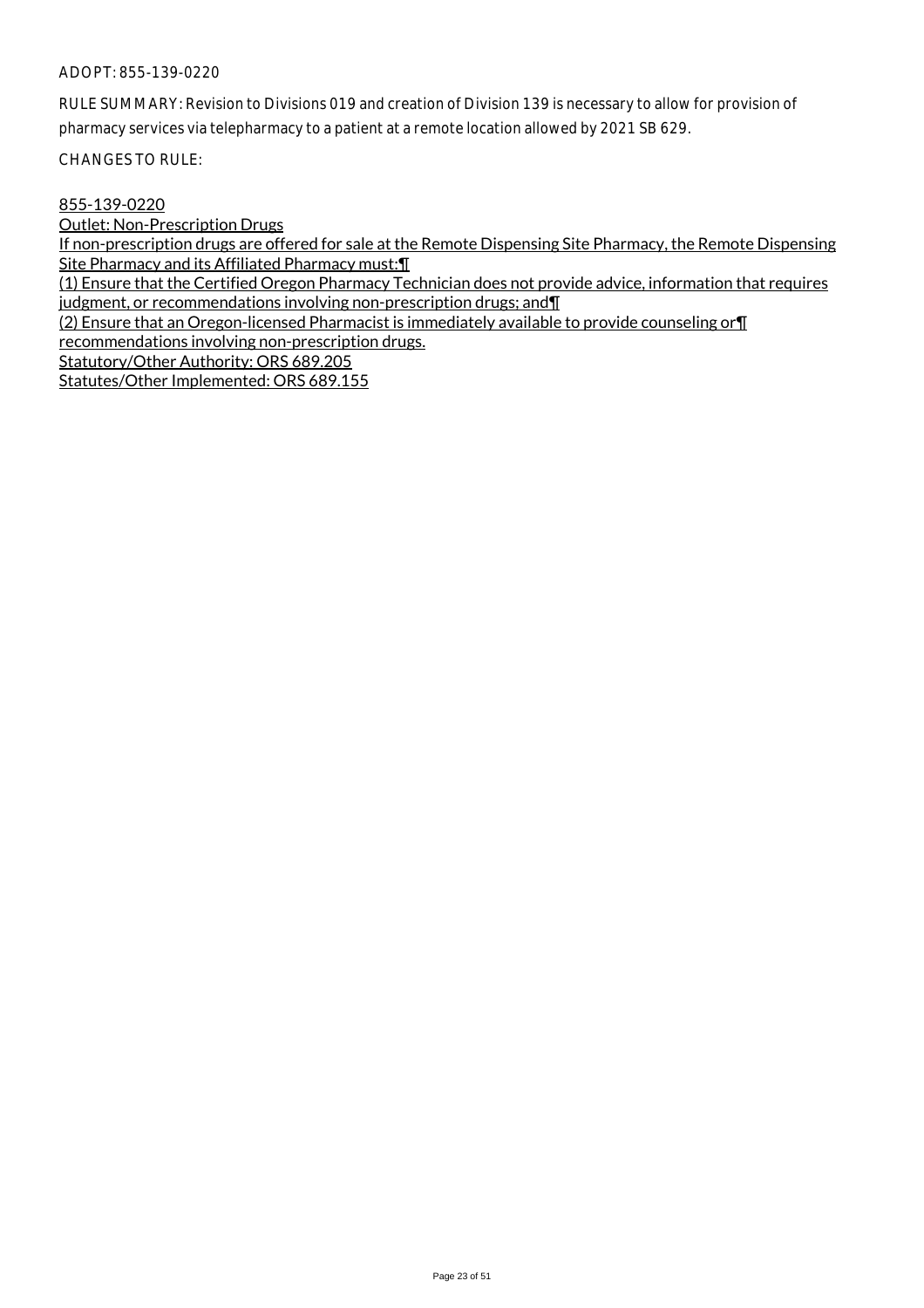RULE SUMMARY: Revision to Divisions 019 and creation of Division 139 is necessary to allow for provision of pharmacy services via telepharmacy to a patient at a remote location allowed by 2021 SB 629.

CHANGES TO RULE:

855-139-0220

Outlet: Non-Prescription Drugs If non-prescription drugs are offered for sale at the Remote Dispensing Site Pharmacy, the Remote Dispensing Site Pharmacy and its Affiliated Pharmacy must:¶

(1) Ensure that the Certified Oregon Pharmacy Technician does not provide advice, information that requires judgment, or recommendations involving non-prescription drugs; and¶

(2) Ensure that an Oregon-licensed Pharmacist is immediately available to provide counseling or¶ recommendations involving non-prescription drugs.

Statutory/Other Authority: ORS 689.205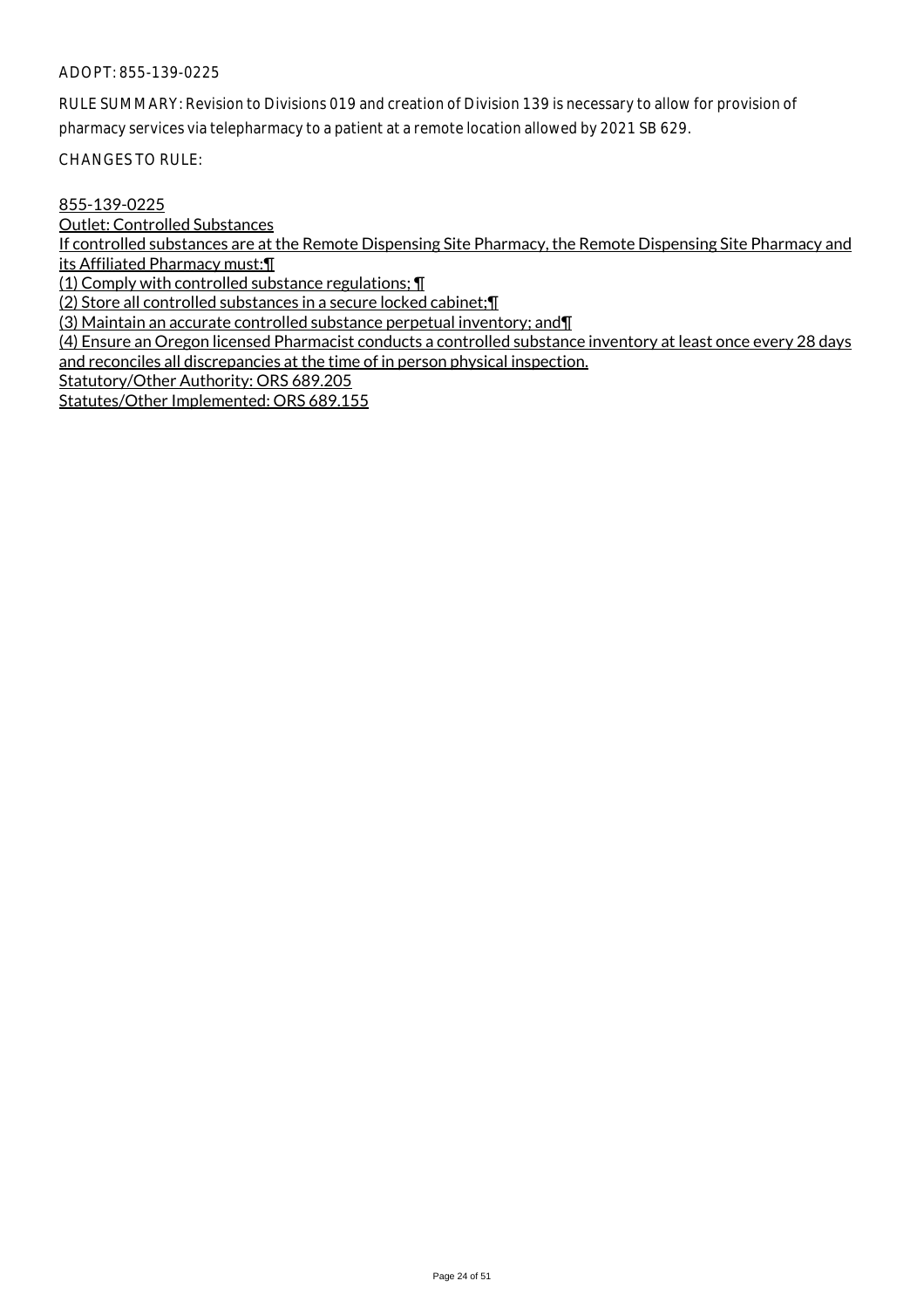RULE SUMMARY: Revision to Divisions 019 and creation of Division 139 is necessary to allow for provision of pharmacy services via telepharmacy to a patient at a remote location allowed by 2021 SB 629.

CHANGES TO RULE:

## 855-139-0225

Outlet: Controlled Substances

If controlled substances are at the Remote Dispensing Site Pharmacy, the Remote Dispensing Site Pharmacy and its Affiliated Pharmacy must:¶

(1) Comply with controlled substance regulations; ¶

(2) Store all controlled substances in a secure locked cabinet;¶

(3) Maintain an accurate controlled substance perpetual inventory; and¶

(4) Ensure an Oregon licensed Pharmacist conducts a controlled substance inventory at least once every 28 days and reconciles all discrepancies at the time of in person physical inspection.

Statutory/Other Authority: ORS 689.205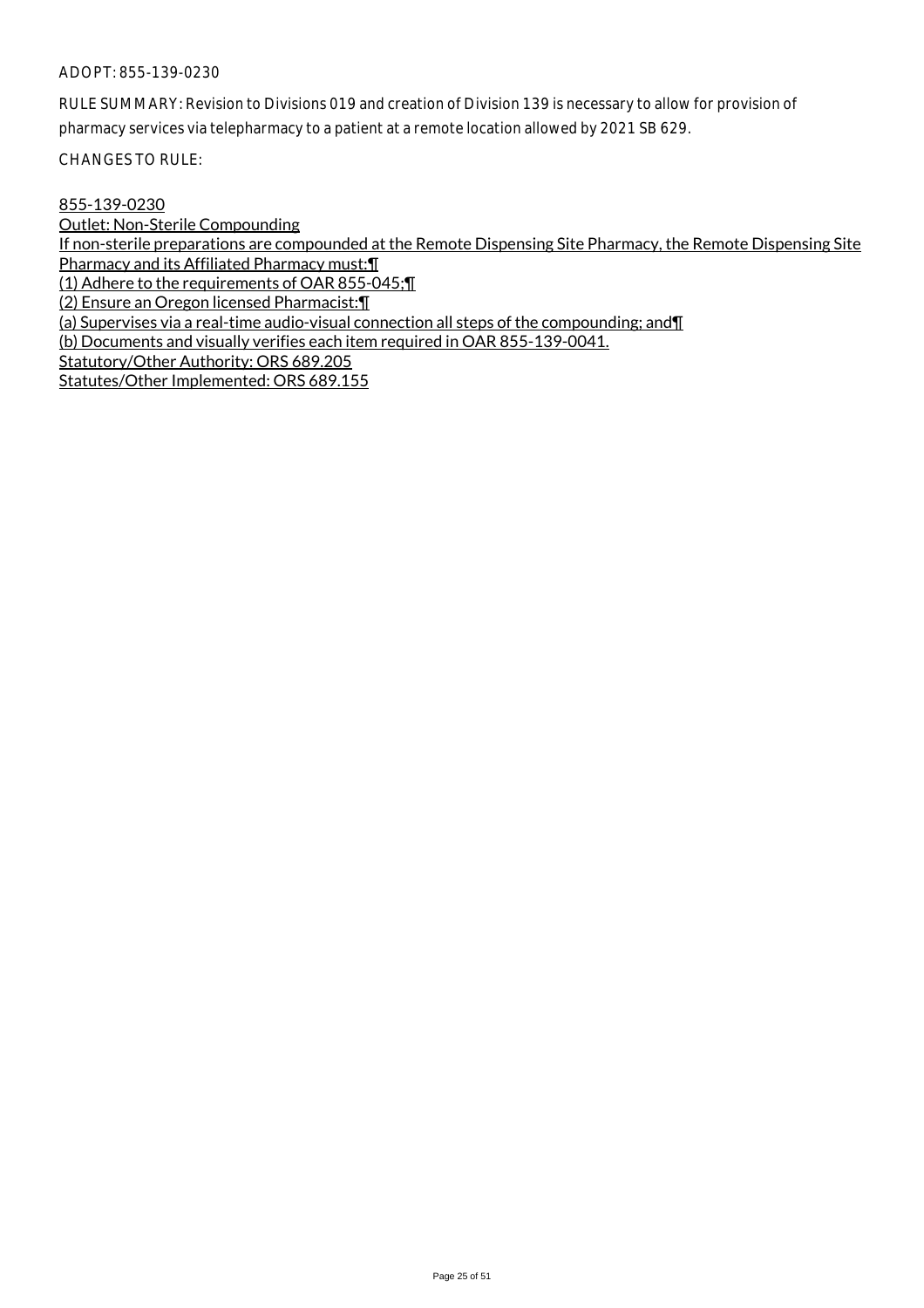RULE SUMMARY: Revision to Divisions 019 and creation of Division 139 is necessary to allow for provision of pharmacy services via telepharmacy to a patient at a remote location allowed by 2021 SB 629.

CHANGES TO RULE:

## 855-139-0230

Outlet: Non-Sterile Compounding If non-sterile preparations are compounded at the Remote Dispensing Site Pharmacy, the Remote Dispensing Site Pharmacy and its Affiliated Pharmacy must:¶ (1) Adhere to the requirements of OAR 855-045;¶ (2) Ensure an Oregon licensed Pharmacist:¶ (a) Supervises via a real-time audio-visual connection all steps of the compounding; and¶ (b) Documents and visually verifies each item required in OAR 855-139-0041. Statutory/Other Authority: ORS 689.205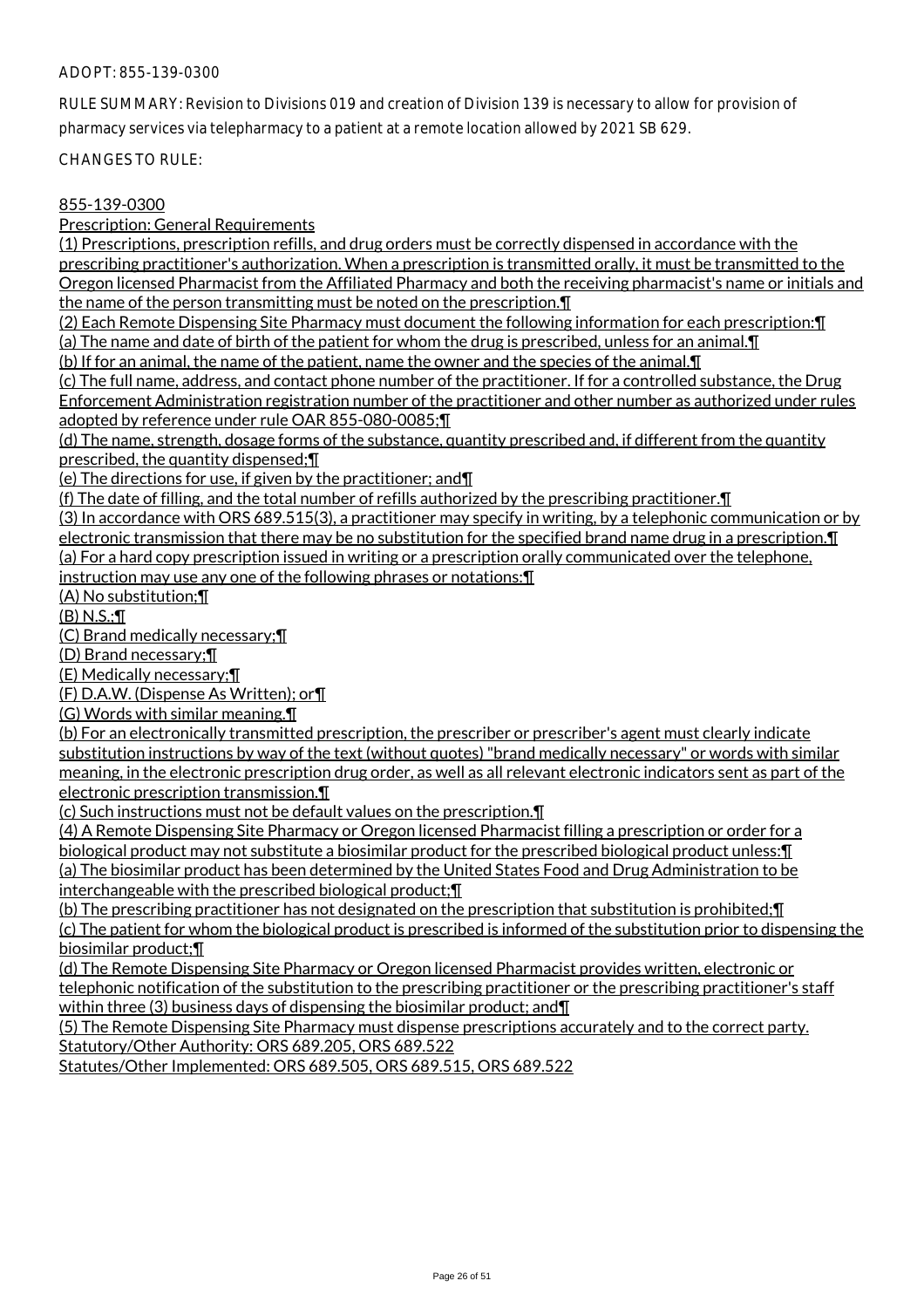RULE SUMMARY: Revision to Divisions 019 and creation of Division 139 is necessary to allow for provision of pharmacy services via telepharmacy to a patient at a remote location allowed by 2021 SB 629.

CHANGES TO RULE:

## 855-139-0300

Prescription: General Requirements

(1) Prescriptions, prescription refills, and drug orders must be correctly dispensed in accordance with the prescribing practitioner's authorization. When a prescription is transmitted orally, it must be transmitted to the Oregon licensed Pharmacist from the Affiliated Pharmacy and both the receiving pharmacist's name or initials and the name of the person transmitting must be noted on the prescription.¶

(2) Each Remote Dispensing Site Pharmacy must document the following information for each prescription:¶ (a) The name and date of birth of the patient for whom the drug is prescribed, unless for an animal.¶

(b) If for an animal, the name of the patient, name the owner and the species of the animal.¶

(c) The full name, address, and contact phone number of the practitioner. If for a controlled substance, the Drug Enforcement Administration registration number of the practitioner and other number as authorized under rules adopted by reference under rule OAR 855-080-0085;¶

(d) The name, strength, dosage forms of the substance, quantity prescribed and, if different from the quantity prescribed, the quantity dispensed;¶

(e) The directions for use, if given by the practitioner; and¶

(f) The date of filling, and the total number of refills authorized by the prescribing practitioner. $\P$ 

(3) In accordance with ORS 689.515(3), a practitioner may specify in writing, by a telephonic communication or by electronic transmission that there may be no substitution for the specified brand name drug in a prescription.¶ (a) For a hard copy prescription issued in writing or a prescription orally communicated over the telephone, instruction may use any one of the following phrases or notations:¶

(A) No substitution;¶

(B) N.S.;¶

(C) Brand medically necessary;¶

(D) Brand necessary;¶

(E) Medically necessary;¶

(F) D.A.W. (Dispense As Written); or¶

(G) Words with similar meaning.¶

(b) For an electronically transmitted prescription, the prescriber or prescriber's agent must clearly indicate substitution instructions by way of the text (without quotes) "brand medically necessary" or words with similar meaning, in the electronic prescription drug order, as well as all relevant electronic indicators sent as part of the electronic prescription transmission.¶

(c) Such instructions must not be default values on the prescription.¶

(4) A Remote Dispensing Site Pharmacy or Oregon licensed Pharmacist filling a prescription or order for a biological product may not substitute a biosimilar product for the prescribed biological product unless:¶ (a) The biosimilar product has been determined by the United States Food and Drug Administration to be interchangeable with the prescribed biological product;¶

(b) The prescribing practitioner has not designated on the prescription that substitution is prohibited;¶

(c) The patient for whom the biological product is prescribed is informed of the substitution prior to dispensing the biosimilar product;¶

(d) The Remote Dispensing Site Pharmacy or Oregon licensed Pharmacist provides written, electronic or telephonic notification of the substitution to the prescribing practitioner or the prescribing practitioner's staff within three (3) business days of dispensing the biosimilar product; and  $\P$ 

(5) The Remote Dispensing Site Pharmacy must dispense prescriptions accurately and to the correct party. Statutory/Other Authority: ORS 689.205, ORS 689.522

Statutes/Other Implemented: ORS 689.505, ORS 689.515, ORS 689.522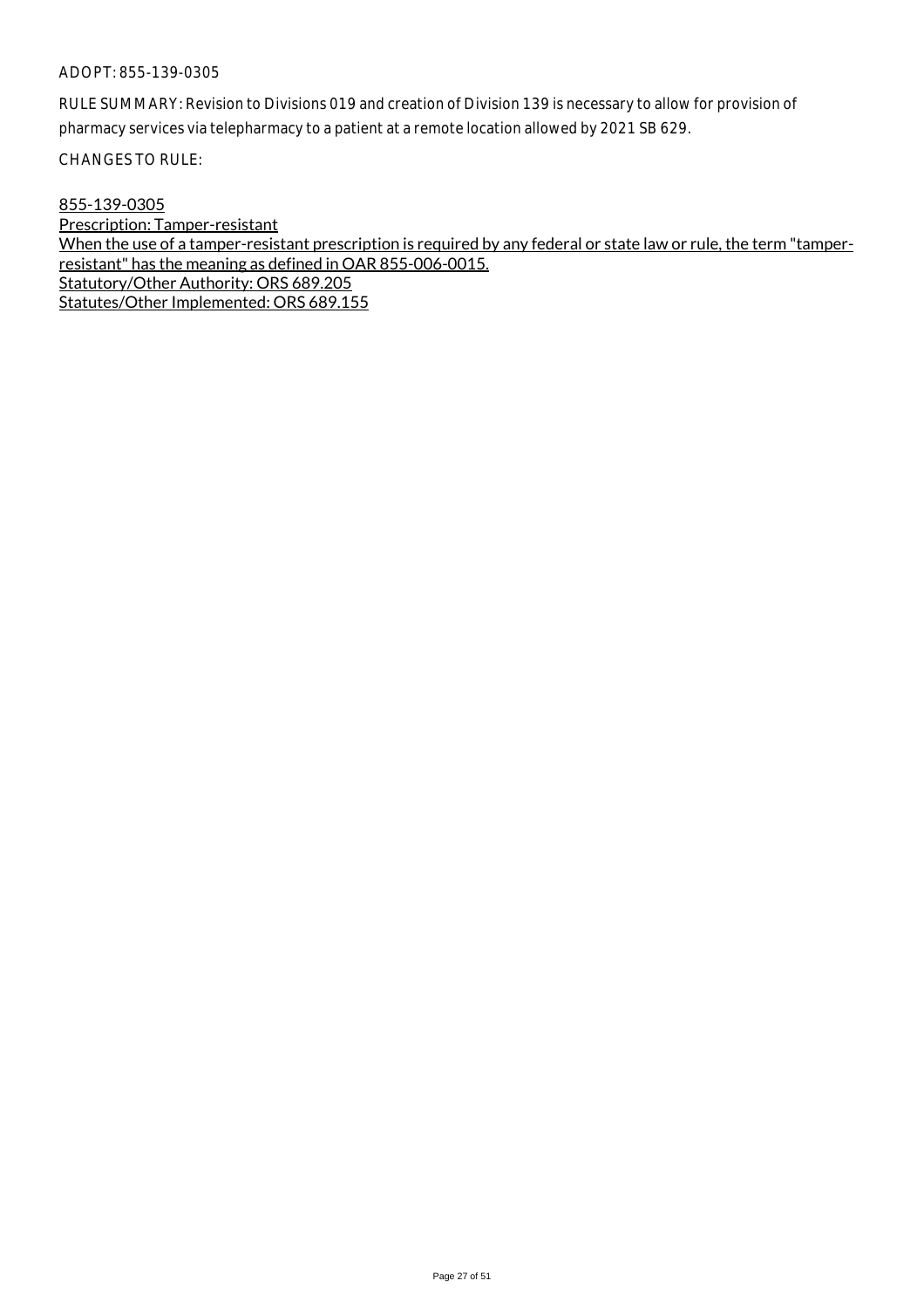RULE SUMMARY: Revision to Divisions 019 and creation of Division 139 is necessary to allow for provision of pharmacy services via telepharmacy to a patient at a remote location allowed by 2021 SB 629.

CHANGES TO RULE:

855-139-0305

Prescription: Tamper-resistant When the use of a tamper-resistant prescription is required by any federal or state law or rule, the term "tamperresistant" has the meaning as defined in OAR 855-006-0015. Statutory/Other Authority: ORS 689.205 Statutes/Other Implemented: ORS 689.155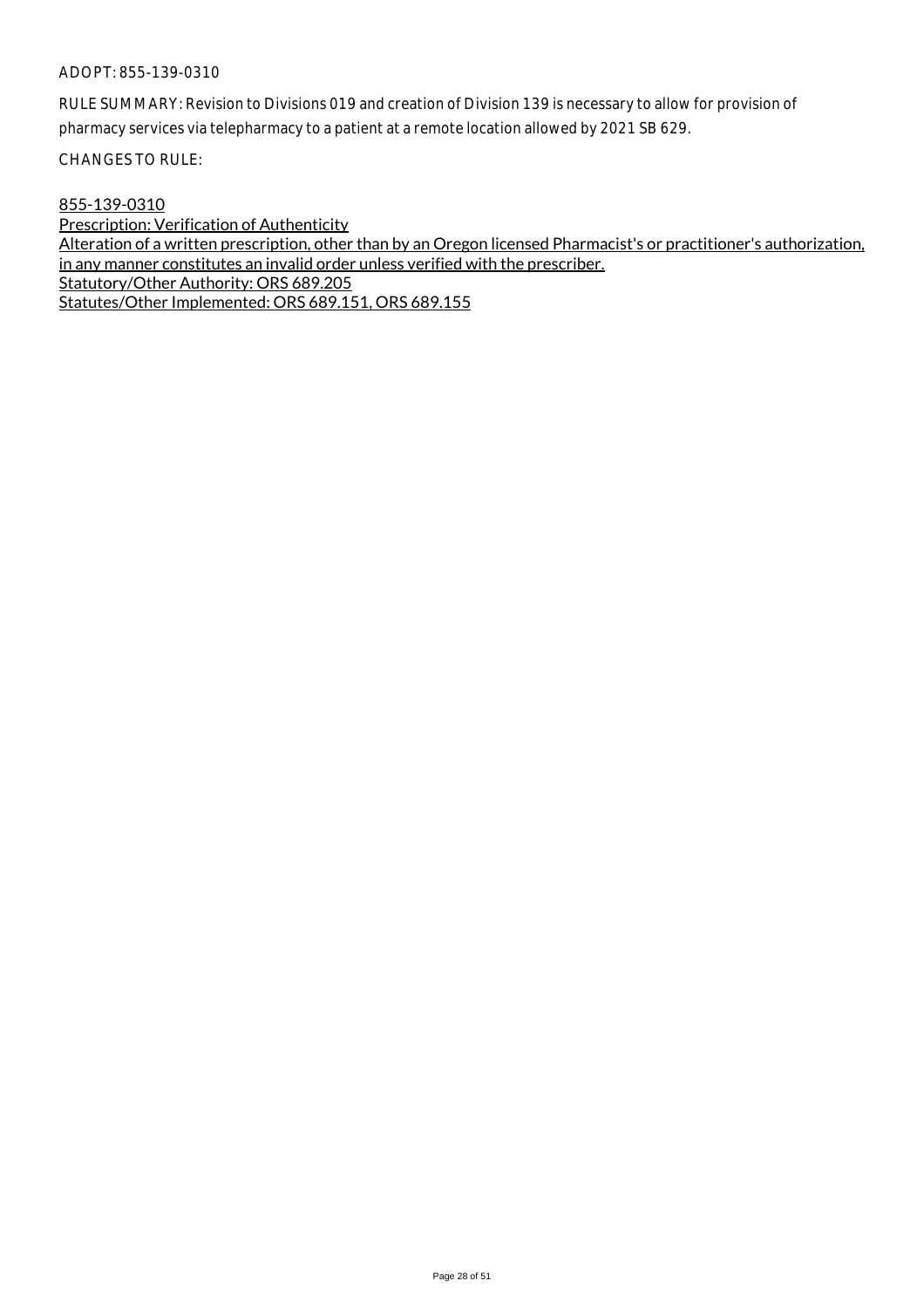RULE SUMMARY: Revision to Divisions 019 and creation of Division 139 is necessary to allow for provision of pharmacy services via telepharmacy to a patient at a remote location allowed by 2021 SB 629.

CHANGES TO RULE:

## 855-139-0310

Prescription: Verification of Authenticity Alteration of a written prescription, other than by an Oregon licensed Pharmacist's or practitioner's authorization, in any manner constitutes an invalid order unless verified with the prescriber. Statutory/Other Authority: ORS 689.205 Statutes/Other Implemented: ORS 689.151, ORS 689.155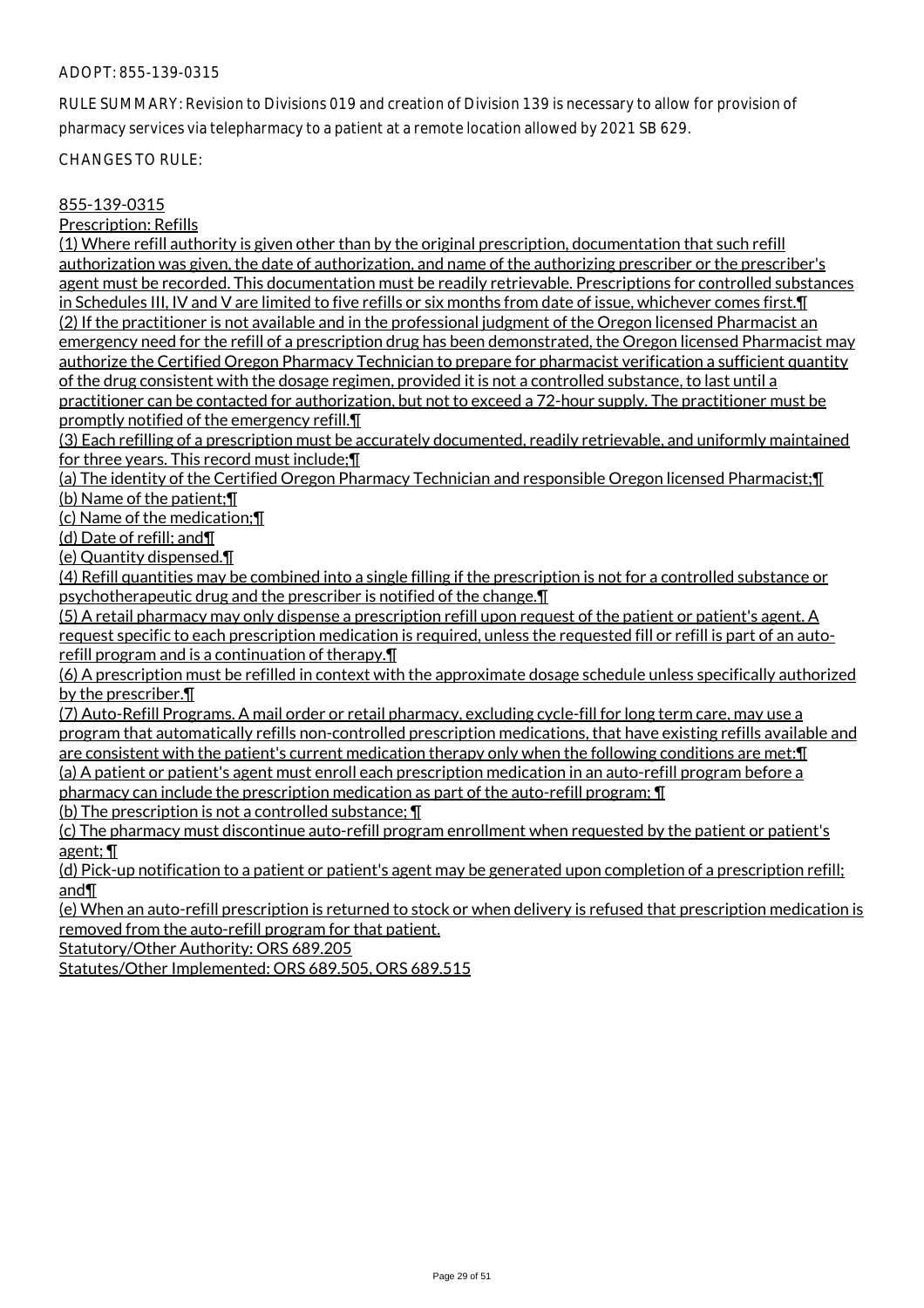RULE SUMMARY: Revision to Divisions 019 and creation of Division 139 is necessary to allow for provision of pharmacy services via telepharmacy to a patient at a remote location allowed by 2021 SB 629.

CHANGES TO RULE:

## 855-139-0315

Prescription: Refills

(1) Where refill authority is given other than by the original prescription, documentation that such refill authorization was given, the date of authorization, and name of the authorizing prescriber or the prescriber's agent must be recorded. This documentation must be readily retrievable. Prescriptions for controlled substances in Schedules III, IV and V are limited to five refills or six months from date of issue, whichever comes first.¶ (2) If the practitioner is not available and in the professional judgment of the Oregon licensed Pharmacist an emergency need for the refill of a prescription drug has been demonstrated, the Oregon licensed Pharmacist may authorize the Certified Oregon Pharmacy Technician to prepare for pharmacist verification a sufficient quantity of the drug consistent with the dosage regimen, provided it is not a controlled substance, to last until a practitioner can be contacted for authorization, but not to exceed a 72-hour supply. The practitioner must be promptly notified of the emergency refill.¶

(3) Each refilling of a prescription must be accurately documented, readily retrievable, and uniformly maintained for three years. This record must include;¶

(a) The identity of the Certified Oregon Pharmacy Technician and responsible Oregon licensed Pharmacist;¶ (b) Name of the patient;¶

(c) Name of the medication;¶

(d) Date of refill; and¶

(e) Quantity dispensed.¶

(4) Refill quantities may be combined into a single filling if the prescription is not for a controlled substance or psychotherapeutic drug and the prescriber is notified of the change.¶

(5) A retail pharmacy may only dispense a prescription refill upon request of the patient or patient's agent. A request specific to each prescription medication is required, unless the requested fill or refill is part of an autorefill program and is a continuation of therapy.¶

(6) A prescription must be refilled in context with the approximate dosage schedule unless specifically authorized by the prescriber.¶

(7) Auto-Refill Programs. A mail order or retail pharmacy, excluding cycle-fill for long term care, may use a program that automatically refills non-controlled prescription medications, that have existing refills available and are consistent with the patient's current medication therapy only when the following conditions are met:¶

(a) A patient or patient's agent must enroll each prescription medication in an auto-refill program before a pharmacy can include the prescription medication as part of the auto-refill program; ¶

(b) The prescription is not a controlled substance; ¶

(c) The pharmacy must discontinue auto-refill program enrollment when requested by the patient or patient's agent; ¶

(d) Pick-up notification to a patient or patient's agent may be generated upon completion of a prescription refill; and¶

(e) When an auto-refill prescription is returned to stock or when delivery is refused that prescription medication is removed from the auto-refill program for that patient.

Statutory/Other Authority: ORS 689.205

Statutes/Other Implemented: ORS 689.505, ORS 689.515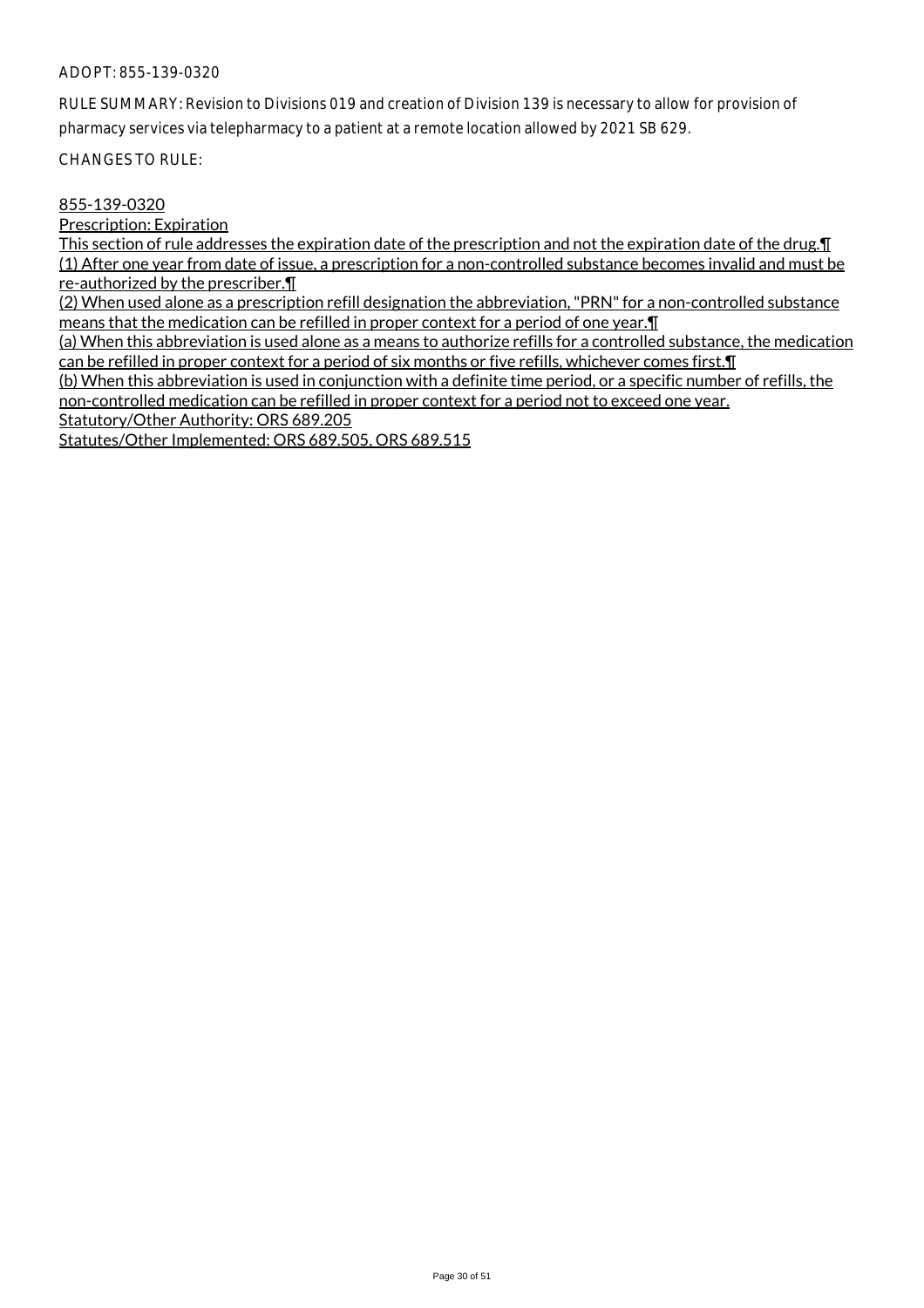RULE SUMMARY: Revision to Divisions 019 and creation of Division 139 is necessary to allow for provision of pharmacy services via telepharmacy to a patient at a remote location allowed by 2021 SB 629.

CHANGES TO RULE:

## 855-139-0320

Prescription: Expiration

This section of rule addresses the expiration date of the prescription and not the expiration date of the drug. I (1) After one year from date of issue, a prescription for a non-controlled substance becomes invalid and must be re-authorized by the prescriber.¶

(2) When used alone as a prescription refill designation the abbreviation, "PRN" for a non-controlled substance means that the medication can be refilled in proper context for a period of one year.¶

(a) When this abbreviation is used alone as a means to authorize refills for a controlled substance, the medication can be refilled in proper context for a period of six months or five refills, whichever comes first.¶

(b) When this abbreviation is used in conjunction with a definite time period, or a specific number of refills, the non-controlled medication can be refilled in proper context for a period not to exceed one year.

Statutory/Other Authority: ORS 689.205

Statutes/Other Implemented: ORS 689.505, ORS 689.515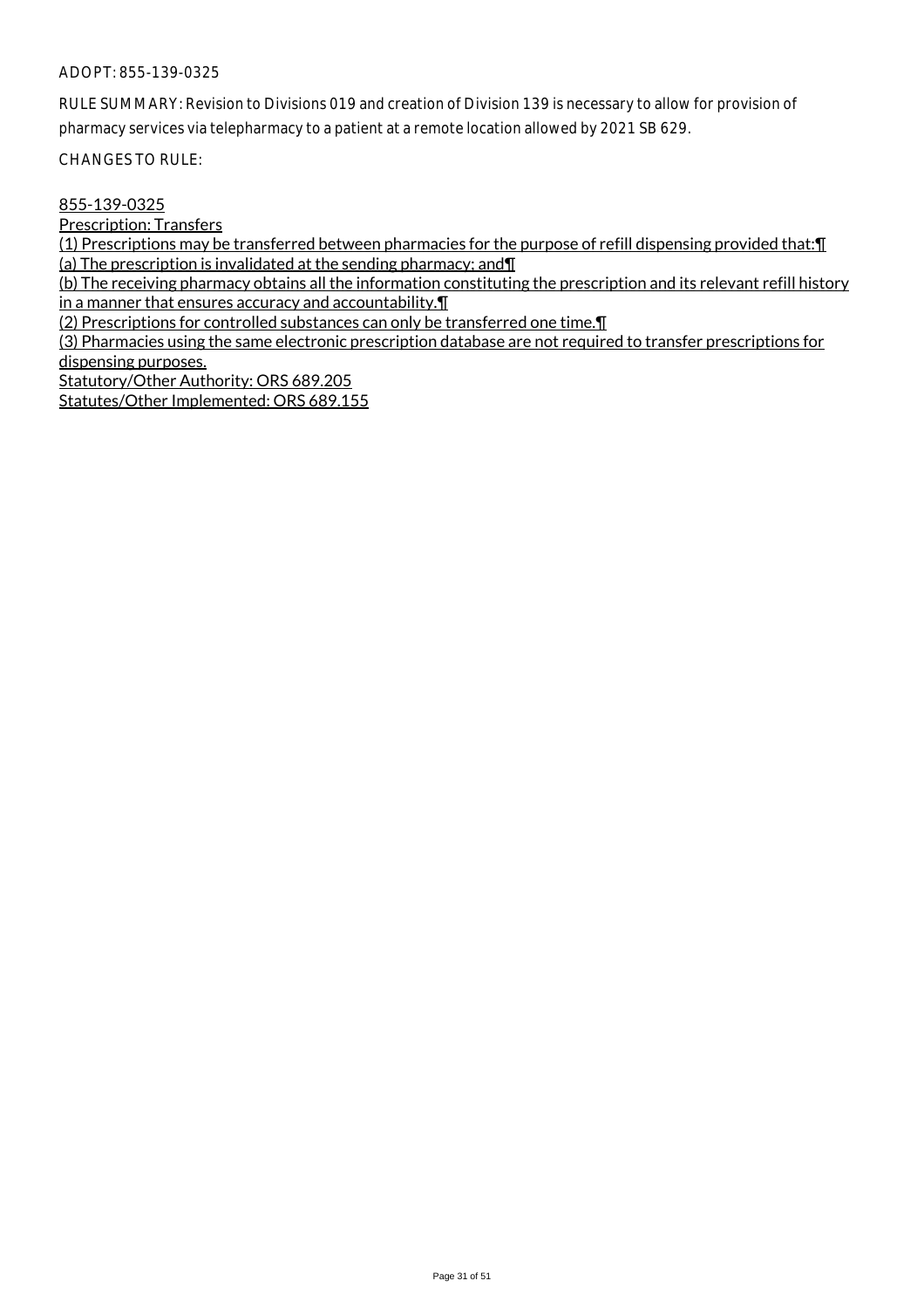RULE SUMMARY: Revision to Divisions 019 and creation of Division 139 is necessary to allow for provision of pharmacy services via telepharmacy to a patient at a remote location allowed by 2021 SB 629.

CHANGES TO RULE:

855-139-0325

Prescription: Transfers

(1) Prescriptions may be transferred between pharmacies for the purpose of refill dispensing provided that:¶ (a) The prescription is invalidated at the sending pharmacy; and¶

(b) The receiving pharmacy obtains all the information constituting the prescription and its relevant refill history in a manner that ensures accuracy and accountability.¶

(2) Prescriptions for controlled substances can only be transferred one time.¶

(3) Pharmacies using the same electronic prescription database are not required to transfer prescriptions for dispensing purposes.

Statutory/Other Authority: ORS 689.205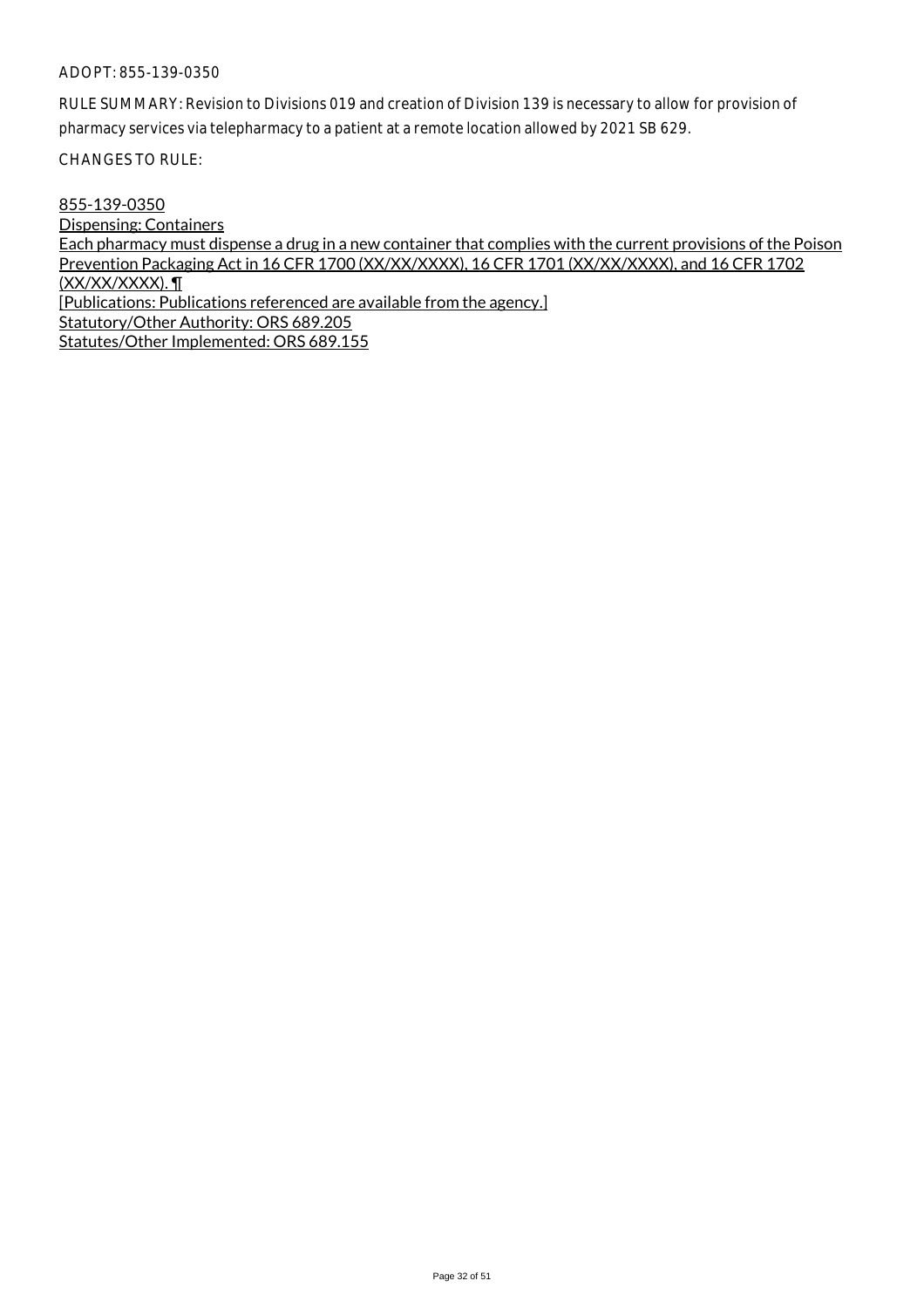RULE SUMMARY: Revision to Divisions 019 and creation of Division 139 is necessary to allow for provision of pharmacy services via telepharmacy to a patient at a remote location allowed by 2021 SB 629.

CHANGES TO RULE:

855-139-0350 Dispensing: Containers Each pharmacy must dispense a drug in a new container that complies with the current provisions of the Poison Prevention Packaging Act in 16 CFR 1700 (XX/XX/XXXX), 16 CFR 1701 (XX/XX/XXXX), and 16 CFR 1702 (XX/XX/XXXX). ¶ [Publications: Publications referenced are available from the agency.] Statutory/Other Authority: ORS 689.205 Statutes/Other Implemented: ORS 689.155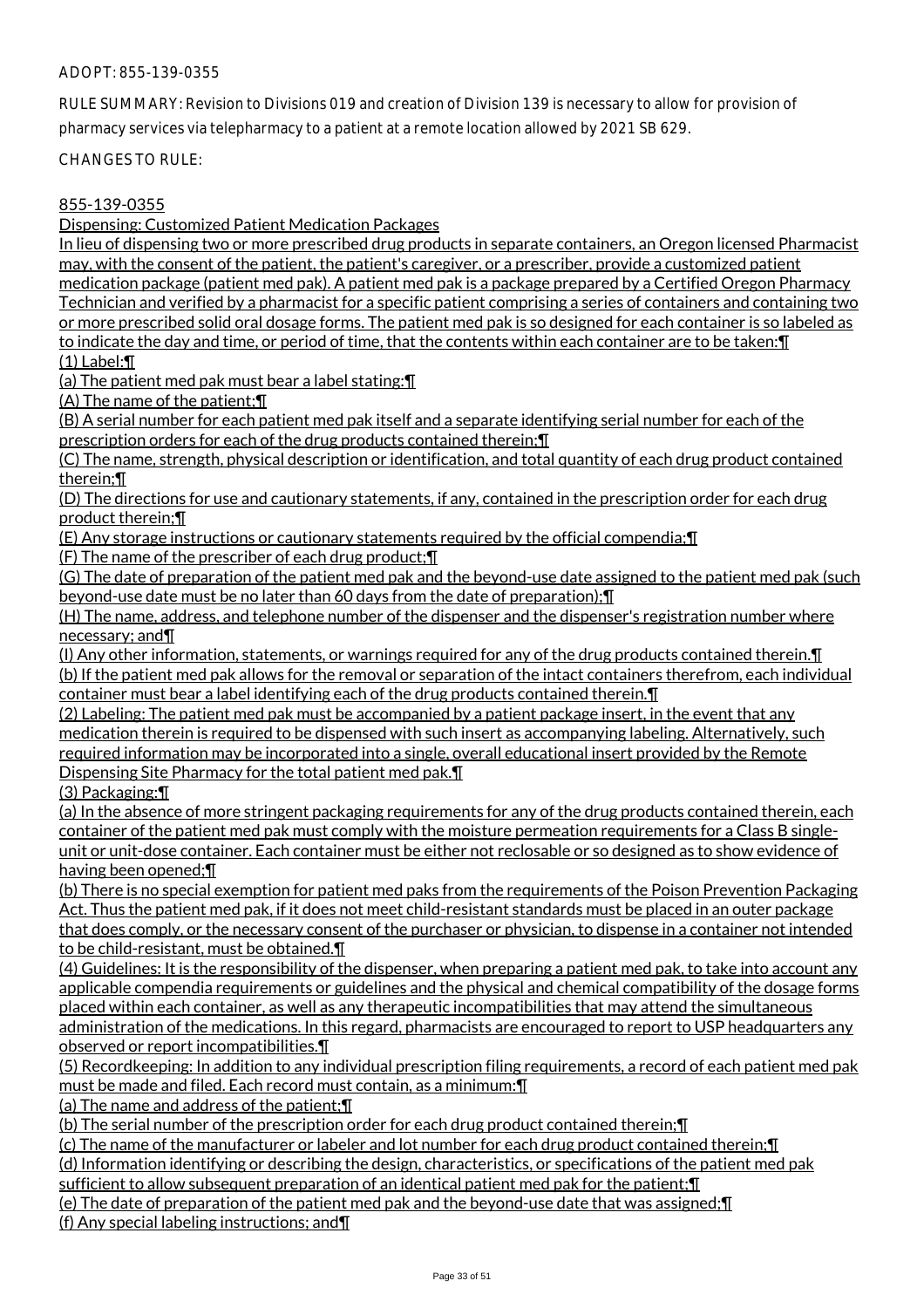RULE SUMMARY: Revision to Divisions 019 and creation of Division 139 is necessary to allow for provision of pharmacy services via telepharmacy to a patient at a remote location allowed by 2021 SB 629.

CHANGES TO RULE:

## 855-139-0355

Dispensing: Customized Patient Medication Packages

In lieu of dispensing two or more prescribed drug products in separate containers, an Oregon licensed Pharmacist may, with the consent of the patient, the patient's caregiver, or a prescriber, provide a customized patient medication package (patient med pak). A patient med pak is a package prepared by a Certified Oregon Pharmacy Technician and verified by a pharmacist for a specific patient comprising a series of containers and containing two or more prescribed solid oral dosage forms. The patient med pak is so designed for each container is so labeled as to indicate the day and time, or period of time, that the contents within each container are to be taken: [1] (1) Label:¶

(a) The patient med pak must bear a label stating:¶

(A) The name of the patient;¶

(B) A serial number for each patient med pak itself and a separate identifying serial number for each of the prescription orders for each of the drug products contained therein;¶

(C) The name, strength, physical description or identification, and total quantity of each drug product contained therein;¶

(D) The directions for use and cautionary statements, if any, contained in the prescription order for each drug product therein;¶

(E) Any storage instructions or cautionary statements required by the official compendia;¶

(F) The name of the prescriber of each drug product;¶

(G) The date of preparation of the patient med pak and the beyond-use date assigned to the patient med pak (such beyond-use date must be no later than 60 days from the date of preparation);¶

(H) The name, address, and telephone number of the dispenser and the dispenser's registration number where necessary; and¶

(I) Any other information, statements, or warnings required for any of the drug products contained therein.¶ (b) If the patient med pak allows for the removal or separation of the intact containers therefrom, each individual container must bear a label identifying each of the drug products contained therein.¶

(2) Labeling: The patient med pak must be accompanied by a patient package insert, in the event that any medication therein is required to be dispensed with such insert as accompanying labeling. Alternatively, such required information may be incorporated into a single, overall educational insert provided by the Remote Dispensing Site Pharmacy for the total patient med pak.¶

(3) Packaging:¶

(a) In the absence of more stringent packaging requirements for any of the drug products contained therein, each container of the patient med pak must comply with the moisture permeation requirements for a Class B singleunit or unit-dose container. Each container must be either not reclosable or so designed as to show evidence of having been opened;¶

(b) There is no special exemption for patient med paks from the requirements of the Poison Prevention Packaging Act. Thus the patient med pak, if it does not meet child-resistant standards must be placed in an outer package that does comply, or the necessary consent of the purchaser or physician, to dispense in a container not intended to be child-resistant, must be obtained.¶

(4) Guidelines: It is the responsibility of the dispenser, when preparing a patient med pak, to take into account any applicable compendia requirements or guidelines and the physical and chemical compatibility of the dosage forms placed within each container, as well as any therapeutic incompatibilities that may attend the simultaneous administration of the medications. In this regard, pharmacists are encouraged to report to USP headquarters any observed or report incompatibilities.¶

(5) Recordkeeping: In addition to any individual prescription filing requirements, a record of each patient med pak must be made and filed. Each record must contain, as a minimum:¶

(a) The name and address of the patient;¶

(b) The serial number of the prescription order for each drug product contained therein;¶

(c) The name of the manufacturer or labeler and lot number for each drug product contained therein;¶

(d) Information identifying or describing the design, characteristics, or specifications of the patient med pak

sufficient to allow subsequent preparation of an identical patient med pak for the patient; [1]

(e) The date of preparation of the patient med pak and the beyond-use date that was assigned;¶

(f) Any special labeling instructions; and¶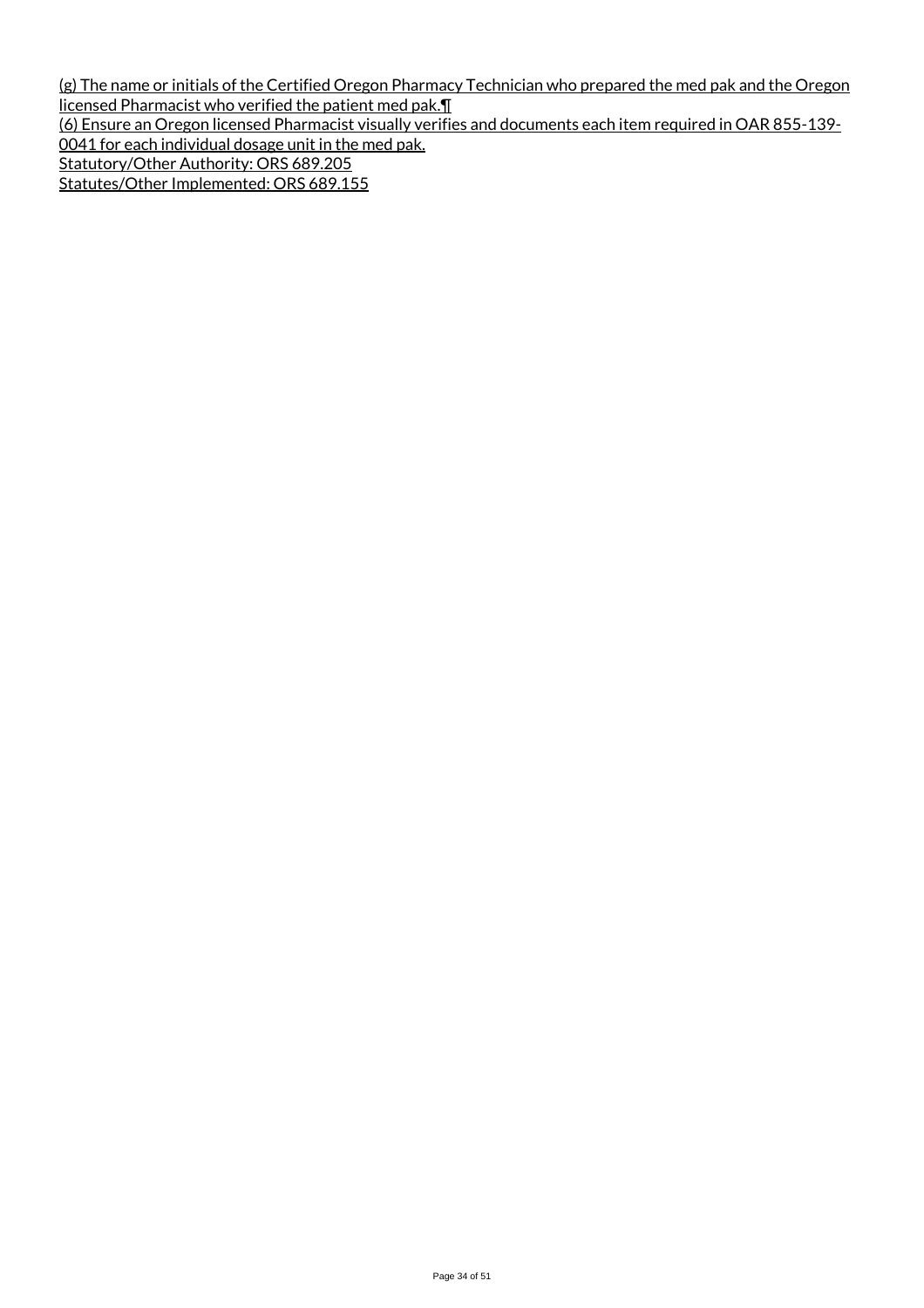(g) The name or initials of the Certified Oregon Pharmacy Technician who prepared the med pak and the Oregon licensed Pharmacist who verified the patient med pak.¶ (6) Ensure an Oregon licensed Pharmacist visually verifies and documents each item required in OAR 855-139- 0041 for each individual dosage unit in the med pak. Statutory/Other Authority: ORS 689.205 Statutes/Other Implemented: ORS 689.155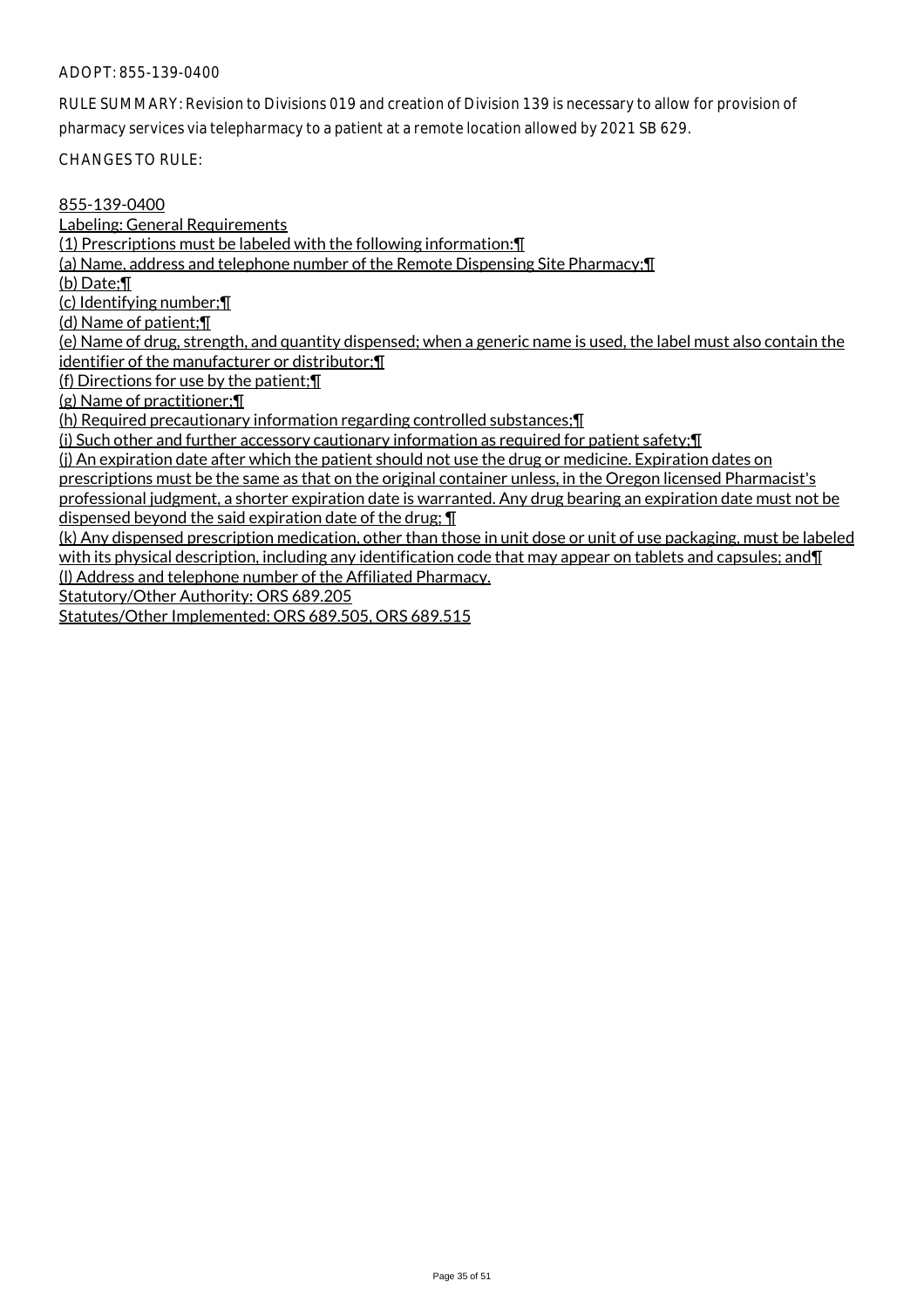RULE SUMMARY: Revision to Divisions 019 and creation of Division 139 is necessary to allow for provision of pharmacy services via telepharmacy to a patient at a remote location allowed by 2021 SB 629.

CHANGES TO RULE:

### 855-139-0400

Labeling: General Requirements

(1) Prescriptions must be labeled with the following information:¶

(a) Name, address and telephone number of the Remote Dispensing Site Pharmacy;¶

(b) Date;¶

(c) Identifying number;¶

(d) Name of patient;¶

(e) Name of drug, strength, and quantity dispensed; when a generic name is used, the label must also contain the identifier of the manufacturer or distributor;¶

(f) Directions for use by the patient;¶

(g) Name of practitioner;¶

(h) Required precautionary information regarding controlled substances;¶

(i) Such other and further accessory cautionary information as required for patient safety;¶

(j) An expiration date after which the patient should not use the drug or medicine. Expiration dates on

prescriptions must be the same as that on the original container unless, in the Oregon licensed Pharmacist's

professional judgment, a shorter expiration date is warranted. Any drug bearing an expiration date must not be dispensed beyond the said expiration date of the drug; ¶

(k) Any dispensed prescription medication, other than those in unit dose or unit of use packaging, must be labeled with its physical description, including any identification code that may appear on tablets and capsules; and  $\P$ (l) Address and telephone number of the Affiliated Pharmacy.

Statutory/Other Authority: ORS 689.205

Statutes/Other Implemented: ORS 689.505, ORS 689.515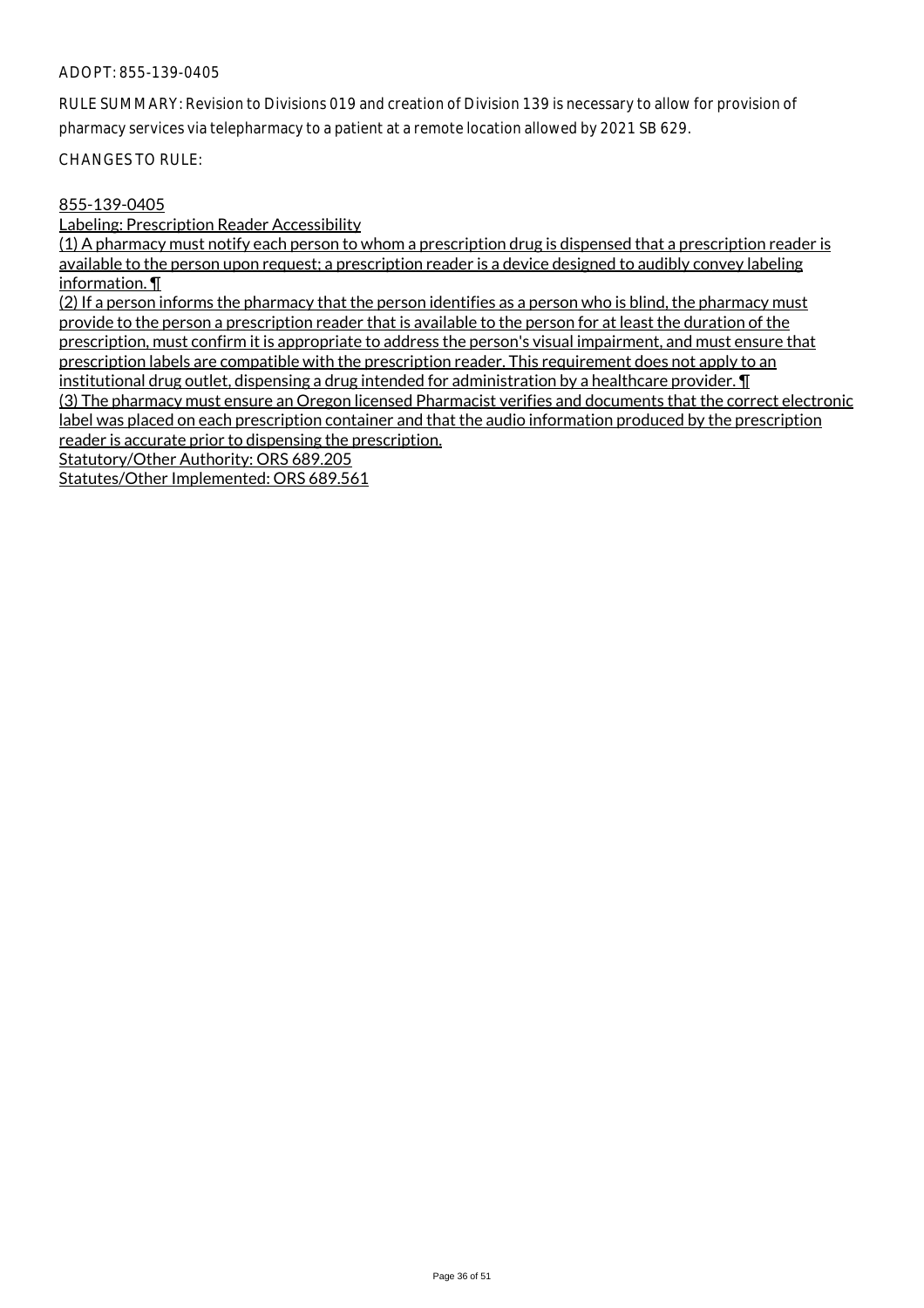RULE SUMMARY: Revision to Divisions 019 and creation of Division 139 is necessary to allow for provision of pharmacy services via telepharmacy to a patient at a remote location allowed by 2021 SB 629.

CHANGES TO RULE:

#### 855-139-0405

Labeling: Prescription Reader Accessibility

(1) A pharmacy must notify each person to whom a prescription drug is dispensed that a prescription reader is available to the person upon request; a prescription reader is a device designed to audibly convey labeling information. ¶

(2) If a person informs the pharmacy that the person identifies as a person who is blind, the pharmacy must provide to the person a prescription reader that is available to the person for at least the duration of the prescription, must confirm it is appropriate to address the person's visual impairment, and must ensure that prescription labels are compatible with the prescription reader. This requirement does not apply to an institutional drug outlet, dispensing a drug intended for administration by a healthcare provider. I (3) The pharmacy must ensure an Oregon licensed Pharmacist verifies and documents that the correct electronic label was placed on each prescription container and that the audio information produced by the prescription reader is accurate prior to dispensing the prescription.

Statutory/Other Authority: ORS 689.205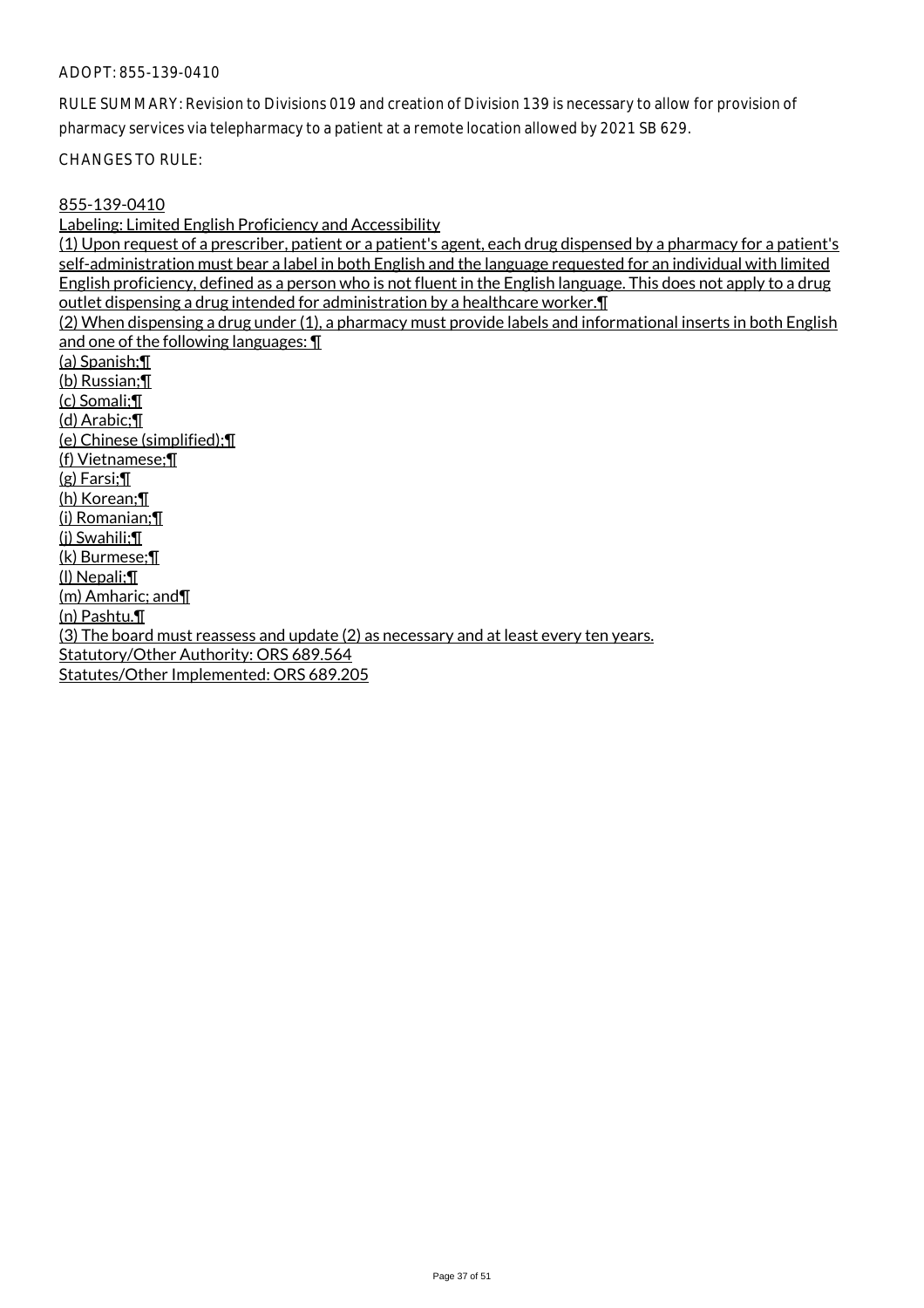RULE SUMMARY: Revision to Divisions 019 and creation of Division 139 is necessary to allow for provision of pharmacy services via telepharmacy to a patient at a remote location allowed by 2021 SB 629.

CHANGES TO RULE:

#### 855-139-0410

Labeling: Limited English Proficiency and Accessibility (1) Upon request of a prescriber, patient or a patient's agent, each drug dispensed by a pharmacy for a patient's self-administration must bear a label in both English and the language requested for an individual with limited English proficiency, defined as a person who is not fluent in the English language. This does not apply to a drug outlet dispensing a drug intended for administration by a healthcare worker.¶ (2) When dispensing a drug under (1), a pharmacy must provide labels and informational inserts in both English and one of the following languages: ¶ (a) Spanish;¶ (b) Russian;¶ (c) Somali;¶ (d) Arabic;¶ (e) Chinese (simplified);¶ (f) Vietnamese;¶ (g) Farsi;¶ (h) Korean;¶ (i) Romanian;¶ (j) Swahili;¶ (k) Burmese;¶ (l) Nepali;¶ (m) Amharic; and¶ (n) Pashtu.¶ (3) The board must reassess and update (2) as necessary and at least every ten years. Statutory/Other Authority: ORS 689.564 Statutes/Other Implemented: ORS 689.205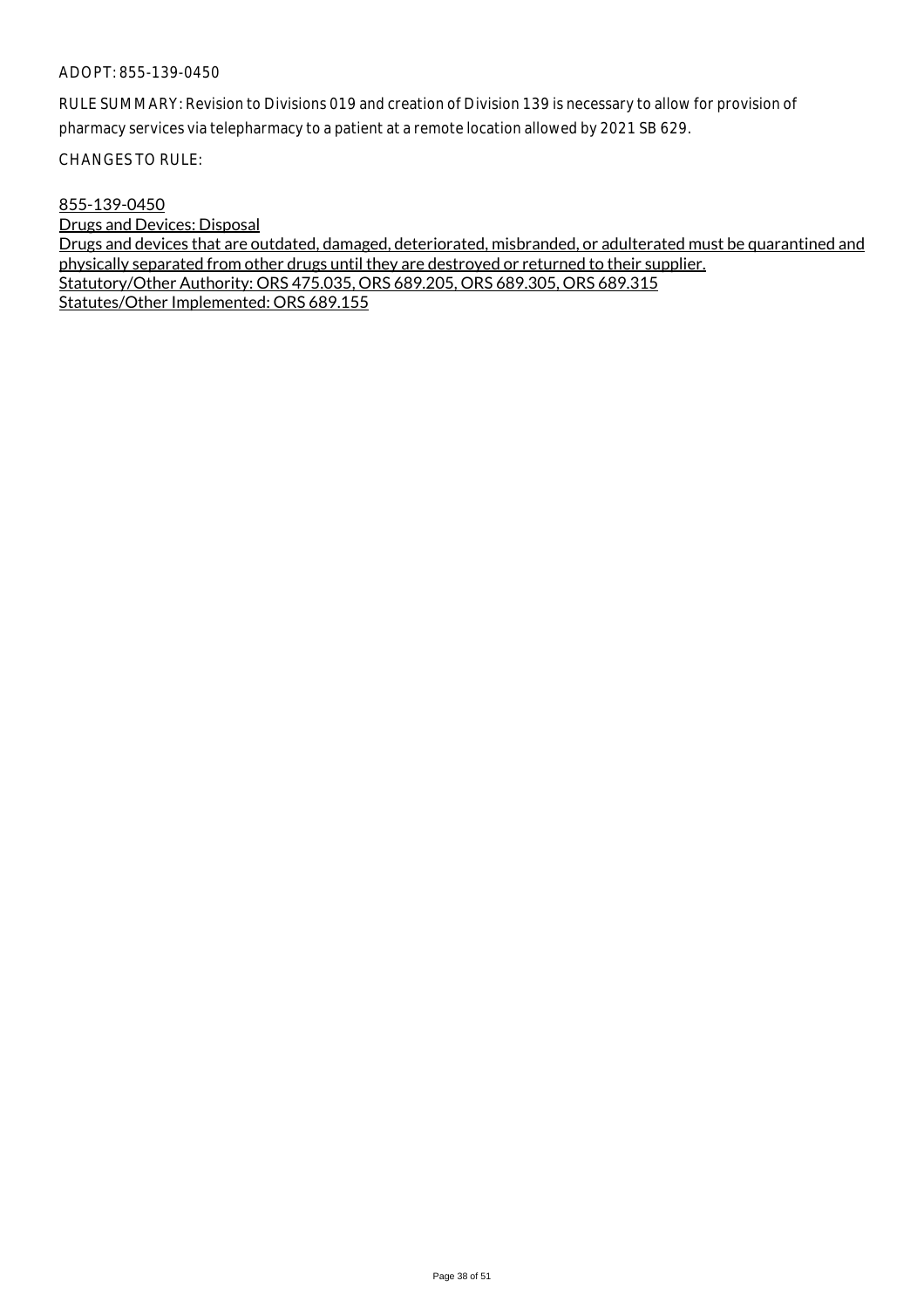RULE SUMMARY: Revision to Divisions 019 and creation of Division 139 is necessary to allow for provision of pharmacy services via telepharmacy to a patient at a remote location allowed by 2021 SB 629.

CHANGES TO RULE:

#### 855-139-0450

Drugs and Devices: Disposal Drugs and devices that are outdated, damaged, deteriorated, misbranded, or adulterated must be quarantined and physically separated from other drugs until they are destroyed or returned to their supplier. Statutory/Other Authority: ORS 475.035, ORS 689.205, ORS 689.305, ORS 689.315 Statutes/Other Implemented: ORS 689.155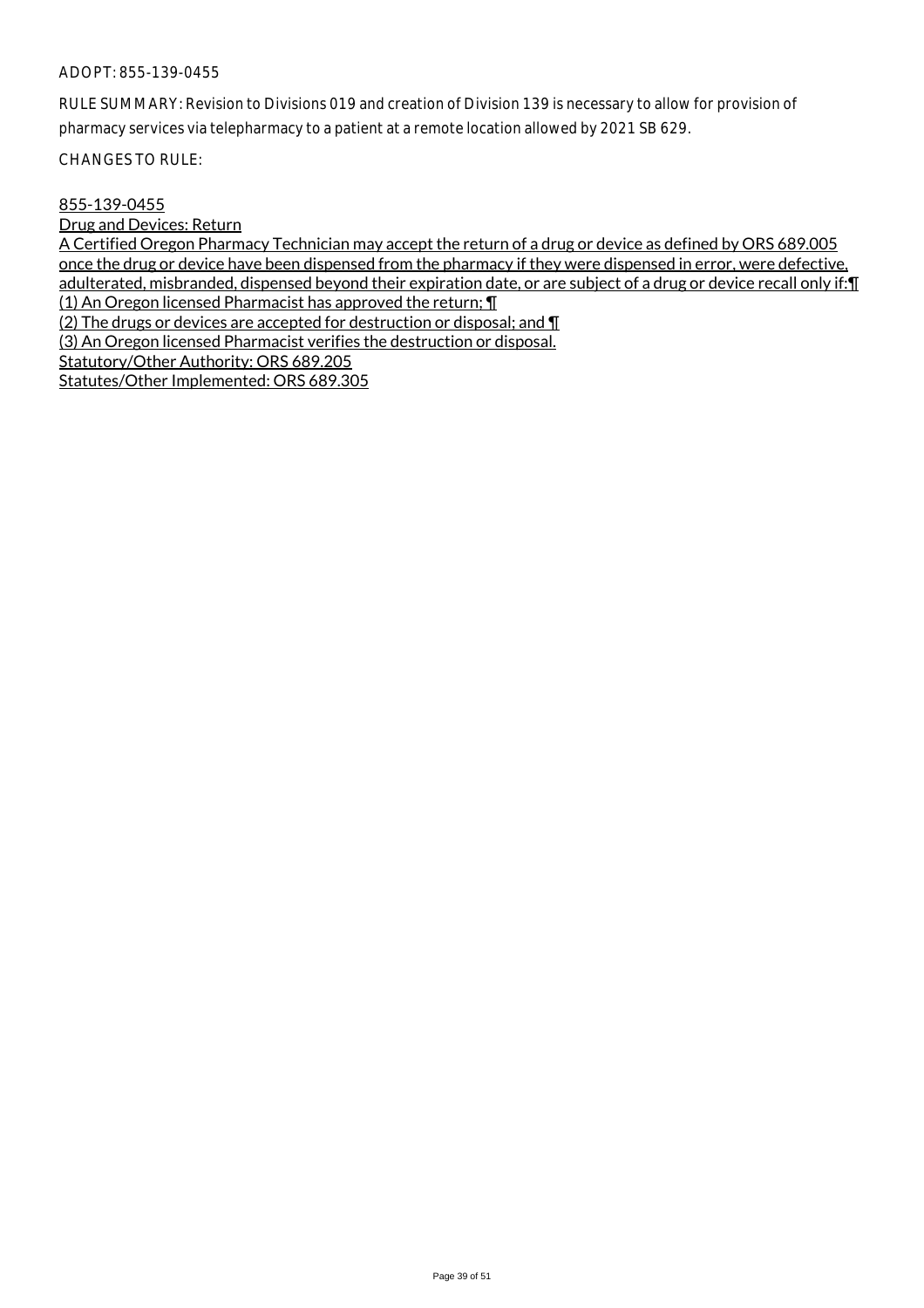RULE SUMMARY: Revision to Divisions 019 and creation of Division 139 is necessary to allow for provision of pharmacy services via telepharmacy to a patient at a remote location allowed by 2021 SB 629.

CHANGES TO RULE:

## 855-139-0455

Drug and Devices: Return

A Certified Oregon Pharmacy Technician may accept the return of a drug or device as defined by ORS 689.005 once the drug or device have been dispensed from the pharmacy if they were dispensed in error, were defective, adulterated, misbranded, dispensed beyond their expiration date, or are subject of a drug or device recall only if:¶ (1) An Oregon licensed Pharmacist has approved the return; ¶

(2) The drugs or devices are accepted for destruction or disposal; and  $\P$ 

(3) An Oregon licensed Pharmacist verifies the destruction or disposal.

Statutory/Other Authority: ORS 689.205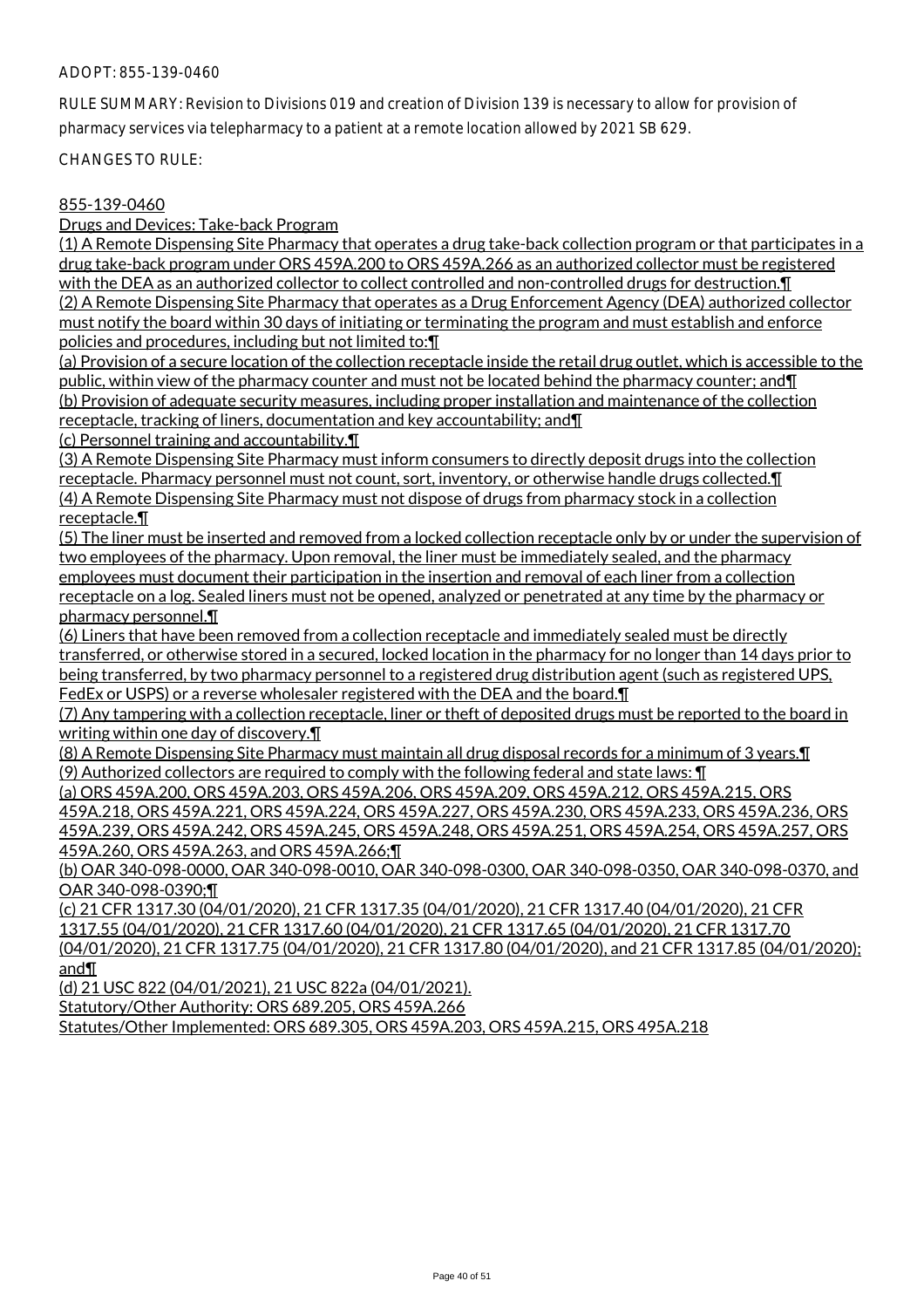RULE SUMMARY: Revision to Divisions 019 and creation of Division 139 is necessary to allow for provision of pharmacy services via telepharmacy to a patient at a remote location allowed by 2021 SB 629.

CHANGES TO RULE:

## 855-139-0460

Drugs and Devices: Take-back Program

(1) A Remote Dispensing Site Pharmacy that operates a drug take-back collection program or that participates in a drug take-back program under ORS 459A.200 to ORS 459A.266 as an authorized collector must be registered with the DEA as an authorized collector to collect controlled and non-controlled drugs for destruction.¶ (2) A Remote Dispensing Site Pharmacy that operates as a Drug Enforcement Agency (DEA) authorized collector must notify the board within 30 days of initiating or terminating the program and must establish and enforce policies and procedures, including but not limited to:¶

(a) Provision of a secure location of the collection receptacle inside the retail drug outlet, which is accessible to the public, within view of the pharmacy counter and must not be located behind the pharmacy counter; and II (b) Provision of adequate security measures, including proper installation and maintenance of the collection receptacle, tracking of liners, documentation and key accountability; and¶

(c) Personnel training and accountability.¶

(3) A Remote Dispensing Site Pharmacy must inform consumers to directly deposit drugs into the collection receptacle. Pharmacy personnel must not count, sort, inventory, or otherwise handle drugs collected.¶ (4) A Remote Dispensing Site Pharmacy must not dispose of drugs from pharmacy stock in a collection receptacle.¶

(5) The liner must be inserted and removed from a locked collection receptacle only by or under the supervision of two employees of the pharmacy. Upon removal, the liner must be immediately sealed, and the pharmacy employees must document their participation in the insertion and removal of each liner from a collection receptacle on a log. Sealed liners must not be opened, analyzed or penetrated at any time by the pharmacy or pharmacy personnel.¶

(6) Liners that have been removed from a collection receptacle and immediately sealed must be directly transferred, or otherwise stored in a secured, locked location in the pharmacy for no longer than 14 days prior to being transferred, by two pharmacy personnel to a registered drug distribution agent (such as registered UPS, FedEx or USPS) or a reverse wholesaler registered with the DEA and the board.¶

(7) Any tampering with a collection receptacle, liner or theft of deposited drugs must be reported to the board in writing within one day of discovery.¶

(8) A Remote Dispensing Site Pharmacy must maintain all drug disposal records for a minimum of 3 years.¶ (9) Authorized collectors are required to comply with the following federal and state laws:  $\P$ 

(a) ORS 459A.200, ORS 459A.203, ORS 459A.206, ORS 459A.209, ORS 459A.212, ORS 459A.215, ORS 459A.218, ORS 459A.221, ORS 459A.224, ORS 459A.227, ORS 459A.230, ORS 459A.233, ORS 459A.236, ORS 459A.239, ORS 459A.242, ORS 459A.245, ORS 459A.248, ORS 459A.251, ORS 459A.254, ORS 459A.257, ORS 459A.260, ORS 459A.263, and ORS 459A.266;¶

(b) OAR 340-098-0000, OAR 340-098-0010, OAR 340-098-0300, OAR 340-098-0350, OAR 340-098-0370, and OAR 340-098-0390;¶

(c) 21 CFR 1317.30 (04/01/2020), 21 CFR 1317.35 (04/01/2020), 21 CFR 1317.40 (04/01/2020), 21 CFR 1317.55 (04/01/2020), 21 CFR 1317.60 (04/01/2020), 21 CFR 1317.65 (04/01/2020), 21 CFR 1317.70 (04/01/2020), 21 CFR 1317.75 (04/01/2020), 21 CFR 1317.80 (04/01/2020), and 21 CFR 1317.85 (04/01/2020); and¶

(d) 21 USC 822 (04/01/2021), 21 USC 822a (04/01/2021).

Statutory/Other Authority: ORS 689.205, ORS 459A.266

Statutes/Other Implemented: ORS 689.305, ORS 459A.203, ORS 459A.215, ORS 495A.218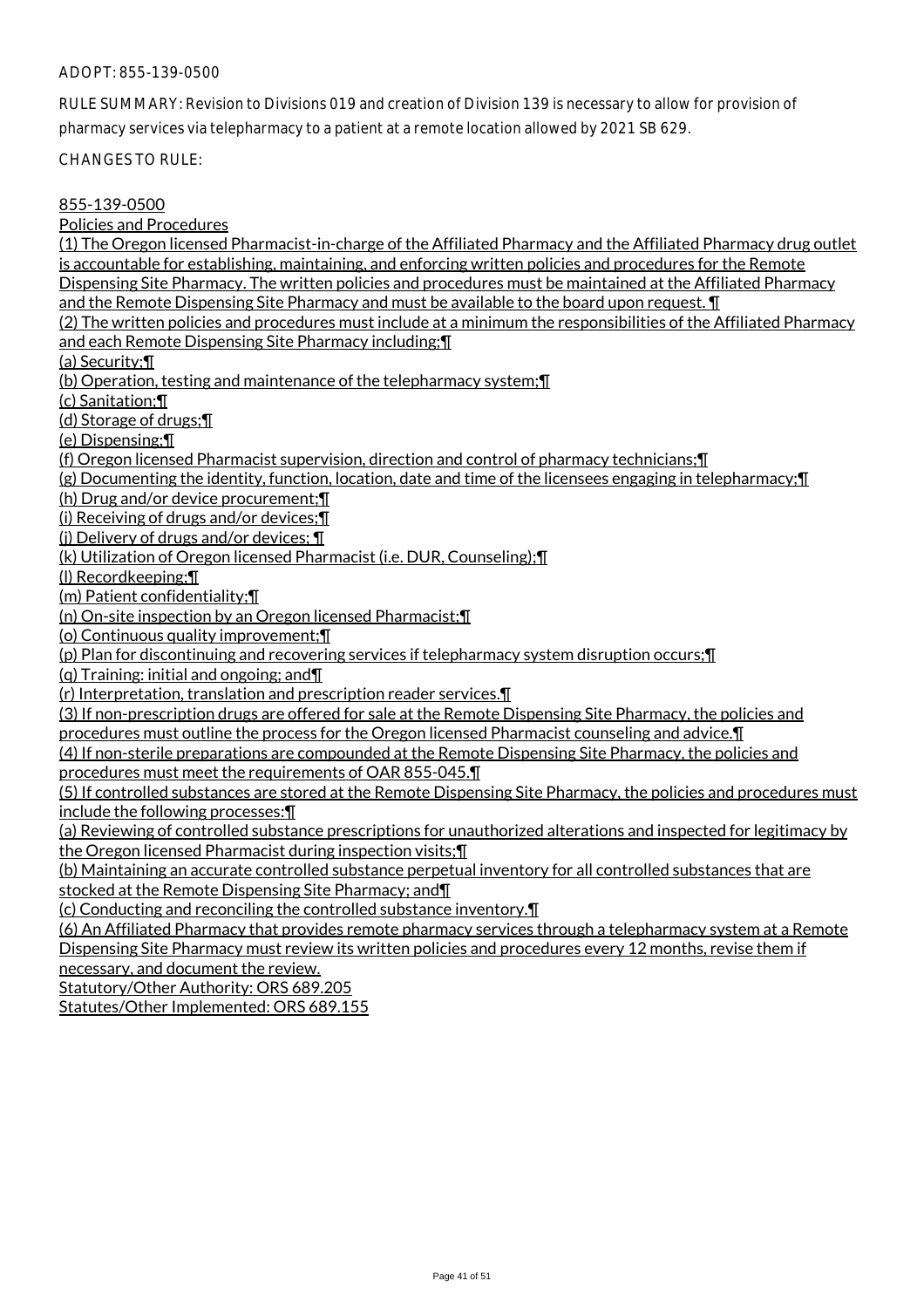RULE SUMMARY: Revision to Divisions 019 and creation of Division 139 is necessary to allow for provision of pharmacy services via telepharmacy to a patient at a remote location allowed by 2021 SB 629.

CHANGES TO RULE:

### 855-139-0500

Policies and Procedures

(1) The Oregon licensed Pharmacist-in-charge of the Affiliated Pharmacy and the Affiliated Pharmacy drug outlet is accountable for establishing, maintaining, and enforcing written policies and procedures for the Remote Dispensing Site Pharmacy. The written policies and procedures must be maintained at the Affiliated Pharmacy and the Remote Dispensing Site Pharmacy and must be available to the board upon request. ¶ (2) The written policies and procedures must include at a minimum the responsibilities of the Affiliated Pharmacy and each Remote Dispensing Site Pharmacy including;¶ (a) Security;¶ (b) Operation, testing and maintenance of the telepharmacy system;¶ (c) Sanitation;¶ (d) Storage of drugs;¶ (e) Dispensing;¶ (f) Oregon licensed Pharmacist supervision, direction and control of pharmacy technicians;¶ (g) Documenting the identity, function, location, date and time of the licensees engaging in telepharmacy;¶ (h) Drug and/or device procurement;¶ (i) Receiving of drugs and/or devices;¶ (j) Delivery of drugs and/or devices; ¶ (k) Utilization of Oregon licensed Pharmacist (i.e. DUR, Counseling);¶ (l) Recordkeeping;¶ (m) Patient confidentiality;¶ (n) On-site inspection by an Oregon licensed Pharmacist;¶ (o) Continuous quality improvement;¶ (p) Plan for discontinuing and recovering services if telepharmacy system disruption occurs;¶ (q) Training: initial and ongoing; and¶ (r) Interpretation, translation and prescription reader services.¶ (3) If non-prescription drugs are offered for sale at the Remote Dispensing Site Pharmacy, the policies and procedures must outline the process for the Oregon licensed Pharmacist counseling and advice.¶ (4) If non-sterile preparations are compounded at the Remote Dispensing Site Pharmacy, the policies and procedures must meet the requirements of OAR 855-045.¶ (5) If controlled substances are stored at the Remote Dispensing Site Pharmacy, the policies and procedures must include the following processes:¶ (a) Reviewing of controlled substance prescriptions for unauthorized alterations and inspected for legitimacy by the Oregon licensed Pharmacist during inspection visits;¶ (b) Maintaining an accurate controlled substance perpetual inventory for all controlled substances that are stocked at the Remote Dispensing Site Pharmacy; and¶ (c) Conducting and reconciling the controlled substance inventory.¶ (6) An Affiliated Pharmacy that provides remote pharmacy services through a telepharmacy system at a Remote Dispensing Site Pharmacy must review its written policies and procedures every 12 months, revise them if necessary, and document the review.

Statutory/Other Authority: ORS 689.205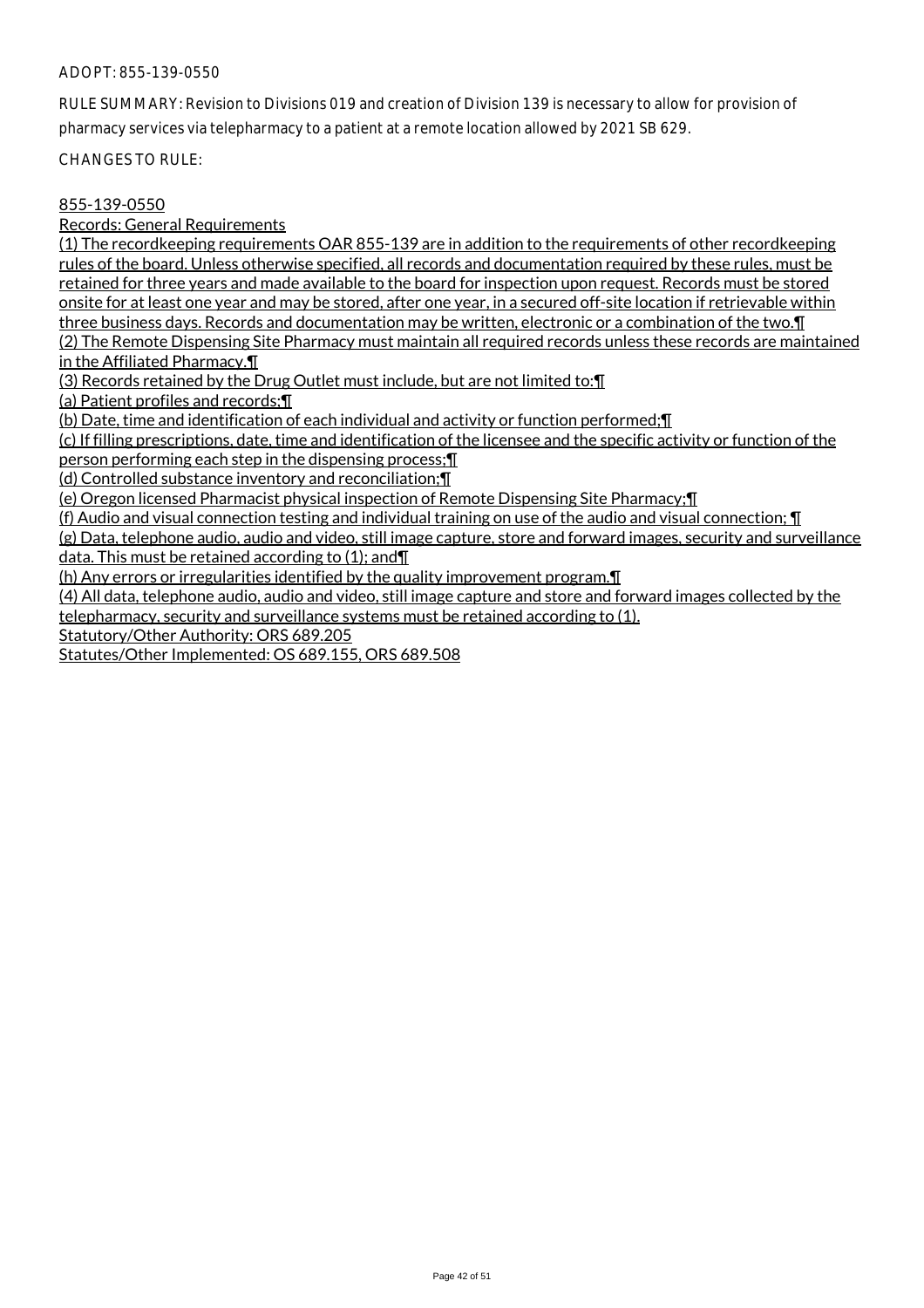RULE SUMMARY: Revision to Divisions 019 and creation of Division 139 is necessary to allow for provision of pharmacy services via telepharmacy to a patient at a remote location allowed by 2021 SB 629.

CHANGES TO RULE:

## 855-139-0550

Records: General Requirements

(1) The recordkeeping requirements OAR 855-139 are in addition to the requirements of other recordkeeping rules of the board. Unless otherwise specified, all records and documentation required by these rules, must be retained for three years and made available to the board for inspection upon request. Records must be stored onsite for at least one year and may be stored, after one year, in a secured off-site location if retrievable within three business days. Records and documentation may be written, electronic or a combination of the two.¶ (2) The Remote Dispensing Site Pharmacy must maintain all required records unless these records are maintained in the Affiliated Pharmacy.¶

(3) Records retained by the Drug Outlet must include, but are not limited to:¶

(a) Patient profiles and records;¶

(b) Date, time and identification of each individual and activity or function performed;¶

(c) If filling prescriptions, date, time and identification of the licensee and the specific activity or function of the person performing each step in the dispensing process;¶

(d) Controlled substance inventory and reconciliation;¶

(e) Oregon licensed Pharmacist physical inspection of Remote Dispensing Site Pharmacy;¶

(f) Audio and visual connection testing and individual training on use of the audio and visual connection; ¶

(g) Data, telephone audio, audio and video, still image capture, store and forward images, security and surveillance data. This must be retained according to (1); and¶

(h) Any errors or irregularities identified by the quality improvement program.¶

(4) All data, telephone audio, audio and video, still image capture and store and forward images collected by the

telepharmacy, security and surveillance systems must be retained according to (1).

Statutory/Other Authority: ORS 689.205

Statutes/Other Implemented: OS 689.155, ORS 689.508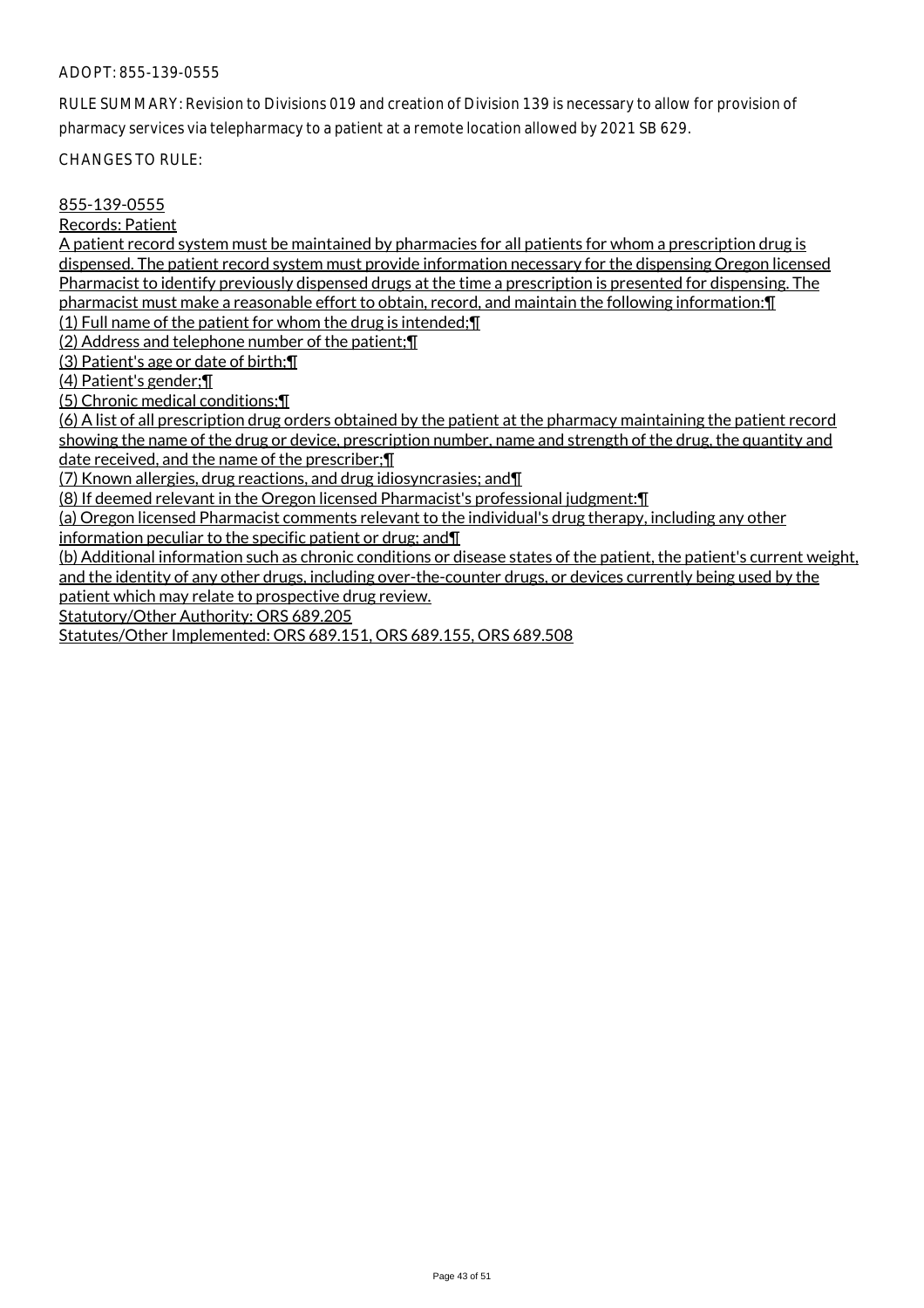RULE SUMMARY: Revision to Divisions 019 and creation of Division 139 is necessary to allow for provision of pharmacy services via telepharmacy to a patient at a remote location allowed by 2021 SB 629.

CHANGES TO RULE:

## 855-139-0555

Records: Patient

A patient record system must be maintained by pharmacies for all patients for whom a prescription drug is dispensed. The patient record system must provide information necessary for the dispensing Oregon licensed Pharmacist to identify previously dispensed drugs at the time a prescription is presented for dispensing. The pharmacist must make a reasonable effort to obtain, record, and maintain the following information:¶

(1) Full name of the patient for whom the drug is intended;¶

(2) Address and telephone number of the patient;¶

(3) Patient's age or date of birth;¶

(4) Patient's gender;¶

(5) Chronic medical conditions;¶

(6) A list of all prescription drug orders obtained by the patient at the pharmacy maintaining the patient record showing the name of the drug or device, prescription number, name and strength of the drug, the quantity and date received, and the name of the prescriber;¶

(7) Known allergies, drug reactions, and drug idiosyncrasies; and¶

(8) If deemed relevant in the Oregon licensed Pharmacist's professional judgment:¶

(a) Oregon licensed Pharmacist comments relevant to the individual's drug therapy, including any other

information peculiar to the specific patient or drug; and¶

(b) Additional information such as chronic conditions or disease states of the patient, the patient's current weight, and the identity of any other drugs, including over-the-counter drugs, or devices currently being used by the

patient which may relate to prospective drug review.

Statutory/Other Authority: ORS 689.205

Statutes/Other Implemented: ORS 689.151, ORS 689.155, ORS 689.508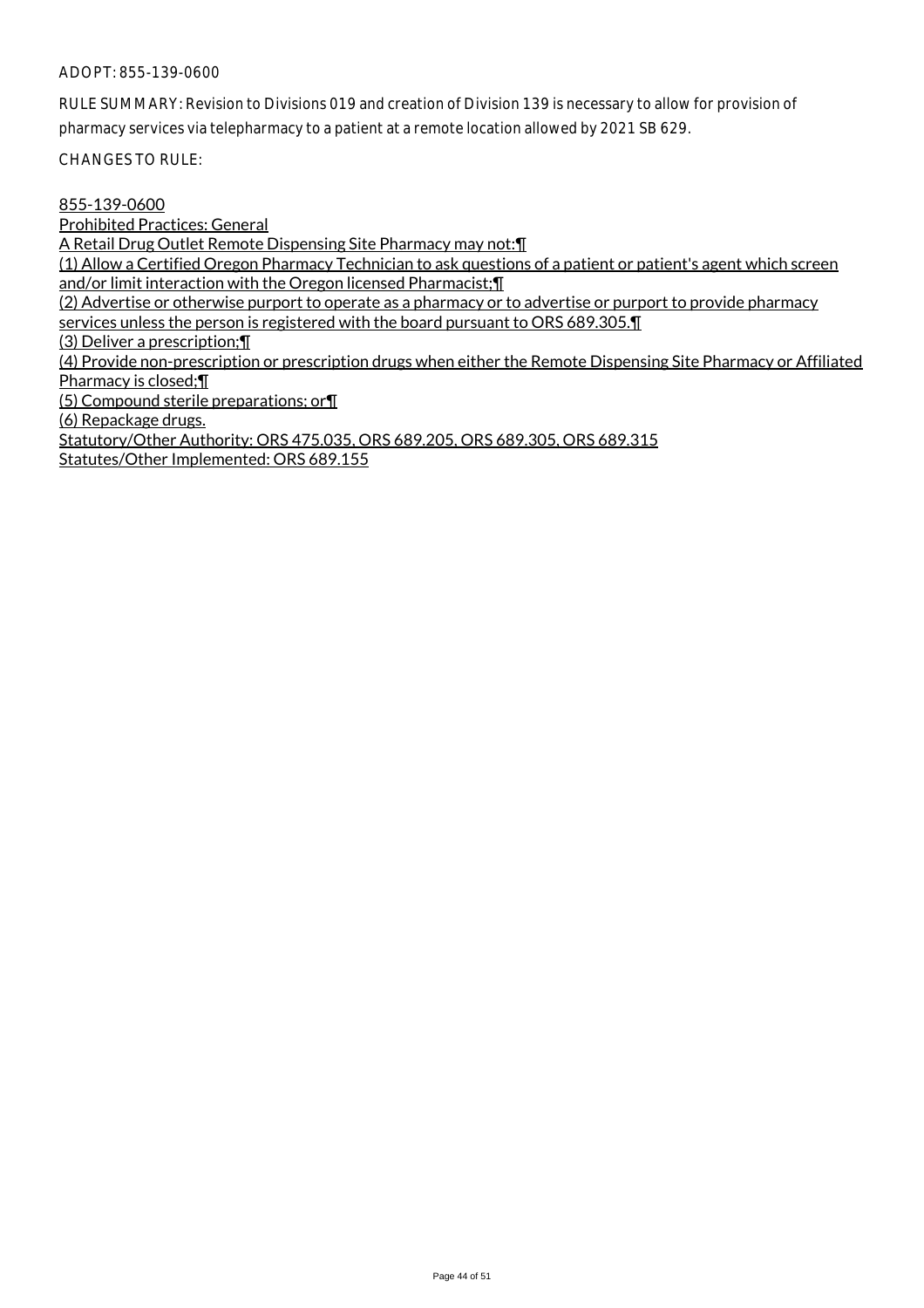RULE SUMMARY: Revision to Divisions 019 and creation of Division 139 is necessary to allow for provision of pharmacy services via telepharmacy to a patient at a remote location allowed by 2021 SB 629.

CHANGES TO RULE:

855-139-0600

Prohibited Practices: General

A Retail Drug Outlet Remote Dispensing Site Pharmacy may not:¶

(1) Allow a Certified Oregon Pharmacy Technician to ask questions of a patient or patient's agent which screen and/or limit interaction with the Oregon licensed Pharmacist;¶

(2) Advertise or otherwise purport to operate as a pharmacy or to advertise or purport to provide pharmacy services unless the person is registered with the board pursuant to ORS 689.305.¶

(3) Deliver a prescription;¶

(4) Provide non-prescription or prescription drugs when either the Remote Dispensing Site Pharmacy or Affiliated Pharmacy is closed;<sup>[1]</sup>

(5) Compound sterile preparations; or¶

(6) Repackage drugs.

Statutory/Other Authority: ORS 475.035, ORS 689.205, ORS 689.305, ORS 689.315 Statutes/Other Implemented: ORS 689.155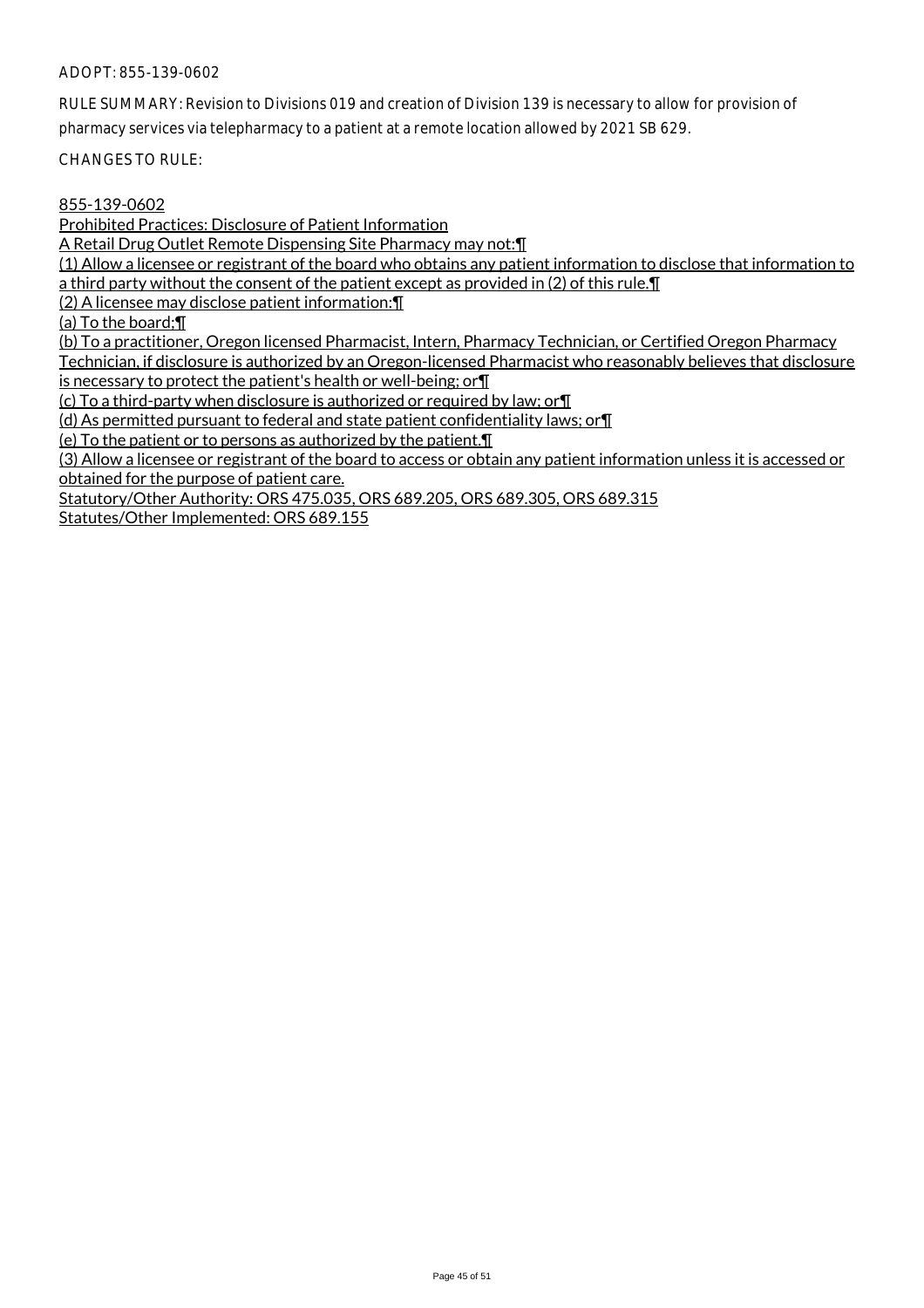RULE SUMMARY: Revision to Divisions 019 and creation of Division 139 is necessary to allow for provision of

pharmacy services via telepharmacy to a patient at a remote location allowed by 2021 SB 629.

CHANGES TO RULE:

#### 855-139-0602

Prohibited Practices: Disclosure of Patient Information

A Retail Drug Outlet Remote Dispensing Site Pharmacy may not:¶

(1) Allow a licensee or registrant of the board who obtains any patient information to disclose that information to a third party without the consent of the patient except as provided in (2) of this rule.¶

(2) A licensee may disclose patient information:¶

(a) To the board;¶

(b) To a practitioner, Oregon licensed Pharmacist, Intern, Pharmacy Technician, or Certified Oregon Pharmacy Technician, if disclosure is authorized by an Oregon-licensed Pharmacist who reasonably believes that disclosure

is necessary to protect the patient's health or well-being; or¶

(c) To a third-party when disclosure is authorized or required by law; or¶

(d) As permitted pursuant to federal and state patient confidentiality laws; or¶

(e) To the patient or to persons as authorized by the patient.¶

(3) Allow a licensee or registrant of the board to access or obtain any patient information unless it is accessed or obtained for the purpose of patient care.

Statutory/Other Authority: ORS 475.035, ORS 689.205, ORS 689.305, ORS 689.315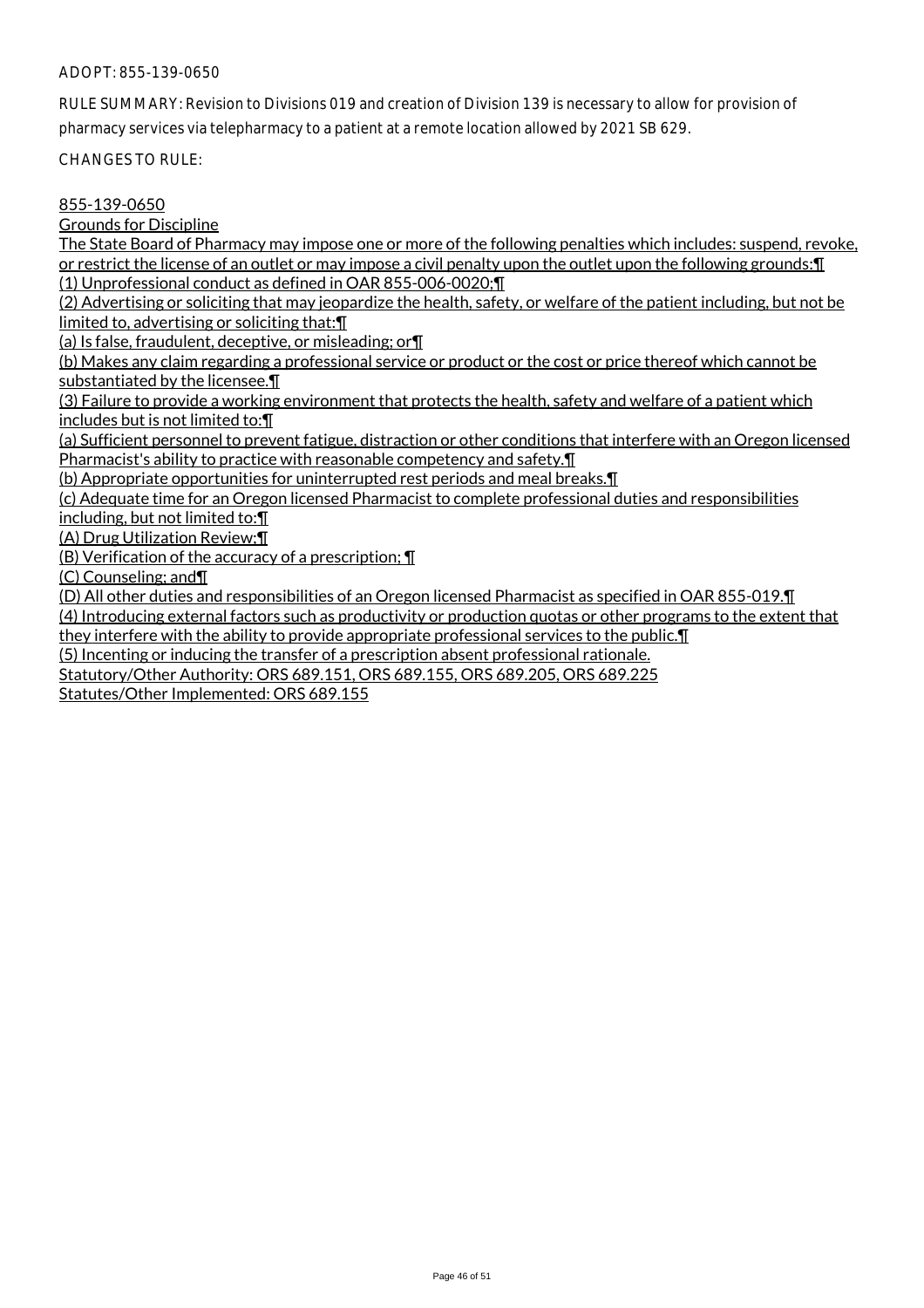RULE SUMMARY: Revision to Divisions 019 and creation of Division 139 is necessary to allow for provision of pharmacy services via telepharmacy to a patient at a remote location allowed by 2021 SB 629.

CHANGES TO RULE:

#### 855-139-0650

Grounds for Discipline

The State Board of Pharmacy may impose one or more of the following penalties which includes: suspend, revoke, or restrict the license of an outlet or may impose a civil penalty upon the outlet upon the following grounds:¶ (1) Unprofessional conduct as defined in OAR 855-006-0020;¶

(2) Advertising or soliciting that may jeopardize the health, safety, or welfare of the patient including, but not be limited to, advertising or soliciting that: \[

(a) Is false, fraudulent, deceptive, or misleading; or¶

(b) Makes any claim regarding a professional service or product or the cost or price thereof which cannot be substantiated by the licensee.

(3) Failure to provide a working environment that protects the health, safety and welfare of a patient which includes but is not limited to:¶

(a) Sufficient personnel to prevent fatigue, distraction or other conditions that interfere with an Oregon licensed Pharmacist's ability to practice with reasonable competency and safety.¶

(b) Appropriate opportunities for uninterrupted rest periods and meal breaks.¶

(c) Adequate time for an Oregon licensed Pharmacist to complete professional duties and responsibilities

including, but not limited to:¶

(A) Drug Utilization Review;¶

(B) Verification of the accuracy of a prescription; ¶

(C) Counseling; and¶

(D) All other duties and responsibilities of an Oregon licensed Pharmacist as specified in OAR 855-019.¶

(4) Introducing external factors such as productivity or production quotas or other programs to the extent that they interfere with the ability to provide appropriate professional services to the public.¶

(5) Incenting or inducing the transfer of a prescription absent professional rationale.

Statutory/Other Authority: ORS 689.151, ORS 689.155, ORS 689.205, ORS 689.225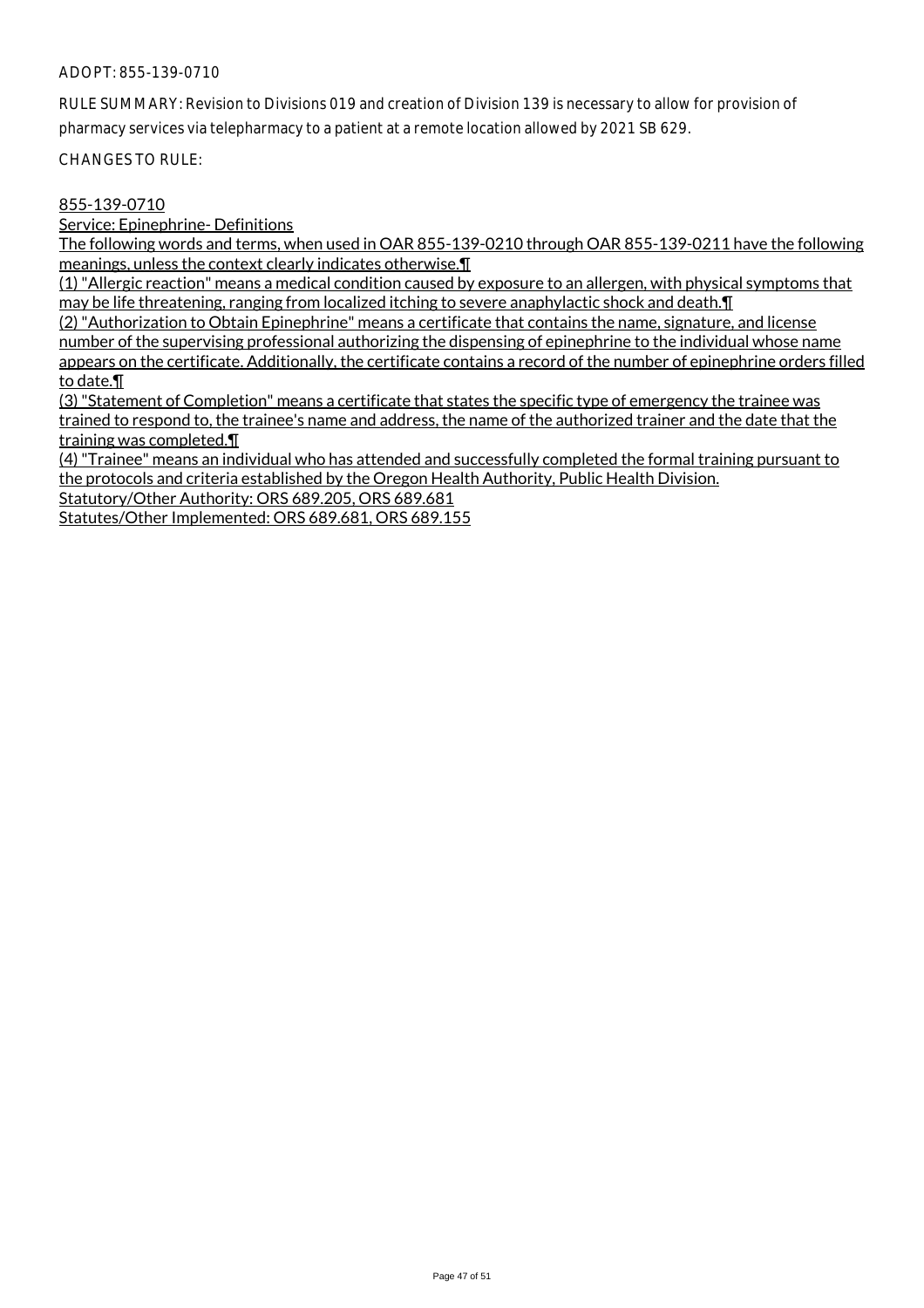RULE SUMMARY: Revision to Divisions 019 and creation of Division 139 is necessary to allow for provision of pharmacy services via telepharmacy to a patient at a remote location allowed by 2021 SB 629.

CHANGES TO RULE:

## 855-139-0710

Service: Epinephrine- Definitions

The following words and terms, when used in OAR 855-139-0210 through OAR 855-139-0211 have the following meanings, unless the context clearly indicates otherwise.¶

(1) "Allergic reaction" means a medical condition caused by exposure to an allergen, with physical symptoms that may be life threatening, ranging from localized itching to severe anaphylactic shock and death.¶

(2) "Authorization to Obtain Epinephrine" means a certificate that contains the name, signature, and license number of the supervising professional authorizing the dispensing of epinephrine to the individual whose name appears on the certificate. Additionally, the certificate contains a record of the number of epinephrine orders filled to date.¶

(3) "Statement of Completion" means a certificate that states the specific type of emergency the trainee was trained to respond to, the trainee's name and address, the name of the authorized trainer and the date that the training was completed.¶

(4) "Trainee" means an individual who has attended and successfully completed the formal training pursuant to the protocols and criteria established by the Oregon Health Authority, Public Health Division.

Statutory/Other Authority: ORS 689.205, ORS 689.681

Statutes/Other Implemented: ORS 689.681, ORS 689.155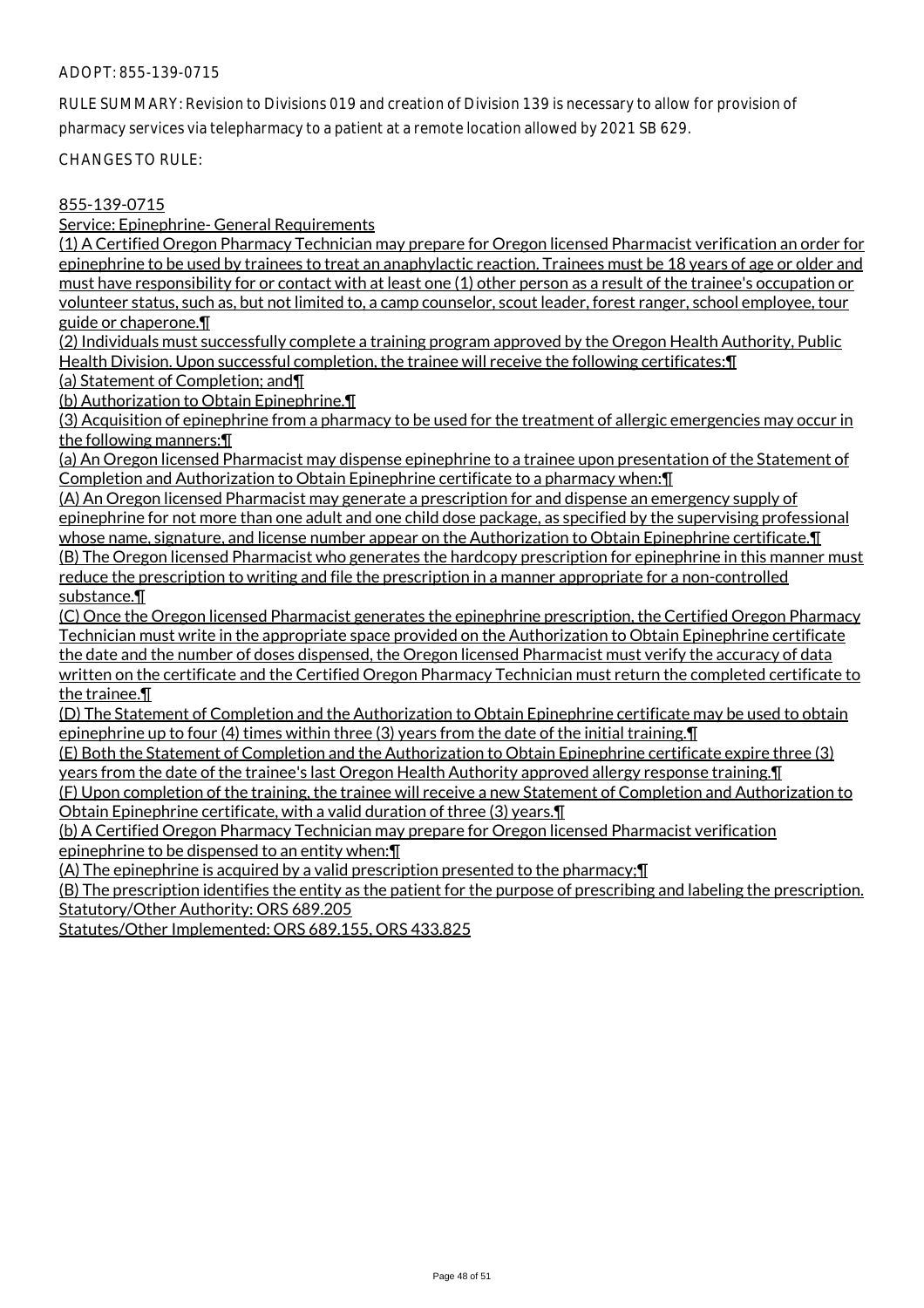RULE SUMMARY: Revision to Divisions 019 and creation of Division 139 is necessary to allow for provision of pharmacy services via telepharmacy to a patient at a remote location allowed by 2021 SB 629.

CHANGES TO RULE:

## 855-139-0715

Service: Epinephrine- General Requirements

(1) A Certified Oregon Pharmacy Technician may prepare for Oregon licensed Pharmacist verification an order for epinephrine to be used by trainees to treat an anaphylactic reaction. Trainees must be 18 years of age or older and must have responsibility for or contact with at least one (1) other person as a result of the trainee's occupation or volunteer status, such as, but not limited to, a camp counselor, scout leader, forest ranger, school employee, tour guide or chaperone.¶

(2) Individuals must successfully complete a training program approved by the Oregon Health Authority, Public Health Division. Upon successful completion, the trainee will receive the following certificates:¶

(a) Statement of Completion; and¶

(b) Authorization to Obtain Epinephrine.¶

(3) Acquisition of epinephrine from a pharmacy to be used for the treatment of allergic emergencies may occur in the following manners:¶

(a) An Oregon licensed Pharmacist may dispense epinephrine to a trainee upon presentation of the Statement of Completion and Authorization to Obtain Epinephrine certificate to a pharmacy when:¶

(A) An Oregon licensed Pharmacist may generate a prescription for and dispense an emergency supply of epinephrine for not more than one adult and one child dose package, as specified by the supervising professional whose name, signature, and license number appear on the Authorization to Obtain Epinephrine certificate. [1] (B) The Oregon licensed Pharmacist who generates the hardcopy prescription for epinephrine in this manner must reduce the prescription to writing and file the prescription in a manner appropriate for a non-controlled substance.¶

(C) Once the Oregon licensed Pharmacist generates the epinephrine prescription, the Certified Oregon Pharmacy Technician must write in the appropriate space provided on the Authorization to Obtain Epinephrine certificate the date and the number of doses dispensed, the Oregon licensed Pharmacist must verify the accuracy of data written on the certificate and the Certified Oregon Pharmacy Technician must return the completed certificate to the trainee.¶

(D) The Statement of Completion and the Authorization to Obtain Epinephrine certificate may be used to obtain epinephrine up to four (4) times within three (3) years from the date of the initial training.¶

(E) Both the Statement of Completion and the Authorization to Obtain Epinephrine certificate expire three (3) years from the date of the trainee's last Oregon Health Authority approved allergy response training.¶

(F) Upon completion of the training, the trainee will receive a new Statement of Completion and Authorization to Obtain Epinephrine certificate, with a valid duration of three (3) years.¶

(b) A Certified Oregon Pharmacy Technician may prepare for Oregon licensed Pharmacist verification epinephrine to be dispensed to an entity when:¶

(A) The epinephrine is acquired by a valid prescription presented to the pharmacy;¶

(B) The prescription identifies the entity as the patient for the purpose of prescribing and labeling the prescription. Statutory/Other Authority: ORS 689.205

Statutes/Other Implemented: ORS 689.155, ORS 433.825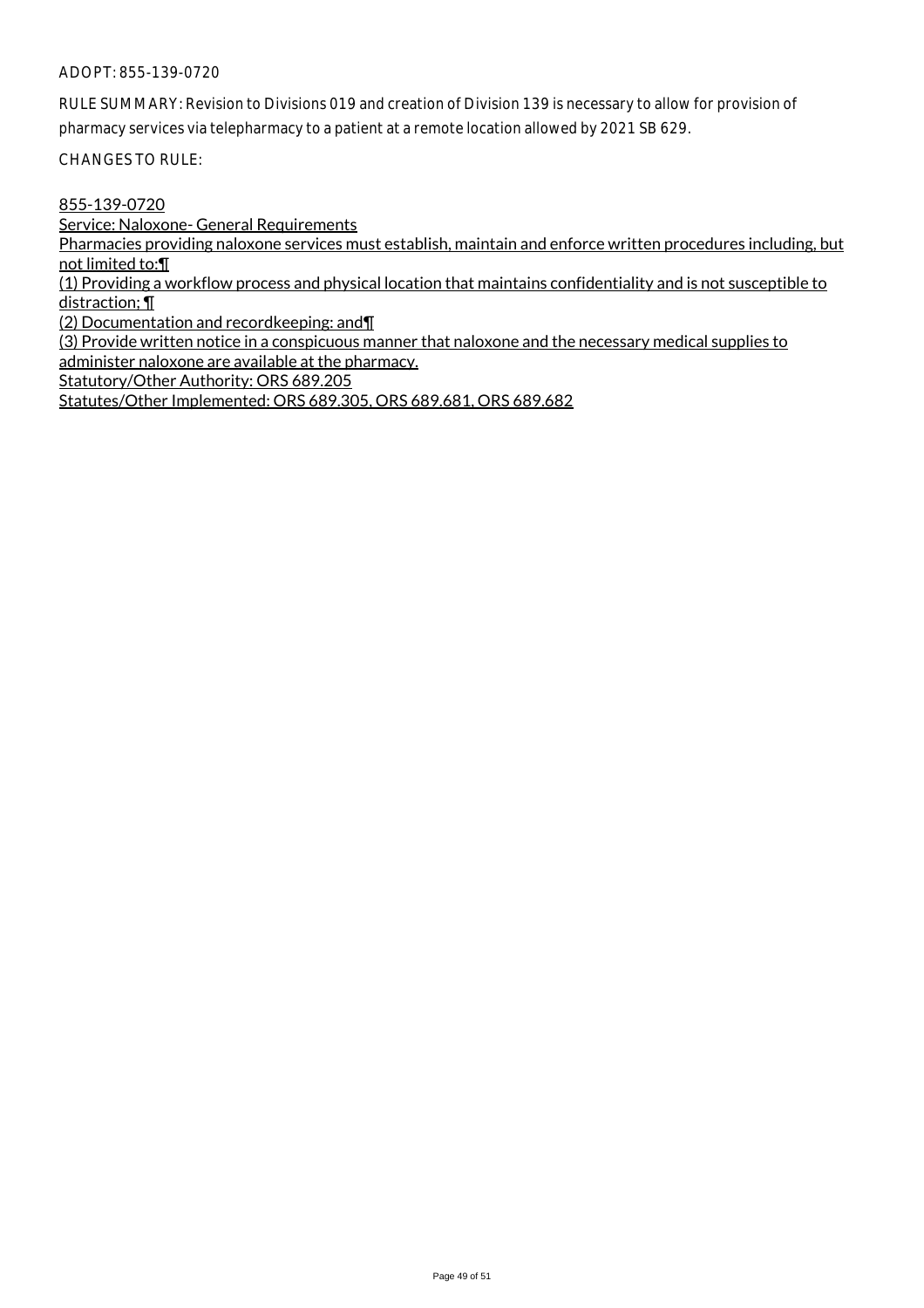RULE SUMMARY: Revision to Divisions 019 and creation of Division 139 is necessary to allow for provision of pharmacy services via telepharmacy to a patient at a remote location allowed by 2021 SB 629.

CHANGES TO RULE:

855-139-0720

Service: Naloxone- General Requirements

Pharmacies providing naloxone services must establish, maintain and enforce written procedures including, but not limited to:¶

(1) Providing a workflow process and physical location that maintains confidentiality and is not susceptible to distraction; ¶

(2) Documentation and recordkeeping: and¶

(3) Provide written notice in a conspicuous manner that naloxone and the necessary medical supplies to administer naloxone are available at the pharmacy.

Statutory/Other Authority: ORS 689.205

Statutes/Other Implemented: ORS 689.305, ORS 689.681, ORS 689.682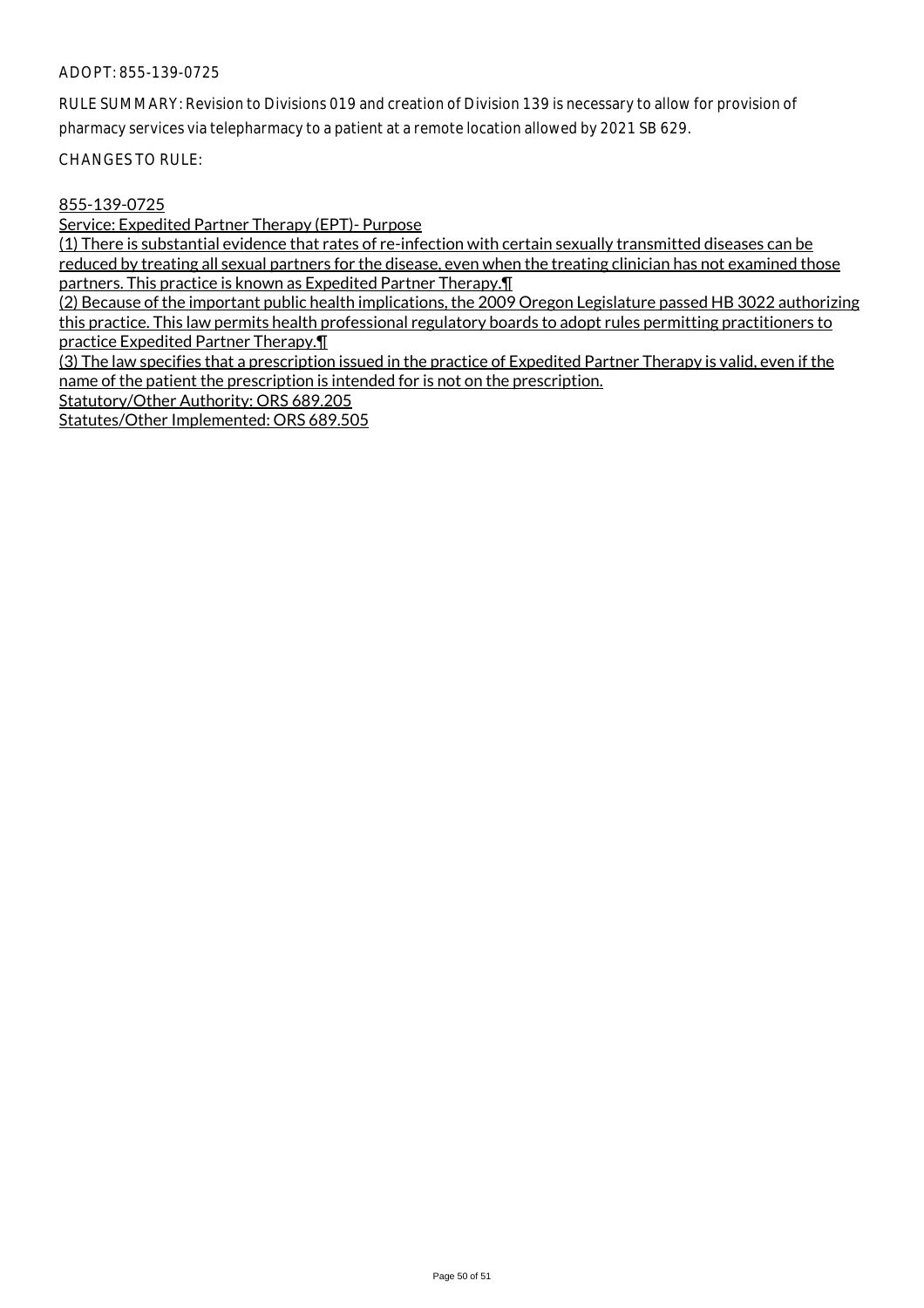RULE SUMMARY: Revision to Divisions 019 and creation of Division 139 is necessary to allow for provision of pharmacy services via telepharmacy to a patient at a remote location allowed by 2021 SB 629.

CHANGES TO RULE:

## 855-139-0725

Service: Expedited Partner Therapy (EPT)- Purpose

(1) There is substantial evidence that rates of re-infection with certain sexually transmitted diseases can be reduced by treating all sexual partners for the disease, even when the treating clinician has not examined those partners. This practice is known as Expedited Partner Therapy.¶

(2) Because of the important public health implications, the 2009 Oregon Legislature passed HB 3022 authorizing this practice. This law permits health professional regulatory boards to adopt rules permitting practitioners to practice Expedited Partner Therapy.¶

(3) The law specifies that a prescription issued in the practice of Expedited Partner Therapy is valid, even if the name of the patient the prescription is intended for is not on the prescription.

Statutory/Other Authority: ORS 689.205